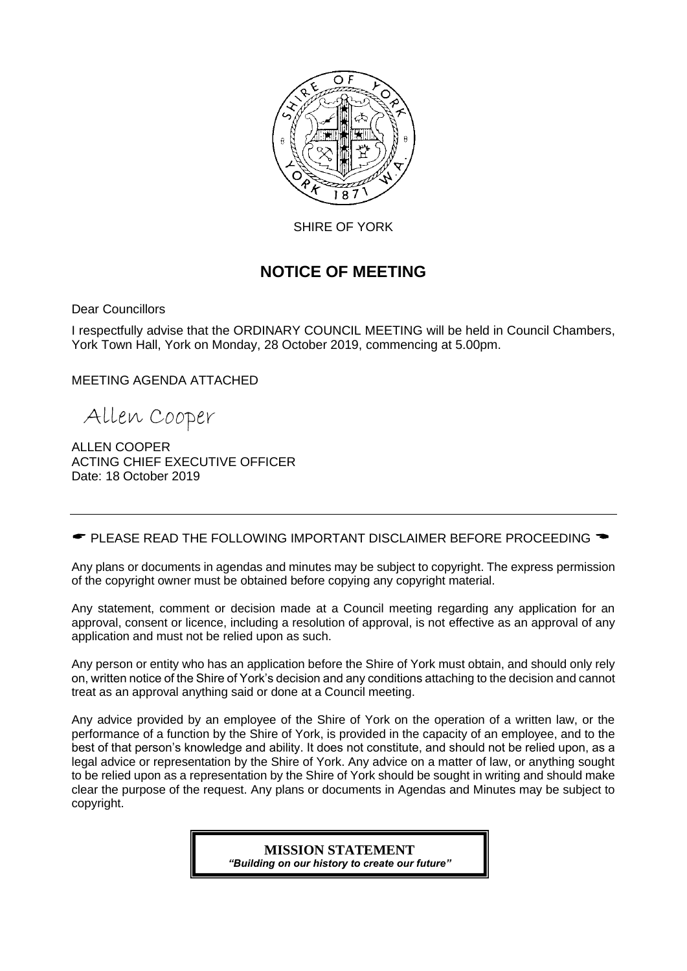

SHIRE OF YORK

# **NOTICE OF MEETING**

Dear Councillors

I respectfully advise that the ORDINARY COUNCIL MEETING will be held in Council Chambers, York Town Hall, York on Monday, 28 October 2019, commencing at 5.00pm.

MEETING AGENDA ATTACHED

Allen Cooper

ALLEN COOPER ACTING CHIEF EXECUTIVE OFFICER Date: 18 October 2019

 $\bullet$  PLEASE READ THE FOLLOWING IMPORTANT DISCLAIMER BEFORE PROCEEDING  $\bullet$ 

Any plans or documents in agendas and minutes may be subject to copyright. The express permission of the copyright owner must be obtained before copying any copyright material.

Any statement, comment or decision made at a Council meeting regarding any application for an approval, consent or licence, including a resolution of approval, is not effective as an approval of any application and must not be relied upon as such.

Any person or entity who has an application before the Shire of York must obtain, and should only rely on, written notice of the Shire of York's decision and any conditions attaching to the decision and cannot treat as an approval anything said or done at a Council meeting.

Any advice provided by an employee of the Shire of York on the operation of a written law, or the performance of a function by the Shire of York, is provided in the capacity of an employee, and to the best of that person's knowledge and ability. It does not constitute, and should not be relied upon, as a legal advice or representation by the Shire of York. Any advice on a matter of law, or anything sought to be relied upon as a representation by the Shire of York should be sought in writing and should make clear the purpose of the request. Any plans or documents in Agendas and Minutes may be subject to copyright.

> **MISSION STATEMENT** *"Building on our history to create our future"*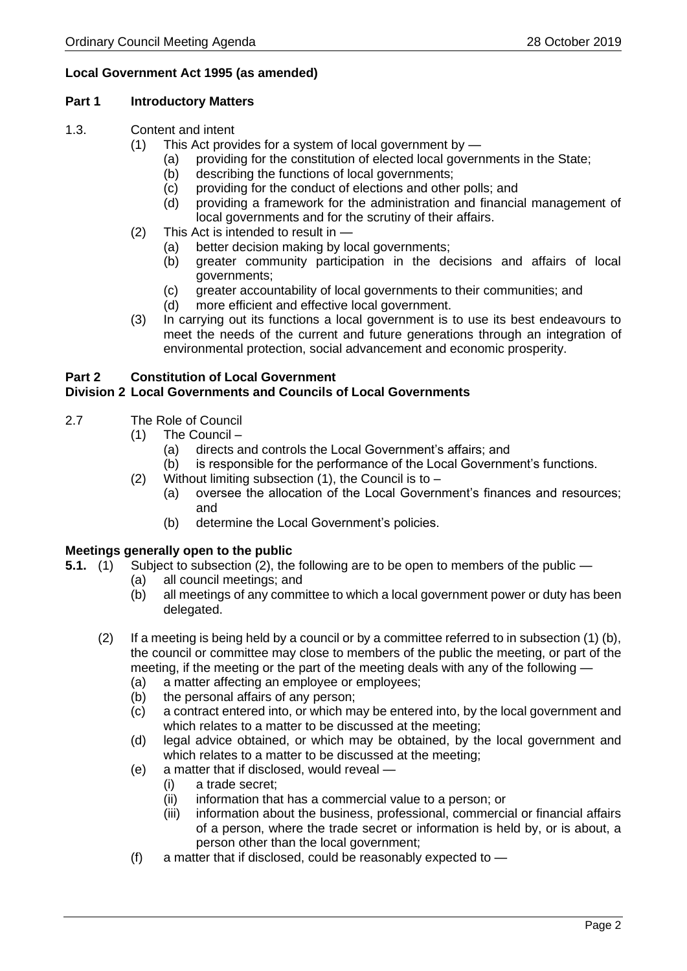# **Local Government Act 1995 (as amended)**

#### **Part 1 Introductory Matters**

- 1.3. Content and intent
	- (1) This Act provides for a system of local government by
		- (a) providing for the constitution of elected local governments in the State;
		- (b) describing the functions of local governments;
		- (c) providing for the conduct of elections and other polls; and
		- (d) providing a framework for the administration and financial management of local governments and for the scrutiny of their affairs.
	- (2) This Act is intended to result in
		- (a) better decision making by local governments;
		- (b) greater community participation in the decisions and affairs of local governments;
		- (c) greater accountability of local governments to their communities; and
		- (d) more efficient and effective local government.
	- (3) In carrying out its functions a local government is to use its best endeavours to meet the needs of the current and future generations through an integration of environmental protection, social advancement and economic prosperity.

# **Part 2 Constitution of Local Government**

# **Division 2 Local Governments and Councils of Local Governments**

- 2.7 The Role of Council
	- (1) The Council
		- (a) directs and controls the Local Government's affairs; and
		- (b) is responsible for the performance of the Local Government's functions.
	- (2) Without limiting subsection  $(1)$ , the Council is to
		- (a) oversee the allocation of the Local Government's finances and resources; and
		- (b) determine the Local Government's policies.

# **Meetings generally open to the public**

- **5.1.** (1) Subject to subsection (2), the following are to be open to members of the public
	- (a) all council meetings; and
	- (b) all meetings of any committee to which a local government power or duty has been delegated.
	- (2) If a meeting is being held by a council or by a committee referred to in subsection (1) (b), the council or committee may close to members of the public the meeting, or part of the meeting, if the meeting or the part of the meeting deals with any of the following —
		- (a) a matter affecting an employee or employees;
		- (b) the personal affairs of any person;
		- (c) a contract entered into, or which may be entered into, by the local government and which relates to a matter to be discussed at the meeting;
		- (d) legal advice obtained, or which may be obtained, by the local government and which relates to a matter to be discussed at the meeting;
		- (e) a matter that if disclosed, would reveal
			- (i) a trade secret;
			- (ii) information that has a commercial value to a person; or
			- (iii) information about the business, professional, commercial or financial affairs of a person, where the trade secret or information is held by, or is about, a person other than the local government;
		- (f) a matter that if disclosed, could be reasonably expected to —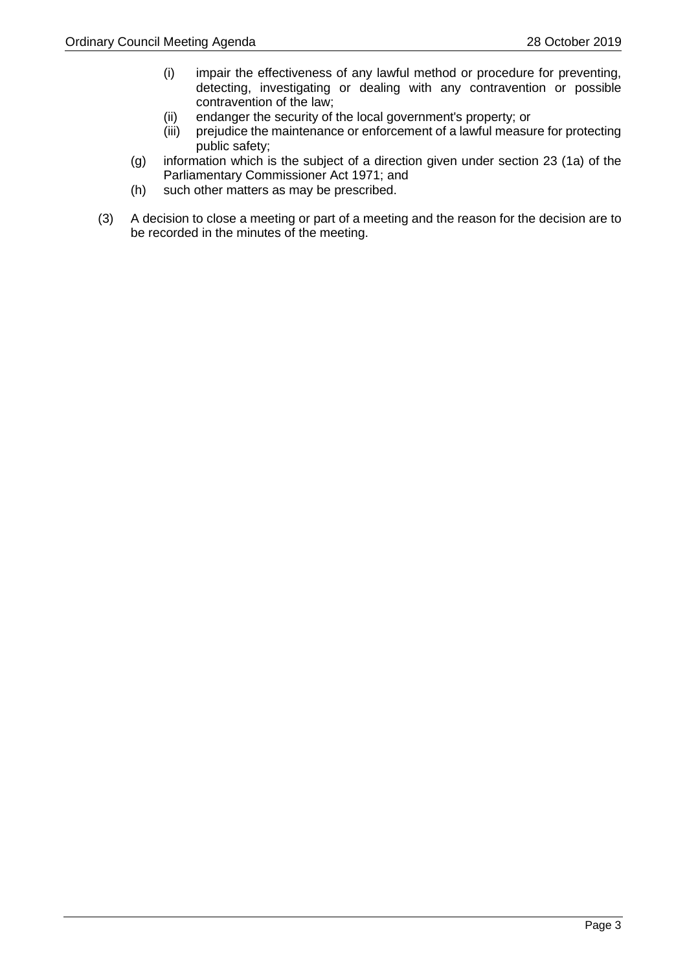- (i) impair the effectiveness of any lawful method or procedure for preventing, detecting, investigating or dealing with any contravention or possible contravention of the law;
- (ii) endanger the security of the local government's property; or
- (iii) prejudice the maintenance or enforcement of a lawful measure for protecting public safety;
- (g) information which is the subject of a direction given under section 23 (1a) of the Parliamentary Commissioner Act 1971; and
- (h) such other matters as may be prescribed.
- (3) A decision to close a meeting or part of a meeting and the reason for the decision are to be recorded in the minutes of the meeting.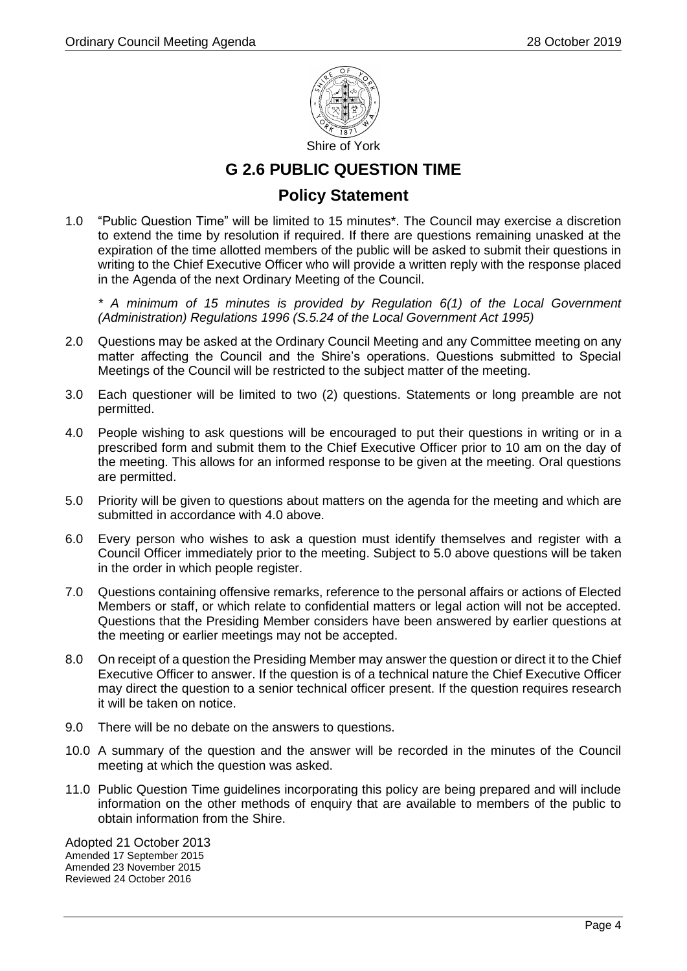

# **G 2.6 PUBLIC QUESTION TIME**

# **Policy Statement**

1.0 "Public Question Time" will be limited to 15 minutes\*. The Council may exercise a discretion to extend the time by resolution if required. If there are questions remaining unasked at the expiration of the time allotted members of the public will be asked to submit their questions in writing to the Chief Executive Officer who will provide a written reply with the response placed in the Agenda of the next Ordinary Meeting of the Council.

*\* A minimum of 15 minutes is provided by Regulation 6(1) of the Local Government (Administration) Regulations 1996 (S.5.24 of the Local Government Act 1995)*

- 2.0 Questions may be asked at the Ordinary Council Meeting and any Committee meeting on any matter affecting the Council and the Shire's operations. Questions submitted to Special Meetings of the Council will be restricted to the subject matter of the meeting.
- 3.0 Each questioner will be limited to two (2) questions. Statements or long preamble are not permitted.
- 4.0 People wishing to ask questions will be encouraged to put their questions in writing or in a prescribed form and submit them to the Chief Executive Officer prior to 10 am on the day of the meeting. This allows for an informed response to be given at the meeting. Oral questions are permitted.
- 5.0 Priority will be given to questions about matters on the agenda for the meeting and which are submitted in accordance with 4.0 above.
- 6.0 Every person who wishes to ask a question must identify themselves and register with a Council Officer immediately prior to the meeting. Subject to 5.0 above questions will be taken in the order in which people register.
- 7.0 Questions containing offensive remarks, reference to the personal affairs or actions of Elected Members or staff, or which relate to confidential matters or legal action will not be accepted. Questions that the Presiding Member considers have been answered by earlier questions at the meeting or earlier meetings may not be accepted.
- 8.0 On receipt of a question the Presiding Member may answer the question or direct it to the Chief Executive Officer to answer. If the question is of a technical nature the Chief Executive Officer may direct the question to a senior technical officer present. If the question requires research it will be taken on notice.
- 9.0 There will be no debate on the answers to questions.
- 10.0 A summary of the question and the answer will be recorded in the minutes of the Council meeting at which the question was asked.
- 11.0 Public Question Time guidelines incorporating this policy are being prepared and will include information on the other methods of enquiry that are available to members of the public to obtain information from the Shire.

Adopted 21 October 2013 Amended 17 September 2015 Amended 23 November 2015 Reviewed 24 October 2016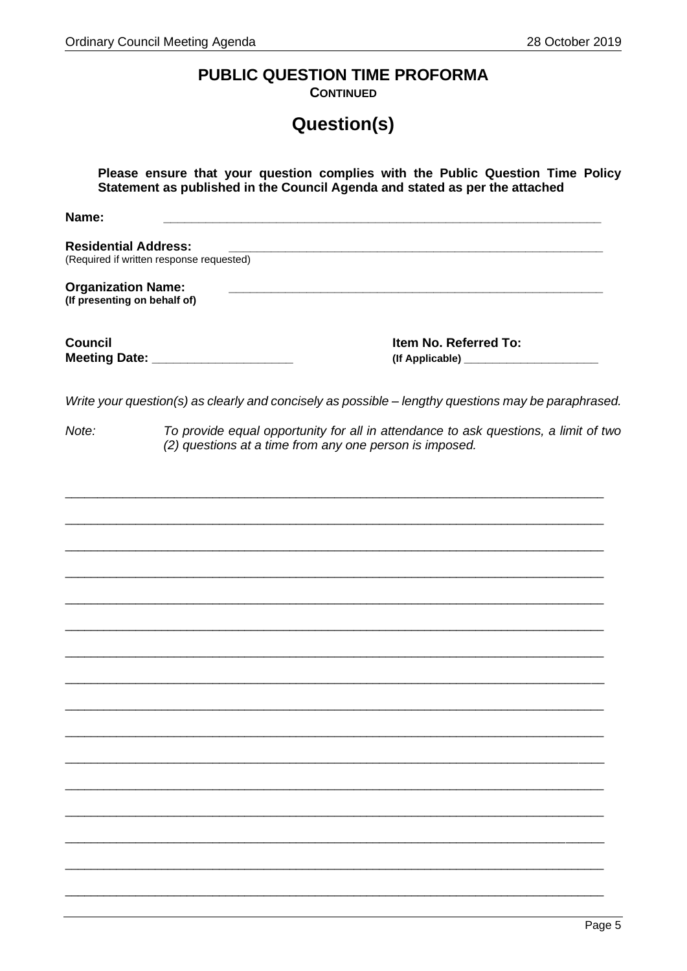# PUBLIC QUESTION TIME PROFORMA

**CONTINUED** 

# Question(s)

|                                                           | Please ensure that your question complies with the Public Question Time Policy<br>Statement as published in the Council Agenda and stated as per the attached |
|-----------------------------------------------------------|---------------------------------------------------------------------------------------------------------------------------------------------------------------|
| Name:                                                     |                                                                                                                                                               |
| <b>Residential Address:</b>                               | (Required if written response requested)                                                                                                                      |
| <b>Organization Name:</b><br>(If presenting on behalf of) |                                                                                                                                                               |
| <b>Council</b>                                            | Item No. Referred To:<br>Meeting Date: _______________________                                                                                                |
|                                                           | Write your question(s) as clearly and concisely as possible - lengthy questions may be paraphrased.                                                           |
| Note:                                                     | To provide equal opportunity for all in attendance to ask questions, a limit of two<br>(2) questions at a time from any one person is imposed.                |
|                                                           |                                                                                                                                                               |
|                                                           |                                                                                                                                                               |
|                                                           |                                                                                                                                                               |
|                                                           |                                                                                                                                                               |
|                                                           |                                                                                                                                                               |
|                                                           |                                                                                                                                                               |
|                                                           |                                                                                                                                                               |
|                                                           |                                                                                                                                                               |
|                                                           |                                                                                                                                                               |
|                                                           |                                                                                                                                                               |
|                                                           |                                                                                                                                                               |
|                                                           |                                                                                                                                                               |
|                                                           |                                                                                                                                                               |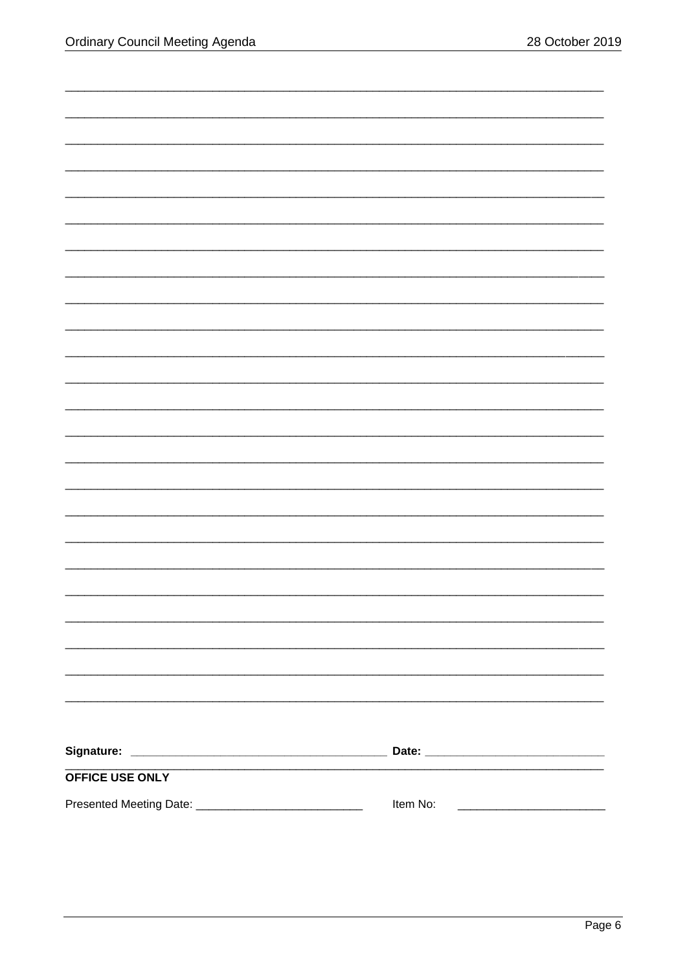| OFFICE USE ONLY                                        |                                                                                                                                   |
|--------------------------------------------------------|-----------------------------------------------------------------------------------------------------------------------------------|
| Presented Meeting Date: ______________________________ | Item No:<br><u> 2002 - Jan James James James James James James James James James James James James James James James James Ja</u> |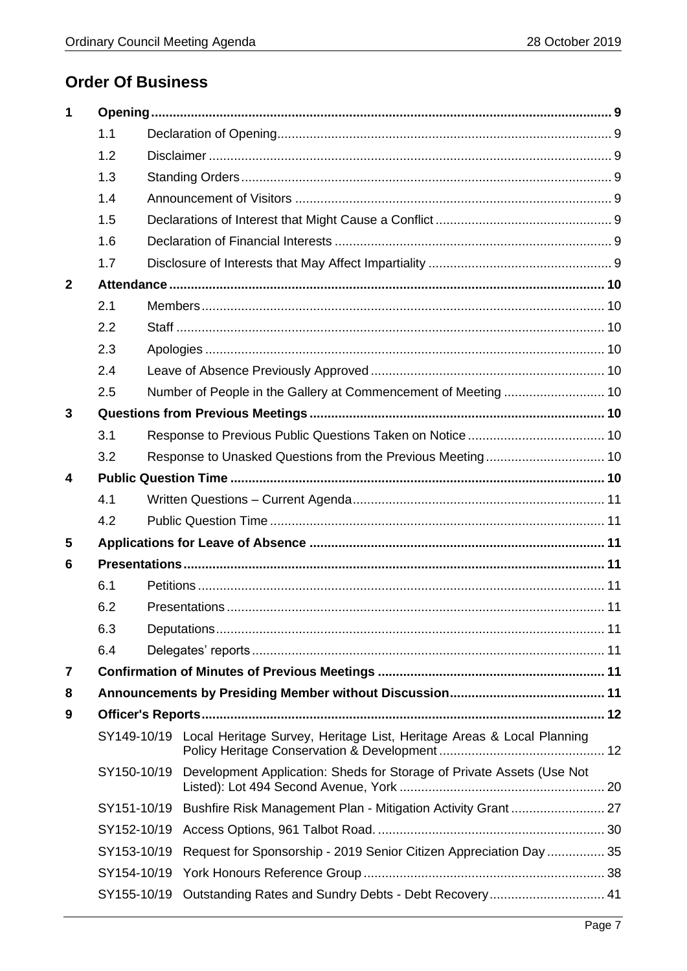# **Order Of Business**

| 1            |             |                                                                                   |  |
|--------------|-------------|-----------------------------------------------------------------------------------|--|
|              | 1.1         |                                                                                   |  |
|              | 1.2         |                                                                                   |  |
|              | 1.3         |                                                                                   |  |
|              | 1.4         |                                                                                   |  |
|              | 1.5         |                                                                                   |  |
|              | 1.6         |                                                                                   |  |
|              | 1.7         |                                                                                   |  |
| $\mathbf{2}$ |             |                                                                                   |  |
|              | 2.1         |                                                                                   |  |
|              | 2.2         |                                                                                   |  |
|              | 2.3         |                                                                                   |  |
|              | 2.4         |                                                                                   |  |
|              | 2.5         |                                                                                   |  |
| 3            |             |                                                                                   |  |
|              | 3.1         |                                                                                   |  |
|              | 3.2         |                                                                                   |  |
| 4            |             |                                                                                   |  |
|              | 4.1         |                                                                                   |  |
|              | 4.2         |                                                                                   |  |
| 5            |             |                                                                                   |  |
| 6            |             |                                                                                   |  |
|              | 6.1         |                                                                                   |  |
|              | 6.2         |                                                                                   |  |
|              | 6.3         |                                                                                   |  |
|              | 6.4         |                                                                                   |  |
| 7            |             |                                                                                   |  |
| 8            |             |                                                                                   |  |
| 9            |             |                                                                                   |  |
|              |             | SY149-10/19 Local Heritage Survey, Heritage List, Heritage Areas & Local Planning |  |
|              | SY150-10/19 | Development Application: Sheds for Storage of Private Assets (Use Not             |  |
|              |             | SY151-10/19 Bushfire Risk Management Plan - Mitigation Activity Grant  27         |  |
|              | SY152-10/19 |                                                                                   |  |
|              | SY153-10/19 | Request for Sponsorship - 2019 Senior Citizen Appreciation Day  35                |  |
|              | SY154-10/19 |                                                                                   |  |
|              | SY155-10/19 | Outstanding Rates and Sundry Debts - Debt Recovery 41                             |  |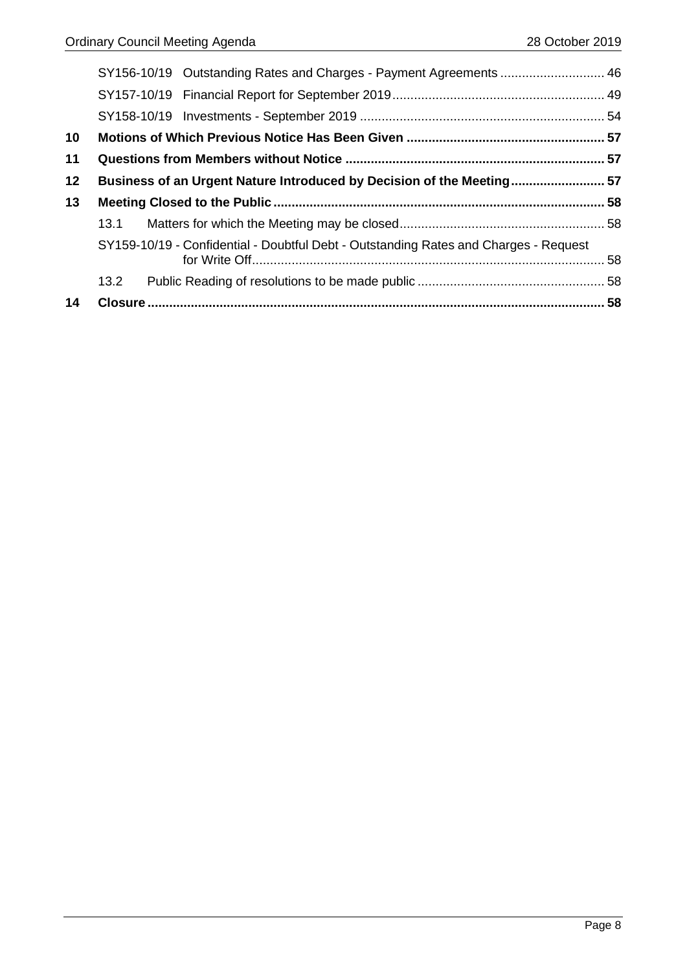|    |      | SY156-10/19 Outstanding Rates and Charges - Payment Agreements  46                   |  |
|----|------|--------------------------------------------------------------------------------------|--|
|    |      |                                                                                      |  |
|    |      |                                                                                      |  |
| 10 |      |                                                                                      |  |
| 11 |      |                                                                                      |  |
| 12 |      | Business of an Urgent Nature Introduced by Decision of the Meeting 57                |  |
| 13 |      |                                                                                      |  |
|    | 13.1 |                                                                                      |  |
|    |      | SY159-10/19 - Confidential - Doubtful Debt - Outstanding Rates and Charges - Request |  |
|    | 13.2 |                                                                                      |  |
|    |      |                                                                                      |  |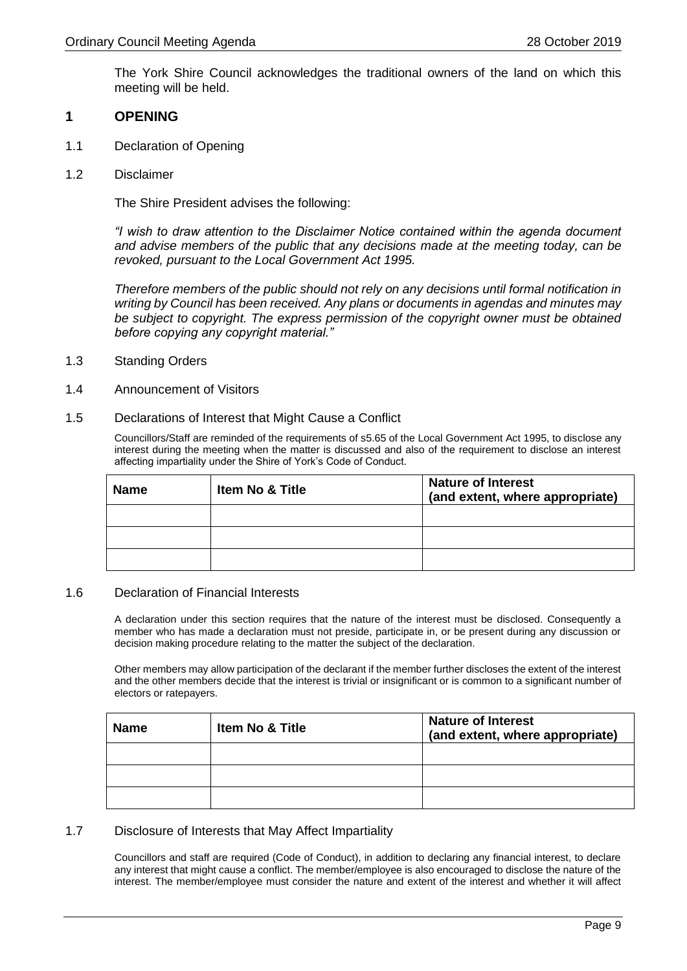The York Shire Council acknowledges the traditional owners of the land on which this meeting will be held.

#### <span id="page-8-0"></span>**1 OPENING**

- <span id="page-8-1"></span>1.1 Declaration of Opening
- <span id="page-8-2"></span>1.2 Disclaimer

The Shire President advises the following:

*"I wish to draw attention to the Disclaimer Notice contained within the agenda document and advise members of the public that any decisions made at the meeting today, can be revoked, pursuant to the Local Government Act 1995.*

*Therefore members of the public should not rely on any decisions until formal notification in writing by Council has been received. Any plans or documents in agendas and minutes may be subject to copyright. The express permission of the copyright owner must be obtained before copying any copyright material."*

- <span id="page-8-3"></span>1.3 Standing Orders
- <span id="page-8-4"></span>1.4 Announcement of Visitors
- <span id="page-8-5"></span>1.5 Declarations of Interest that Might Cause a Conflict

Councillors/Staff are reminded of the requirements of s5.65 of the Local Government Act 1995, to disclose any interest during the meeting when the matter is discussed and also of the requirement to disclose an interest affecting impartiality under the Shire of York's Code of Conduct.

| <b>Name</b> | <b>Item No &amp; Title</b> | <b>Nature of Interest</b><br>(and extent, where appropriate) |
|-------------|----------------------------|--------------------------------------------------------------|
|             |                            |                                                              |
|             |                            |                                                              |
|             |                            |                                                              |

#### <span id="page-8-6"></span>1.6 Declaration of Financial Interests

A declaration under this section requires that the nature of the interest must be disclosed. Consequently a member who has made a declaration must not preside, participate in, or be present during any discussion or decision making procedure relating to the matter the subject of the declaration.

Other members may allow participation of the declarant if the member further discloses the extent of the interest and the other members decide that the interest is trivial or insignificant or is common to a significant number of electors or ratepayers.

| <b>Name</b> | <b>Item No &amp; Title</b> | <b>Nature of Interest</b><br>(and extent, where appropriate) |
|-------------|----------------------------|--------------------------------------------------------------|
|             |                            |                                                              |
|             |                            |                                                              |
|             |                            |                                                              |

#### <span id="page-8-7"></span>1.7 Disclosure of Interests that May Affect Impartiality

Councillors and staff are required (Code of Conduct), in addition to declaring any financial interest, to declare any interest that might cause a conflict. The member/employee is also encouraged to disclose the nature of the interest. The member/employee must consider the nature and extent of the interest and whether it will affect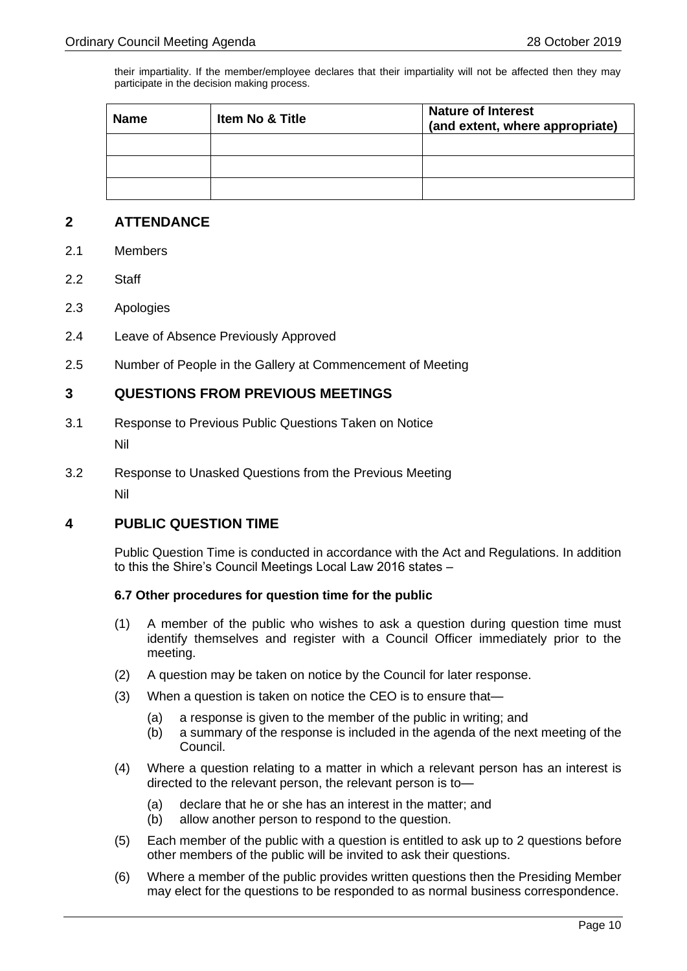their impartiality. If the member/employee declares that their impartiality will not be affected then they may participate in the decision making process.

| <b>Name</b> | <b>Item No &amp; Title</b> | <b>Nature of Interest</b><br>(and extent, where appropriate) |
|-------------|----------------------------|--------------------------------------------------------------|
|             |                            |                                                              |
|             |                            |                                                              |
|             |                            |                                                              |

# <span id="page-9-0"></span>**2 ATTENDANCE**

- <span id="page-9-1"></span>2.1 Members
- <span id="page-9-2"></span>2.2 Staff
- <span id="page-9-3"></span>2.3 Apologies
- <span id="page-9-4"></span>2.4 Leave of Absence Previously Approved
- <span id="page-9-5"></span>2.5 Number of People in the Gallery at Commencement of Meeting

# <span id="page-9-6"></span>**3 QUESTIONS FROM PREVIOUS MEETINGS**

- <span id="page-9-7"></span>3.1 Response to Previous Public Questions Taken on Notice Nil
- <span id="page-9-8"></span>3.2 Response to Unasked Questions from the Previous Meeting Nil

# <span id="page-9-9"></span>**4 PUBLIC QUESTION TIME**

Public Question Time is conducted in accordance with the Act and Regulations. In addition to this the Shire's Council Meetings Local Law 2016 states –

#### **6.7 Other procedures for question time for the public**

- (1) A member of the public who wishes to ask a question during question time must identify themselves and register with a Council Officer immediately prior to the meeting.
- (2) A question may be taken on notice by the Council for later response.
- (3) When a question is taken on notice the CEO is to ensure that—
	- (a) a response is given to the member of the public in writing; and
	- (b) a summary of the response is included in the agenda of the next meeting of the Council.
- (4) Where a question relating to a matter in which a relevant person has an interest is directed to the relevant person, the relevant person is to—
	- (a) declare that he or she has an interest in the matter; and
	- (b) allow another person to respond to the question.
- (5) Each member of the public with a question is entitled to ask up to 2 questions before other members of the public will be invited to ask their questions.
- (6) Where a member of the public provides written questions then the Presiding Member may elect for the questions to be responded to as normal business correspondence.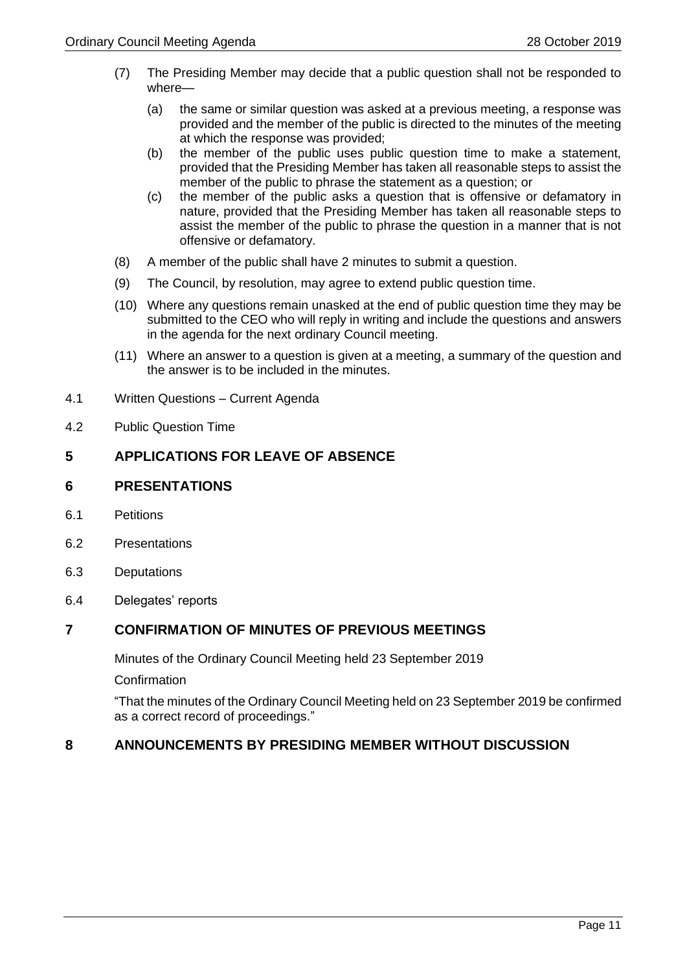- (7) The Presiding Member may decide that a public question shall not be responded to where—
	- (a) the same or similar question was asked at a previous meeting, a response was provided and the member of the public is directed to the minutes of the meeting at which the response was provided;
	- (b) the member of the public uses public question time to make a statement, provided that the Presiding Member has taken all reasonable steps to assist the member of the public to phrase the statement as a question; or
	- (c) the member of the public asks a question that is offensive or defamatory in nature, provided that the Presiding Member has taken all reasonable steps to assist the member of the public to phrase the question in a manner that is not offensive or defamatory.
- (8) A member of the public shall have 2 minutes to submit a question.
- (9) The Council, by resolution, may agree to extend public question time.
- (10) Where any questions remain unasked at the end of public question time they may be submitted to the CEO who will reply in writing and include the questions and answers in the agenda for the next ordinary Council meeting.
- (11) Where an answer to a question is given at a meeting, a summary of the question and the answer is to be included in the minutes.
- <span id="page-10-0"></span>4.1 Written Questions – Current Agenda
- <span id="page-10-1"></span>4.2 Public Question Time

# <span id="page-10-2"></span>**5 APPLICATIONS FOR LEAVE OF ABSENCE**

# <span id="page-10-3"></span>**6 PRESENTATIONS**

- <span id="page-10-4"></span>6.1 Petitions
- <span id="page-10-5"></span>6.2 Presentations
- <span id="page-10-6"></span>6.3 Deputations
- <span id="page-10-7"></span>6.4 Delegates' reports

# <span id="page-10-8"></span>**7 CONFIRMATION OF MINUTES OF PREVIOUS MEETINGS**

Minutes of the Ordinary Council Meeting held 23 September 2019

**Confirmation** 

"That the minutes of the Ordinary Council Meeting held on 23 September 2019 be confirmed as a correct record of proceedings."

# <span id="page-10-9"></span>**8 ANNOUNCEMENTS BY PRESIDING MEMBER WITHOUT DISCUSSION**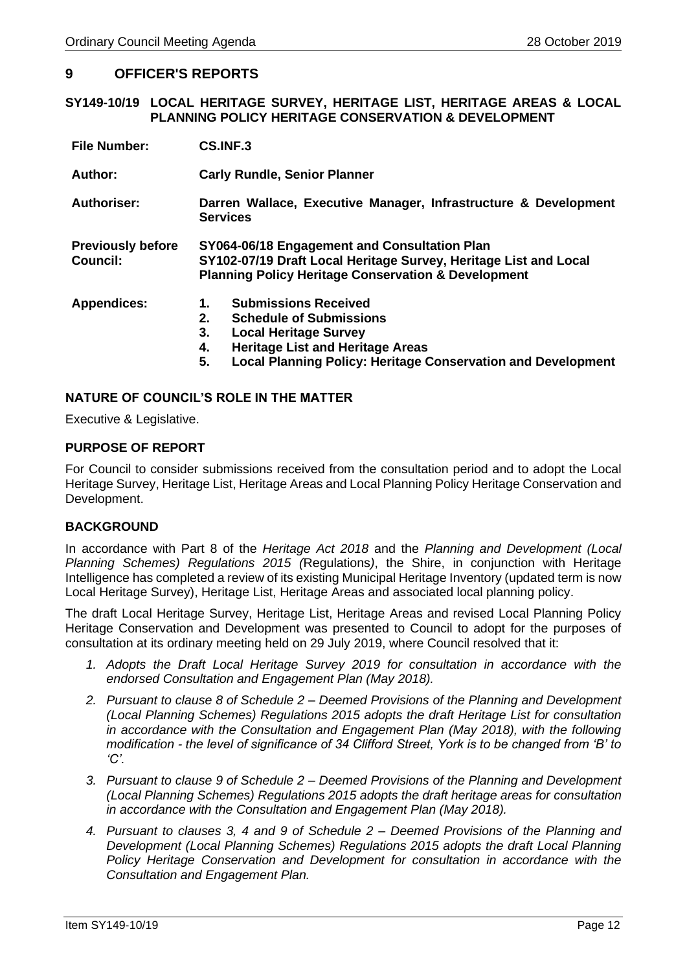# <span id="page-11-0"></span>**9 OFFICER'S REPORTS**

#### <span id="page-11-1"></span>**SY149-10/19 LOCAL HERITAGE SURVEY, HERITAGE LIST, HERITAGE AREAS & LOCAL PLANNING POLICY HERITAGE CONSERVATION & DEVELOPMENT**

| <b>File Number:</b>                         | CS.INF.3                                                                                                                                                                                                                                      |  |
|---------------------------------------------|-----------------------------------------------------------------------------------------------------------------------------------------------------------------------------------------------------------------------------------------------|--|
| Author:                                     | <b>Carly Rundle, Senior Planner</b>                                                                                                                                                                                                           |  |
| <b>Authoriser:</b>                          | Darren Wallace, Executive Manager, Infrastructure & Development<br><b>Services</b>                                                                                                                                                            |  |
| <b>Previously before</b><br><b>Council:</b> | SY064-06/18 Engagement and Consultation Plan<br>SY102-07/19 Draft Local Heritage Survey, Heritage List and Local<br><b>Planning Policy Heritage Conservation &amp; Development</b>                                                            |  |
| <b>Appendices:</b>                          | <b>Submissions Received</b><br>1.<br>2.<br><b>Schedule of Submissions</b><br>3.<br><b>Local Heritage Survey</b><br><b>Heritage List and Heritage Areas</b><br>4.<br>5.<br><b>Local Planning Policy: Heritage Conservation and Development</b> |  |

#### **NATURE OF COUNCIL'S ROLE IN THE MATTER**

Executive & Legislative.

#### **PURPOSE OF REPORT**

For Council to consider submissions received from the consultation period and to adopt the Local Heritage Survey, Heritage List, Heritage Areas and Local Planning Policy Heritage Conservation and Development.

#### **BACKGROUND**

In accordance with Part 8 of the *Heritage Act 2018* and the *Planning and Development (Local Planning Schemes) Regulations 2015 (*Regulations*)*, the Shire, in conjunction with Heritage Intelligence has completed a review of its existing Municipal Heritage Inventory (updated term is now Local Heritage Survey), Heritage List, Heritage Areas and associated local planning policy.

The draft Local Heritage Survey, Heritage List, Heritage Areas and revised Local Planning Policy Heritage Conservation and Development was presented to Council to adopt for the purposes of consultation at its ordinary meeting held on 29 July 2019, where Council resolved that it:

- *1. Adopts the Draft Local Heritage Survey 2019 for consultation in accordance with the endorsed Consultation and Engagement Plan (May 2018).*
- *2. Pursuant to clause 8 of Schedule 2 – Deemed Provisions of the Planning and Development (Local Planning Schemes) Regulations 2015 adopts the draft Heritage List for consultation in accordance with the Consultation and Engagement Plan (May 2018), with the following modification - the level of significance of 34 Clifford Street, York is to be changed from 'B' to 'C'.*
- *3. Pursuant to clause 9 of Schedule 2 – Deemed Provisions of the Planning and Development (Local Planning Schemes) Regulations 2015 adopts the draft heritage areas for consultation in accordance with the Consultation and Engagement Plan (May 2018).*
- *4. Pursuant to clauses 3, 4 and 9 of Schedule 2 – Deemed Provisions of the Planning and Development (Local Planning Schemes) Regulations 2015 adopts the draft Local Planning Policy Heritage Conservation and Development for consultation in accordance with the Consultation and Engagement Plan.*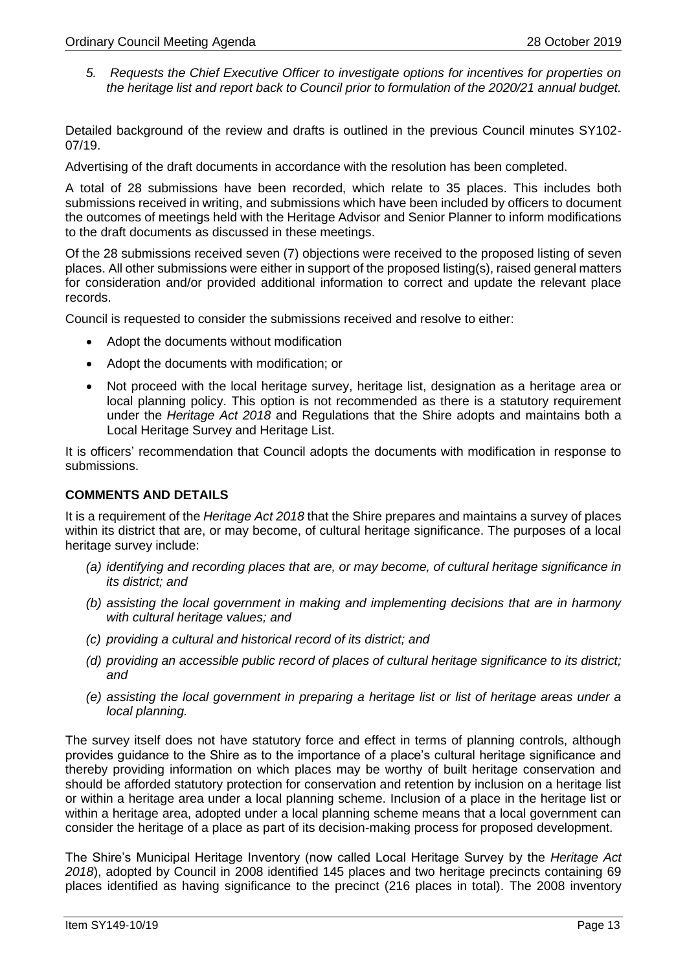*5. Requests the Chief Executive Officer to investigate options for incentives for properties on the heritage list and report back to Council prior to formulation of the 2020/21 annual budget.*

Detailed background of the review and drafts is outlined in the previous Council minutes SY102- 07/19.

Advertising of the draft documents in accordance with the resolution has been completed.

A total of 28 submissions have been recorded, which relate to 35 places. This includes both submissions received in writing, and submissions which have been included by officers to document the outcomes of meetings held with the Heritage Advisor and Senior Planner to inform modifications to the draft documents as discussed in these meetings.

Of the 28 submissions received seven (7) objections were received to the proposed listing of seven places. All other submissions were either in support of the proposed listing(s), raised general matters for consideration and/or provided additional information to correct and update the relevant place records.

Council is requested to consider the submissions received and resolve to either:

- Adopt the documents without modification
- Adopt the documents with modification; or
- Not proceed with the local heritage survey, heritage list, designation as a heritage area or local planning policy. This option is not recommended as there is a statutory requirement under the *Heritage Act 2018* and Regulations that the Shire adopts and maintains both a Local Heritage Survey and Heritage List.

It is officers' recommendation that Council adopts the documents with modification in response to submissions.

# **COMMENTS AND DETAILS**

It is a requirement of the *Heritage Act 2018* that the Shire prepares and maintains a survey of places within its district that are, or may become, of cultural heritage significance. The purposes of a local heritage survey include:

- *(a) identifying and recording places that are, or may become, of cultural heritage significance in its district; and*
- *(b) assisting the local government in making and implementing decisions that are in harmony with cultural heritage values; and*
- *(c) providing a cultural and historical record of its district; and*
- *(d) providing an accessible public record of places of cultural heritage significance to its district; and*
- *(e) assisting the local government in preparing a heritage list or list of heritage areas under a local planning.*

The survey itself does not have statutory force and effect in terms of planning controls, although provides guidance to the Shire as to the importance of a place's cultural heritage significance and thereby providing information on which places may be worthy of built heritage conservation and should be afforded statutory protection for conservation and retention by inclusion on a heritage list or within a heritage area under a local planning scheme. Inclusion of a place in the heritage list or within a heritage area, adopted under a local planning scheme means that a local government can consider the heritage of a place as part of its decision-making process for proposed development.

The Shire's Municipal Heritage Inventory (now called Local Heritage Survey by the *Heritage Act 2018*), adopted by Council in 2008 identified 145 places and two heritage precincts containing 69 places identified as having significance to the precinct (216 places in total). The 2008 inventory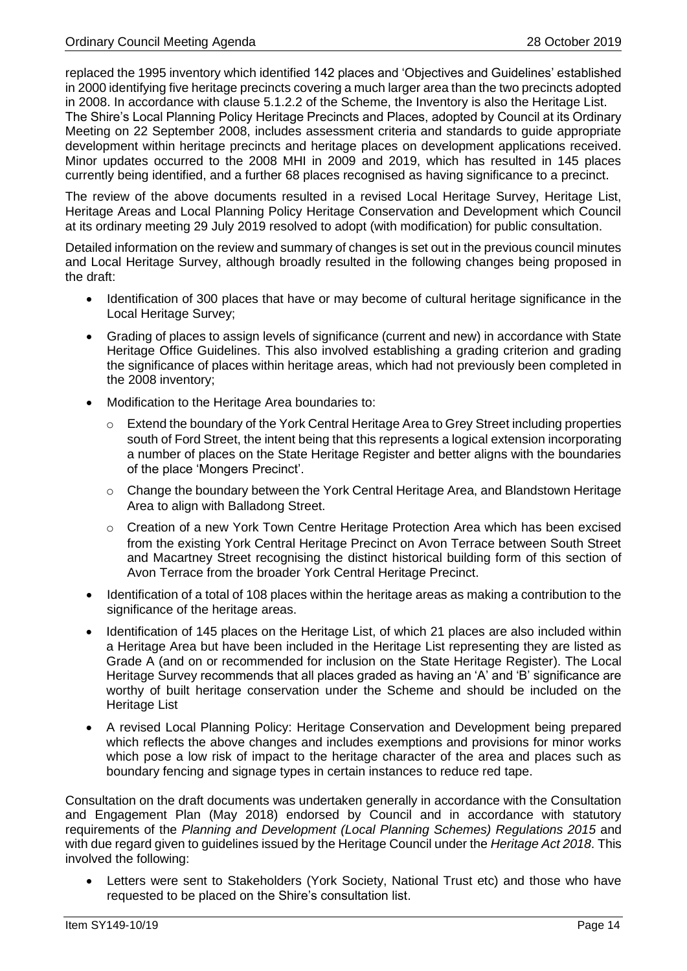replaced the 1995 inventory which identified 142 places and 'Objectives and Guidelines' established in 2000 identifying five heritage precincts covering a much larger area than the two precincts adopted in 2008. In accordance with clause 5.1.2.2 of the Scheme, the Inventory is also the Heritage List.

The Shire's Local Planning Policy Heritage Precincts and Places, adopted by Council at its Ordinary Meeting on 22 September 2008, includes assessment criteria and standards to guide appropriate development within heritage precincts and heritage places on development applications received. Minor updates occurred to the 2008 MHI in 2009 and 2019, which has resulted in 145 places currently being identified, and a further 68 places recognised as having significance to a precinct.

The review of the above documents resulted in a revised Local Heritage Survey, Heritage List, Heritage Areas and Local Planning Policy Heritage Conservation and Development which Council at its ordinary meeting 29 July 2019 resolved to adopt (with modification) for public consultation.

Detailed information on the review and summary of changes is set out in the previous council minutes and Local Heritage Survey, although broadly resulted in the following changes being proposed in the draft:

- Identification of 300 places that have or may become of cultural heritage significance in the Local Heritage Survey;
- Grading of places to assign levels of significance (current and new) in accordance with State Heritage Office Guidelines. This also involved establishing a grading criterion and grading the significance of places within heritage areas, which had not previously been completed in the 2008 inventory;
- Modification to the Heritage Area boundaries to:
	- Extend the boundary of the York Central Heritage Area to Grey Street including properties south of Ford Street, the intent being that this represents a logical extension incorporating a number of places on the State Heritage Register and better aligns with the boundaries of the place 'Mongers Precinct'.
	- o Change the boundary between the York Central Heritage Area, and Blandstown Heritage Area to align with Balladong Street.
	- $\circ$  Creation of a new York Town Centre Heritage Protection Area which has been excised from the existing York Central Heritage Precinct on Avon Terrace between South Street and Macartney Street recognising the distinct historical building form of this section of Avon Terrace from the broader York Central Heritage Precinct.
- Identification of a total of 108 places within the heritage areas as making a contribution to the significance of the heritage areas.
- Identification of 145 places on the Heritage List, of which 21 places are also included within a Heritage Area but have been included in the Heritage List representing they are listed as Grade A (and on or recommended for inclusion on the State Heritage Register). The Local Heritage Survey recommends that all places graded as having an 'A' and 'B' significance are worthy of built heritage conservation under the Scheme and should be included on the Heritage List
- A revised Local Planning Policy: Heritage Conservation and Development being prepared which reflects the above changes and includes exemptions and provisions for minor works which pose a low risk of impact to the heritage character of the area and places such as boundary fencing and signage types in certain instances to reduce red tape.

Consultation on the draft documents was undertaken generally in accordance with the Consultation and Engagement Plan (May 2018) endorsed by Council and in accordance with statutory requirements of the *Planning and Development (Local Planning Schemes) Regulations 2015* and with due regard given to guidelines issued by the Heritage Council under the *Heritage Act 2018*. This involved the following:

Letters were sent to Stakeholders (York Society, National Trust etc) and those who have requested to be placed on the Shire's consultation list.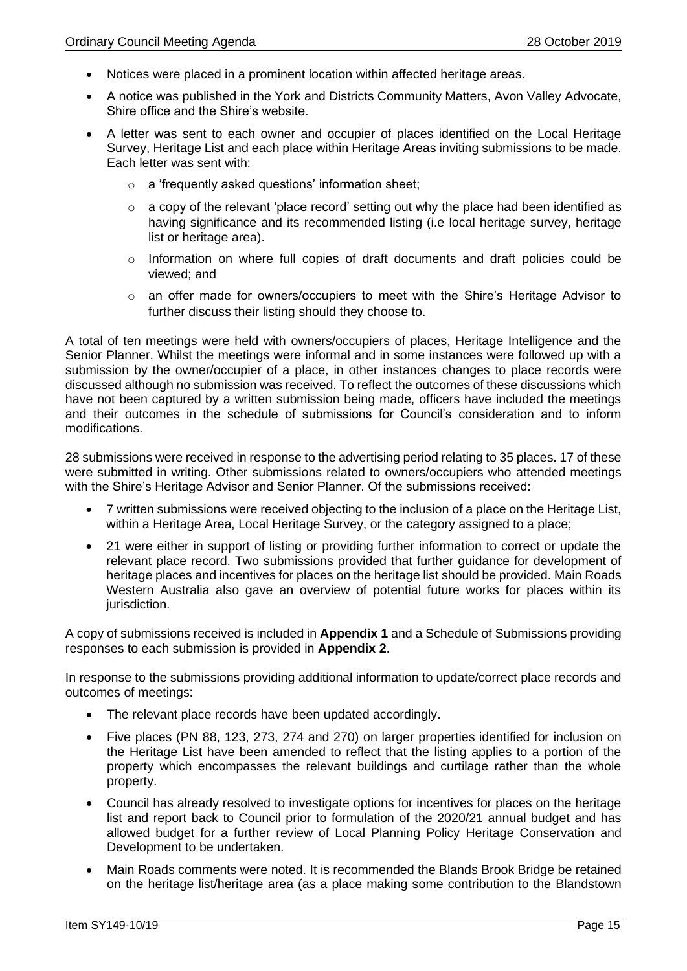- Notices were placed in a prominent location within affected heritage areas.
- A notice was published in the York and Districts Community Matters, Avon Valley Advocate, Shire office and the Shire's website.
- A letter was sent to each owner and occupier of places identified on the Local Heritage Survey, Heritage List and each place within Heritage Areas inviting submissions to be made. Each letter was sent with:
	- o a 'frequently asked questions' information sheet;
	- $\circ$  a copy of the relevant 'place record' setting out why the place had been identified as having significance and its recommended listing (i.e local heritage survey, heritage list or heritage area).
	- o Information on where full copies of draft documents and draft policies could be viewed; and
	- o an offer made for owners/occupiers to meet with the Shire's Heritage Advisor to further discuss their listing should they choose to.

A total of ten meetings were held with owners/occupiers of places, Heritage Intelligence and the Senior Planner. Whilst the meetings were informal and in some instances were followed up with a submission by the owner/occupier of a place, in other instances changes to place records were discussed although no submission was received. To reflect the outcomes of these discussions which have not been captured by a written submission being made, officers have included the meetings and their outcomes in the schedule of submissions for Council's consideration and to inform modifications.

28 submissions were received in response to the advertising period relating to 35 places. 17 of these were submitted in writing. Other submissions related to owners/occupiers who attended meetings with the Shire's Heritage Advisor and Senior Planner. Of the submissions received:

- 7 written submissions were received objecting to the inclusion of a place on the Heritage List, within a Heritage Area, Local Heritage Survey, or the category assigned to a place;
- 21 were either in support of listing or providing further information to correct or update the relevant place record. Two submissions provided that further guidance for development of heritage places and incentives for places on the heritage list should be provided. Main Roads Western Australia also gave an overview of potential future works for places within its jurisdiction.

A copy of submissions received is included in **Appendix 1** and a Schedule of Submissions providing responses to each submission is provided in **Appendix 2**.

In response to the submissions providing additional information to update/correct place records and outcomes of meetings:

- The relevant place records have been updated accordingly.
- Five places (PN 88, 123, 273, 274 and 270) on larger properties identified for inclusion on the Heritage List have been amended to reflect that the listing applies to a portion of the property which encompasses the relevant buildings and curtilage rather than the whole property.
- Council has already resolved to investigate options for incentives for places on the heritage list and report back to Council prior to formulation of the 2020/21 annual budget and has allowed budget for a further review of Local Planning Policy Heritage Conservation and Development to be undertaken.
- Main Roads comments were noted. It is recommended the Blands Brook Bridge be retained on the heritage list/heritage area (as a place making some contribution to the Blandstown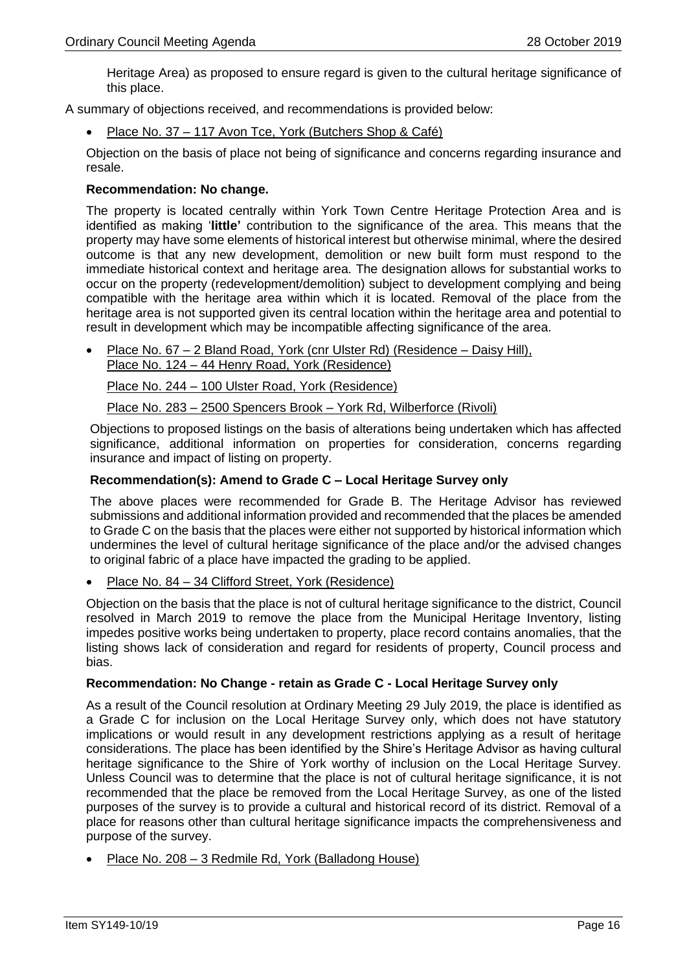Heritage Area) as proposed to ensure regard is given to the cultural heritage significance of this place.

A summary of objections received, and recommendations is provided below:

Place No. 37 – 117 Avon Tce, York (Butchers Shop & Café)

Objection on the basis of place not being of significance and concerns regarding insurance and resale.

# **Recommendation: No change.**

The property is located centrally within York Town Centre Heritage Protection Area and is identified as making '**little'** contribution to the significance of the area. This means that the property may have some elements of historical interest but otherwise minimal, where the desired outcome is that any new development, demolition or new built form must respond to the immediate historical context and heritage area. The designation allows for substantial works to occur on the property (redevelopment/demolition) subject to development complying and being compatible with the heritage area within which it is located. Removal of the place from the heritage area is not supported given its central location within the heritage area and potential to result in development which may be incompatible affecting significance of the area.

• Place No. 67 – 2 Bland Road, York (cnr Ulster Rd) (Residence – Daisy Hill), Place No. 124 – 44 Henry Road, York (Residence)

Place No. 244 – 100 Ulster Road, York (Residence)

Place No. 283 – 2500 Spencers Brook – York Rd, Wilberforce (Rivoli)

Objections to proposed listings on the basis of alterations being undertaken which has affected significance, additional information on properties for consideration, concerns regarding insurance and impact of listing on property.

### **Recommendation(s): Amend to Grade C – Local Heritage Survey only**

The above places were recommended for Grade B. The Heritage Advisor has reviewed submissions and additional information provided and recommended that the places be amended to Grade C on the basis that the places were either not supported by historical information which undermines the level of cultural heritage significance of the place and/or the advised changes to original fabric of a place have impacted the grading to be applied.

• Place No. 84 – 34 Clifford Street, York (Residence)

Objection on the basis that the place is not of cultural heritage significance to the district, Council resolved in March 2019 to remove the place from the Municipal Heritage Inventory, listing impedes positive works being undertaken to property, place record contains anomalies, that the listing shows lack of consideration and regard for residents of property, Council process and bias.

#### **Recommendation: No Change - retain as Grade C - Local Heritage Survey only**

As a result of the Council resolution at Ordinary Meeting 29 July 2019, the place is identified as a Grade C for inclusion on the Local Heritage Survey only, which does not have statutory implications or would result in any development restrictions applying as a result of heritage considerations. The place has been identified by the Shire's Heritage Advisor as having cultural heritage significance to the Shire of York worthy of inclusion on the Local Heritage Survey. Unless Council was to determine that the place is not of cultural heritage significance, it is not recommended that the place be removed from the Local Heritage Survey, as one of the listed purposes of the survey is to provide a cultural and historical record of its district. Removal of a place for reasons other than cultural heritage significance impacts the comprehensiveness and purpose of the survey.

• Place No. 208 – 3 Redmile Rd, York (Balladong House)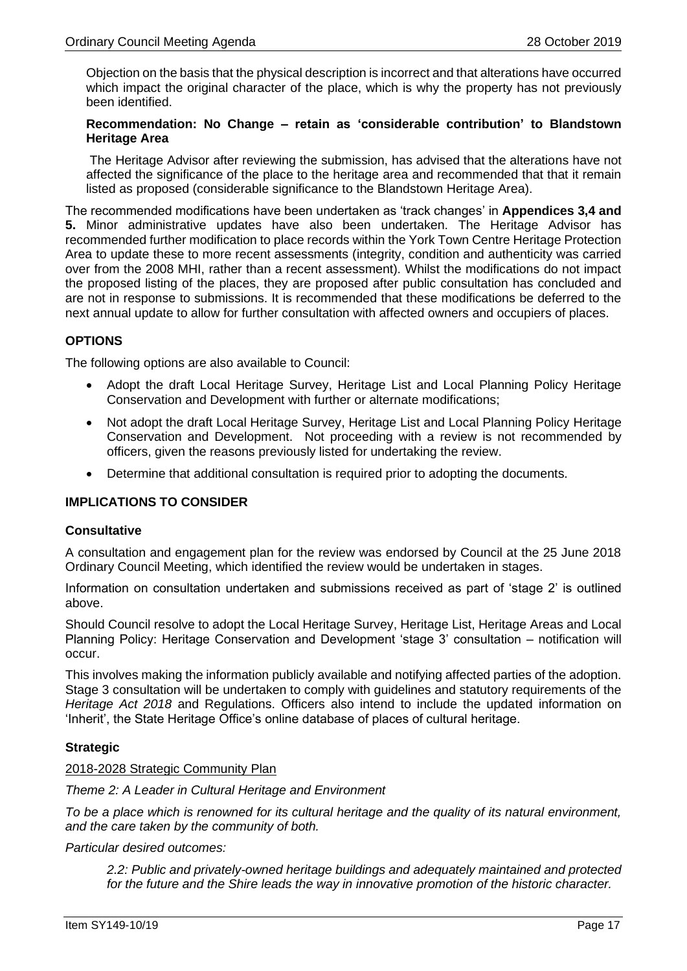Objection on the basis that the physical description is incorrect and that alterations have occurred which impact the original character of the place, which is why the property has not previously been identified.

# **Recommendation: No Change – retain as 'considerable contribution' to Blandstown Heritage Area**

The Heritage Advisor after reviewing the submission, has advised that the alterations have not affected the significance of the place to the heritage area and recommended that that it remain listed as proposed (considerable significance to the Blandstown Heritage Area).

The recommended modifications have been undertaken as 'track changes' in **Appendices 3,4 and 5.** Minor administrative updates have also been undertaken. The Heritage Advisor has recommended further modification to place records within the York Town Centre Heritage Protection Area to update these to more recent assessments (integrity, condition and authenticity was carried over from the 2008 MHI, rather than a recent assessment). Whilst the modifications do not impact the proposed listing of the places, they are proposed after public consultation has concluded and are not in response to submissions. It is recommended that these modifications be deferred to the next annual update to allow for further consultation with affected owners and occupiers of places.

# **OPTIONS**

The following options are also available to Council:

- Adopt the draft Local Heritage Survey, Heritage List and Local Planning Policy Heritage Conservation and Development with further or alternate modifications;
- Not adopt the draft Local Heritage Survey, Heritage List and Local Planning Policy Heritage Conservation and Development. Not proceeding with a review is not recommended by officers, given the reasons previously listed for undertaking the review.
- Determine that additional consultation is required prior to adopting the documents.

# **IMPLICATIONS TO CONSIDER**

#### **Consultative**

A consultation and engagement plan for the review was endorsed by Council at the 25 June 2018 Ordinary Council Meeting, which identified the review would be undertaken in stages.

Information on consultation undertaken and submissions received as part of 'stage 2' is outlined above.

Should Council resolve to adopt the Local Heritage Survey, Heritage List, Heritage Areas and Local Planning Policy: Heritage Conservation and Development 'stage 3' consultation – notification will occur.

This involves making the information publicly available and notifying affected parties of the adoption. Stage 3 consultation will be undertaken to comply with guidelines and statutory requirements of the *Heritage Act 2018* and Regulations. Officers also intend to include the updated information on 'Inherit', the State Heritage Office's online database of places of cultural heritage.

# **Strategic**

#### 2018-2028 Strategic Community Plan

*Theme 2: A Leader in Cultural Heritage and Environment*

*To be a place which is renowned for its cultural heritage and the quality of its natural environment, and the care taken by the community of both.* 

*Particular desired outcomes:*

*2.2: Public and privately-owned heritage buildings and adequately maintained and protected for the future and the Shire leads the way in innovative promotion of the historic character.*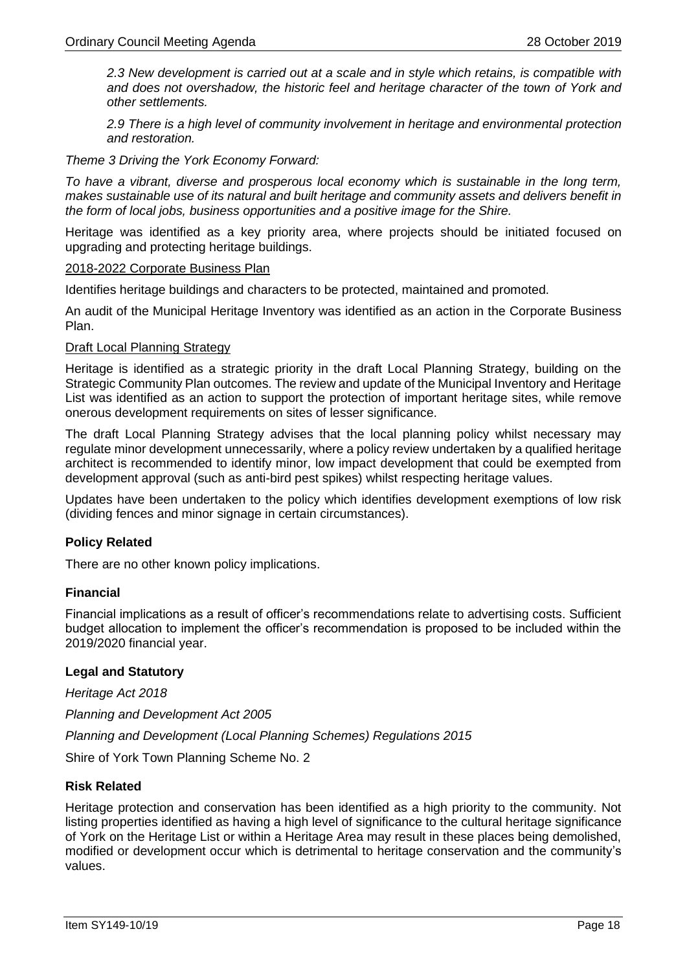*2.3 New development is carried out at a scale and in style which retains, is compatible with and does not overshadow, the historic feel and heritage character of the town of York and other settlements.*

*2.9 There is a high level of community involvement in heritage and environmental protection and restoration.*

*Theme 3 Driving the York Economy Forward:* 

*To have a vibrant, diverse and prosperous local economy which is sustainable in the long term, makes sustainable use of its natural and built heritage and community assets and delivers benefit in the form of local jobs, business opportunities and a positive image for the Shire.* 

Heritage was identified as a key priority area, where projects should be initiated focused on upgrading and protecting heritage buildings.

#### 2018-2022 Corporate Business Plan

Identifies heritage buildings and characters to be protected, maintained and promoted.

An audit of the Municipal Heritage Inventory was identified as an action in the Corporate Business Plan.

#### Draft Local Planning Strategy

Heritage is identified as a strategic priority in the draft Local Planning Strategy, building on the Strategic Community Plan outcomes. The review and update of the Municipal Inventory and Heritage List was identified as an action to support the protection of important heritage sites, while remove onerous development requirements on sites of lesser significance.

The draft Local Planning Strategy advises that the local planning policy whilst necessary may regulate minor development unnecessarily, where a policy review undertaken by a qualified heritage architect is recommended to identify minor, low impact development that could be exempted from development approval (such as anti-bird pest spikes) whilst respecting heritage values.

Updates have been undertaken to the policy which identifies development exemptions of low risk (dividing fences and minor signage in certain circumstances).

# **Policy Related**

There are no other known policy implications.

# **Financial**

Financial implications as a result of officer's recommendations relate to advertising costs. Sufficient budget allocation to implement the officer's recommendation is proposed to be included within the 2019/2020 financial year.

# **Legal and Statutory**

*Heritage Act 2018*

*Planning and Development Act 2005*

*Planning and Development (Local Planning Schemes) Regulations 2015*

Shire of York Town Planning Scheme No. 2

#### **Risk Related**

Heritage protection and conservation has been identified as a high priority to the community. Not listing properties identified as having a high level of significance to the cultural heritage significance of York on the Heritage List or within a Heritage Area may result in these places being demolished, modified or development occur which is detrimental to heritage conservation and the community's values.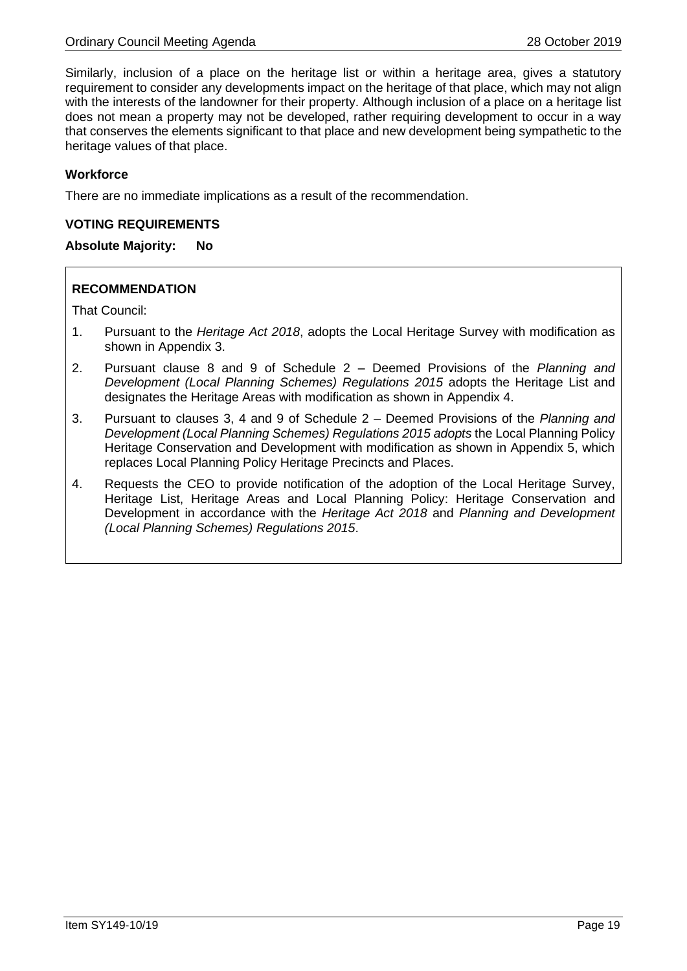Similarly, inclusion of a place on the heritage list or within a heritage area, gives a statutory requirement to consider any developments impact on the heritage of that place, which may not align with the interests of the landowner for their property. Although inclusion of a place on a heritage list does not mean a property may not be developed, rather requiring development to occur in a way that conserves the elements significant to that place and new development being sympathetic to the heritage values of that place.

# **Workforce**

There are no immediate implications as a result of the recommendation.

### **VOTING REQUIREMENTS**

# **Absolute Majority: No**

# **RECOMMENDATION**

That Council:

- 1. Pursuant to the *Heritage Act 2018*, adopts the Local Heritage Survey with modification as shown in Appendix 3.
- 2. Pursuant clause 8 and 9 of Schedule 2 Deemed Provisions of the *Planning and Development (Local Planning Schemes) Regulations 2015* adopts the Heritage List and designates the Heritage Areas with modification as shown in Appendix 4.
- 3. Pursuant to clauses 3, 4 and 9 of Schedule 2 Deemed Provisions of the *Planning and Development (Local Planning Schemes) Regulations 2015 adopts* the Local Planning Policy Heritage Conservation and Development with modification as shown in Appendix 5, which replaces Local Planning Policy Heritage Precincts and Places.
- 4. Requests the CEO to provide notification of the adoption of the Local Heritage Survey, Heritage List, Heritage Areas and Local Planning Policy: Heritage Conservation and Development in accordance with the *Heritage Act 2018* and *Planning and Development (Local Planning Schemes) Regulations 2015*.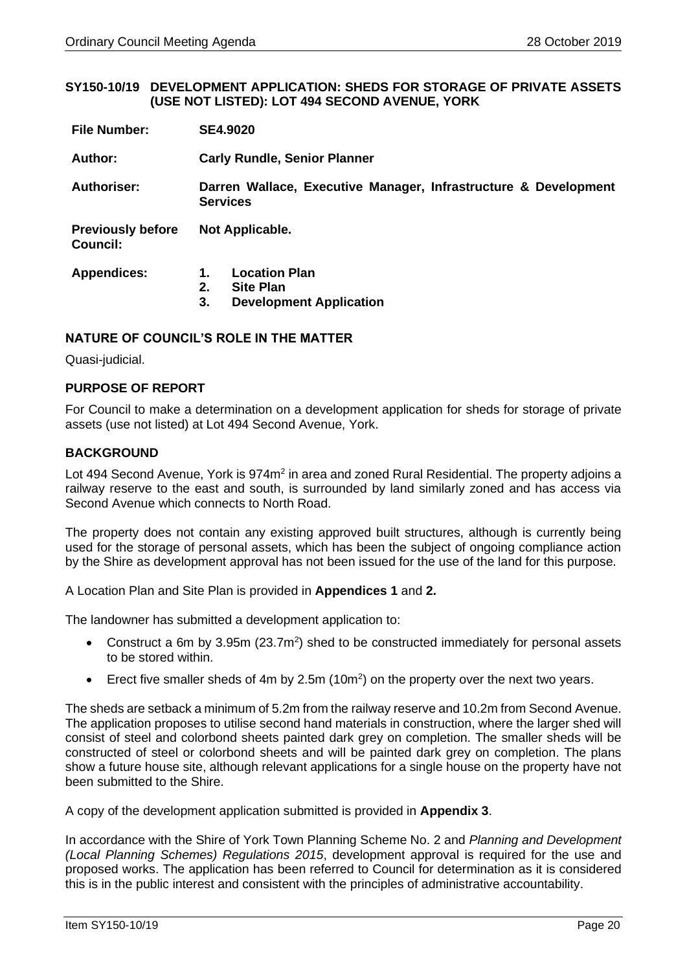#### <span id="page-19-0"></span>**SY150-10/19 DEVELOPMENT APPLICATION: SHEDS FOR STORAGE OF PRIVATE ASSETS (USE NOT LISTED): LOT 494 SECOND AVENUE, YORK**

| <b>File Number:</b>                  | <b>SE4.9020</b>                                                                              |  |  |
|--------------------------------------|----------------------------------------------------------------------------------------------|--|--|
| Author:                              | <b>Carly Rundle, Senior Planner</b>                                                          |  |  |
| <b>Authoriser:</b>                   | Darren Wallace, Executive Manager, Infrastructure & Development<br><b>Services</b>           |  |  |
| <b>Previously before</b><br>Council: | Not Applicable.                                                                              |  |  |
| <b>Appendices:</b>                   | <b>Location Plan</b><br>1.<br>2.<br><b>Site Plan</b><br>3.<br><b>Development Application</b> |  |  |

# **NATURE OF COUNCIL'S ROLE IN THE MATTER**

Quasi-judicial.

# **PURPOSE OF REPORT**

For Council to make a determination on a development application for sheds for storage of private assets (use not listed) at Lot 494 Second Avenue, York.

# **BACKGROUND**

Lot 494 Second Avenue, York is 974m<sup>2</sup> in area and zoned Rural Residential. The property adjoins a railway reserve to the east and south, is surrounded by land similarly zoned and has access via Second Avenue which connects to North Road.

The property does not contain any existing approved built structures, although is currently being used for the storage of personal assets, which has been the subject of ongoing compliance action by the Shire as development approval has not been issued for the use of the land for this purpose.

A Location Plan and Site Plan is provided in **Appendices 1** and **2.**

The landowner has submitted a development application to:

- Construct a 6m by 3.95m ( $23.7m<sup>2</sup>$ ) shed to be constructed immediately for personal assets to be stored within.
- Erect five smaller sheds of 4m by 2.5m (10m<sup>2</sup>) on the property over the next two years.

The sheds are setback a minimum of 5.2m from the railway reserve and 10.2m from Second Avenue. The application proposes to utilise second hand materials in construction, where the larger shed will consist of steel and colorbond sheets painted dark grey on completion. The smaller sheds will be constructed of steel or colorbond sheets and will be painted dark grey on completion. The plans show a future house site, although relevant applications for a single house on the property have not been submitted to the Shire.

A copy of the development application submitted is provided in **Appendix 3**.

In accordance with the Shire of York Town Planning Scheme No. 2 and *Planning and Development (Local Planning Schemes) Regulations 2015*, development approval is required for the use and proposed works. The application has been referred to Council for determination as it is considered this is in the public interest and consistent with the principles of administrative accountability.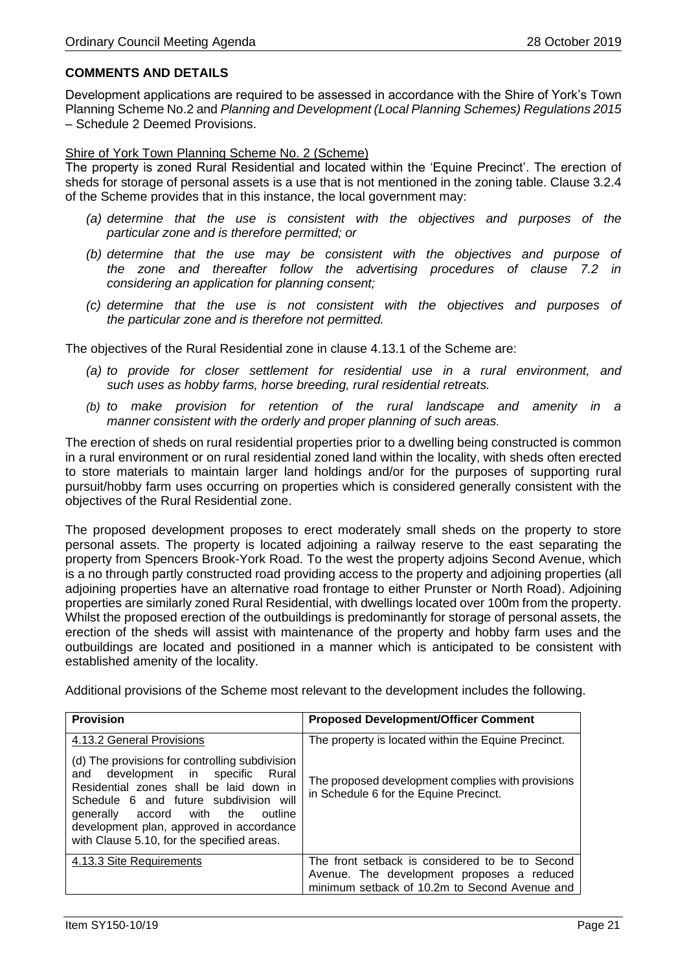# **COMMENTS AND DETAILS**

Development applications are required to be assessed in accordance with the Shire of York's Town Planning Scheme No.2 and *Planning and Development (Local Planning Schemes) Regulations 2015* – Schedule 2 Deemed Provisions.

#### Shire of York Town Planning Scheme No. 2 (Scheme)

The property is zoned Rural Residential and located within the 'Equine Precinct'. The erection of sheds for storage of personal assets is a use that is not mentioned in the zoning table. Clause 3.2.4 of the Scheme provides that in this instance, the local government may:

- *(a) determine that the use is consistent with the objectives and purposes of the particular zone and is therefore permitted; or*
- *(b) determine that the use may be consistent with the objectives and purpose of the zone and thereafter follow the advertising procedures of clause 7.2 in considering an application for planning consent;*
- *(c) determine that the use is not consistent with the objectives and purposes of the particular zone and is therefore not permitted.*

The objectives of the Rural Residential zone in clause 4.13.1 of the Scheme are:

- *(a) to provide for closer settlement for residential use in a rural environment, and such uses as hobby farms, horse breeding, rural residential retreats.*
- *(b) to make provision for retention of the rural landscape and amenity in a manner consistent with the orderly and proper planning of such areas.*

The erection of sheds on rural residential properties prior to a dwelling being constructed is common in a rural environment or on rural residential zoned land within the locality, with sheds often erected to store materials to maintain larger land holdings and/or for the purposes of supporting rural pursuit/hobby farm uses occurring on properties which is considered generally consistent with the objectives of the Rural Residential zone.

The proposed development proposes to erect moderately small sheds on the property to store personal assets. The property is located adjoining a railway reserve to the east separating the property from Spencers Brook-York Road. To the west the property adjoins Second Avenue, which is a no through partly constructed road providing access to the property and adjoining properties (all adjoining properties have an alternative road frontage to either Prunster or North Road). Adjoining properties are similarly zoned Rural Residential, with dwellings located over 100m from the property. Whilst the proposed erection of the outbuildings is predominantly for storage of personal assets, the erection of the sheds will assist with maintenance of the property and hobby farm uses and the outbuildings are located and positioned in a manner which is anticipated to be consistent with established amenity of the locality.

Additional provisions of the Scheme most relevant to the development includes the following.

| <b>Provision</b>                                                                                                                                                                                                                                                                                              | <b>Proposed Development/Officer Comment</b>                                                 |
|---------------------------------------------------------------------------------------------------------------------------------------------------------------------------------------------------------------------------------------------------------------------------------------------------------------|---------------------------------------------------------------------------------------------|
| 4.13.2 General Provisions                                                                                                                                                                                                                                                                                     | The property is located within the Equine Precinct.                                         |
| (d) The provisions for controlling subdivision<br>and development in specific<br>Rural<br>Residential zones shall be laid down in<br>Schedule 6 and future subdivision will<br>generally accord with the<br>outline<br>development plan, approved in accordance<br>with Clause 5.10, for the specified areas. | The proposed development complies with provisions<br>in Schedule 6 for the Equine Precinct. |
| 4.13.3 Site Requirements                                                                                                                                                                                                                                                                                      | The front setback is considered to be to Second                                             |
|                                                                                                                                                                                                                                                                                                               | Avenue. The development proposes a reduced<br>minimum setback of 10.2m to Second Avenue and |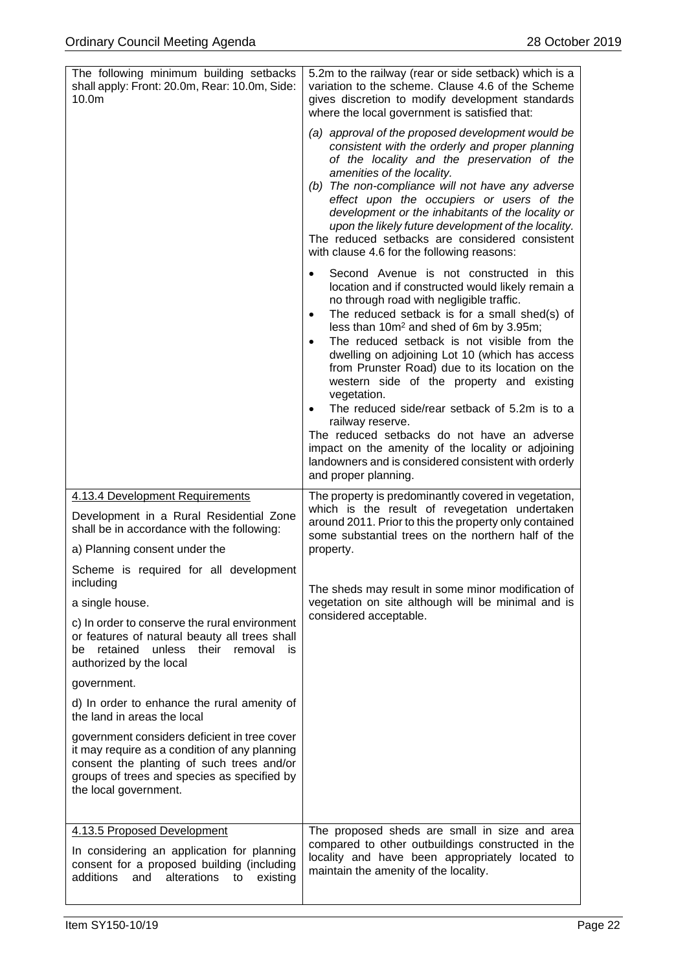| The following minimum building setbacks<br>shall apply: Front: 20.0m, Rear: 10.0m, Side:<br>10.0 <sub>m</sub>                                                                                                      | 5.2m to the railway (rear or side setback) which is a<br>variation to the scheme. Clause 4.6 of the Scheme<br>gives discretion to modify development standards<br>where the local government is satisfied that:<br>(a) approval of the proposed development would be<br>consistent with the orderly and proper planning<br>of the locality and the preservation of the<br>amenities of the locality.<br>(b) The non-compliance will not have any adverse<br>effect upon the occupiers or users of the<br>development or the inhabitants of the locality or<br>upon the likely future development of the locality.<br>The reduced setbacks are considered consistent<br>with clause 4.6 for the following reasons:<br>Second Avenue is not constructed in this<br>$\bullet$<br>location and if constructed would likely remain a<br>no through road with negligible traffic.<br>The reduced setback is for a small shed(s) of<br>$\bullet$<br>less than 10m <sup>2</sup> and shed of 6m by 3.95m;<br>The reduced setback is not visible from the<br>$\bullet$<br>dwelling on adjoining Lot 10 (which has access<br>from Prunster Road) due to its location on the<br>western side of the property and existing<br>vegetation.<br>The reduced side/rear setback of 5.2m is to a<br>٠<br>railway reserve.<br>The reduced setbacks do not have an adverse<br>impact on the amenity of the locality or adjoining<br>landowners and is considered consistent with orderly<br>and proper planning. |
|--------------------------------------------------------------------------------------------------------------------------------------------------------------------------------------------------------------------|---------------------------------------------------------------------------------------------------------------------------------------------------------------------------------------------------------------------------------------------------------------------------------------------------------------------------------------------------------------------------------------------------------------------------------------------------------------------------------------------------------------------------------------------------------------------------------------------------------------------------------------------------------------------------------------------------------------------------------------------------------------------------------------------------------------------------------------------------------------------------------------------------------------------------------------------------------------------------------------------------------------------------------------------------------------------------------------------------------------------------------------------------------------------------------------------------------------------------------------------------------------------------------------------------------------------------------------------------------------------------------------------------------------------------------------------------------------------------------------------|
| 4.13.4 Development Requirements<br>Development in a Rural Residential Zone<br>shall be in accordance with the following:<br>a) Planning consent under the                                                          | The property is predominantly covered in vegetation,<br>which is the result of revegetation undertaken<br>around 2011. Prior to this the property only contained<br>some substantial trees on the northern half of the<br>property.                                                                                                                                                                                                                                                                                                                                                                                                                                                                                                                                                                                                                                                                                                                                                                                                                                                                                                                                                                                                                                                                                                                                                                                                                                                         |
| Scheme is required for all development<br>including                                                                                                                                                                | The sheds may result in some minor modification of                                                                                                                                                                                                                                                                                                                                                                                                                                                                                                                                                                                                                                                                                                                                                                                                                                                                                                                                                                                                                                                                                                                                                                                                                                                                                                                                                                                                                                          |
| a single house.                                                                                                                                                                                                    | vegetation on site although will be minimal and is<br>considered acceptable.                                                                                                                                                                                                                                                                                                                                                                                                                                                                                                                                                                                                                                                                                                                                                                                                                                                                                                                                                                                                                                                                                                                                                                                                                                                                                                                                                                                                                |
| c) In order to conserve the rural environment<br>or features of natural beauty all trees shall<br>retained<br>unless<br>their<br>removal<br>be<br>is<br>authorized by the local                                    |                                                                                                                                                                                                                                                                                                                                                                                                                                                                                                                                                                                                                                                                                                                                                                                                                                                                                                                                                                                                                                                                                                                                                                                                                                                                                                                                                                                                                                                                                             |
| government.                                                                                                                                                                                                        |                                                                                                                                                                                                                                                                                                                                                                                                                                                                                                                                                                                                                                                                                                                                                                                                                                                                                                                                                                                                                                                                                                                                                                                                                                                                                                                                                                                                                                                                                             |
| d) In order to enhance the rural amenity of<br>the land in areas the local                                                                                                                                         |                                                                                                                                                                                                                                                                                                                                                                                                                                                                                                                                                                                                                                                                                                                                                                                                                                                                                                                                                                                                                                                                                                                                                                                                                                                                                                                                                                                                                                                                                             |
| government considers deficient in tree cover<br>it may require as a condition of any planning<br>consent the planting of such trees and/or<br>groups of trees and species as specified by<br>the local government. |                                                                                                                                                                                                                                                                                                                                                                                                                                                                                                                                                                                                                                                                                                                                                                                                                                                                                                                                                                                                                                                                                                                                                                                                                                                                                                                                                                                                                                                                                             |
| 4.13.5 Proposed Development<br>In considering an application for planning<br>consent for a proposed building (including<br>additions<br>alterations to<br>and<br>existing                                          | The proposed sheds are small in size and area<br>compared to other outbuildings constructed in the<br>locality and have been appropriately located to<br>maintain the amenity of the locality.                                                                                                                                                                                                                                                                                                                                                                                                                                                                                                                                                                                                                                                                                                                                                                                                                                                                                                                                                                                                                                                                                                                                                                                                                                                                                              |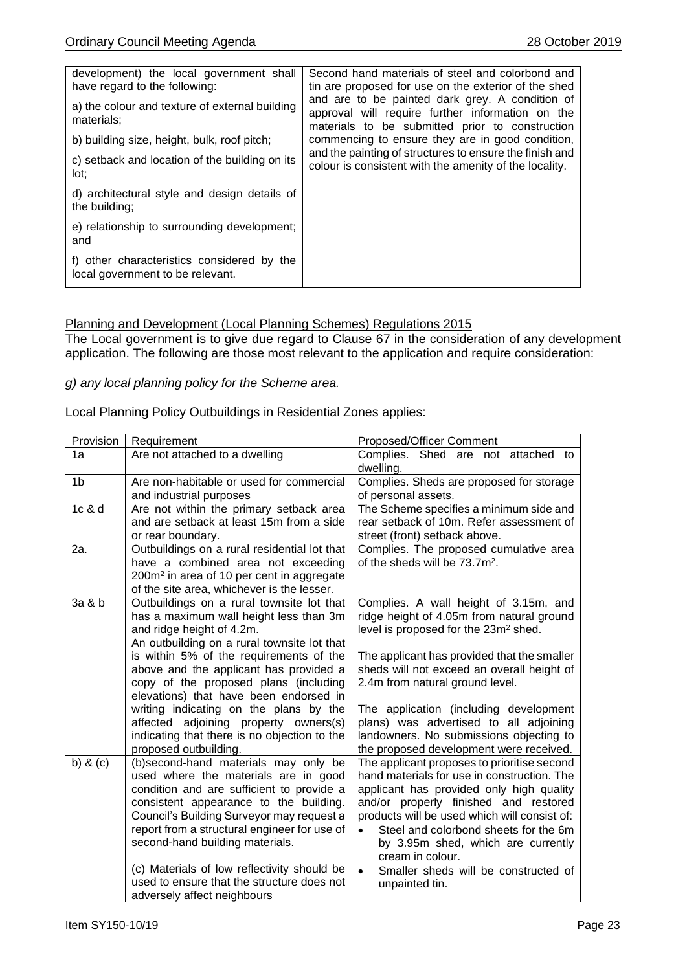| development) the local government shall                                        | Second hand materials of steel and colorbond and                                                                                                       |
|--------------------------------------------------------------------------------|--------------------------------------------------------------------------------------------------------------------------------------------------------|
| have regard to the following:                                                  | tin are proposed for use on the exterior of the shed                                                                                                   |
| a) the colour and texture of external building<br>materials:                   | and are to be painted dark grey. A condition of<br>approval will require further information on the<br>materials to be submitted prior to construction |
| b) building size, height, bulk, roof pitch;                                    | commencing to ensure they are in good condition,                                                                                                       |
| c) setback and location of the building on its<br>lot:                         | and the painting of structures to ensure the finish and<br>colour is consistent with the amenity of the locality.                                      |
| d) architectural style and design details of<br>the building;                  |                                                                                                                                                        |
| e) relationship to surrounding development;<br>and                             |                                                                                                                                                        |
| f) other characteristics considered by the<br>local government to be relevant. |                                                                                                                                                        |

# Planning and Development (Local Planning Schemes) Regulations 2015

The Local government is to give due regard to Clause 67 in the consideration of any development application. The following are those most relevant to the application and require consideration:

#### *g) any local planning policy for the Scheme area.*

### Local Planning Policy Outbuildings in Residential Zones applies:

| Provision      | Requirement                                                                         | Proposed/Officer Comment                                                              |
|----------------|-------------------------------------------------------------------------------------|---------------------------------------------------------------------------------------|
| 1a             | Are not attached to a dwelling                                                      | Complies. Shed are not attached to<br>dwelling.                                       |
| 1 <sub>b</sub> | Are non-habitable or used for commercial                                            | Complies. Sheds are proposed for storage                                              |
|                | and industrial purposes                                                             | of personal assets.                                                                   |
| 1c & d         | Are not within the primary setback area                                             | The Scheme specifies a minimum side and                                               |
|                | and are setback at least 15m from a side                                            | rear setback of 10m. Refer assessment of                                              |
|                | or rear boundary.                                                                   | street (front) setback above.                                                         |
| 2a.            | Outbuildings on a rural residential lot that                                        | Complies. The proposed cumulative area                                                |
|                | have a combined area not exceeding                                                  | of the sheds will be 73.7m <sup>2</sup> .                                             |
|                | 200m <sup>2</sup> in area of 10 per cent in aggregate                               |                                                                                       |
| 3a & b         | of the site area, whichever is the lesser.                                          |                                                                                       |
|                | Outbuildings on a rural townsite lot that<br>has a maximum wall height less than 3m | Complies. A wall height of 3.15m, and<br>ridge height of 4.05m from natural ground    |
|                | and ridge height of 4.2m.                                                           | level is proposed for the 23m <sup>2</sup> shed.                                      |
|                | An outbuilding on a rural townsite lot that                                         |                                                                                       |
|                | is within 5% of the requirements of the                                             | The applicant has provided that the smaller                                           |
|                | above and the applicant has provided a                                              | sheds will not exceed an overall height of                                            |
|                | copy of the proposed plans (including                                               | 2.4m from natural ground level.                                                       |
|                | elevations) that have been endorsed in                                              |                                                                                       |
|                | writing indicating on the plans by the                                              | The application (including development                                                |
|                | affected adjoining property owners(s)                                               | plans) was advertised to all adjoining                                                |
|                | indicating that there is no objection to the                                        | landowners. No submissions objecting to                                               |
|                | proposed outbuilding.                                                               | the proposed development were received.                                               |
| b) $&$ (c)     | (b)second-hand materials may only be                                                | The applicant proposes to prioritise second                                           |
|                | used where the materials are in good                                                | hand materials for use in construction. The                                           |
|                | condition and are sufficient to provide a                                           | applicant has provided only high quality                                              |
|                | consistent appearance to the building.<br>Council's Building Surveyor may request a | and/or properly finished and restored<br>products will be used which will consist of: |
|                | report from a structural engineer for use of                                        | Steel and colorbond sheets for the 6m                                                 |
|                | second-hand building materials.                                                     | by 3.95m shed, which are currently                                                    |
|                |                                                                                     | cream in colour.                                                                      |
|                | (c) Materials of low reflectivity should be                                         | Smaller sheds will be constructed of<br>$\bullet$                                     |
|                | used to ensure that the structure does not                                          | unpainted tin.                                                                        |
|                | adversely affect neighbours                                                         |                                                                                       |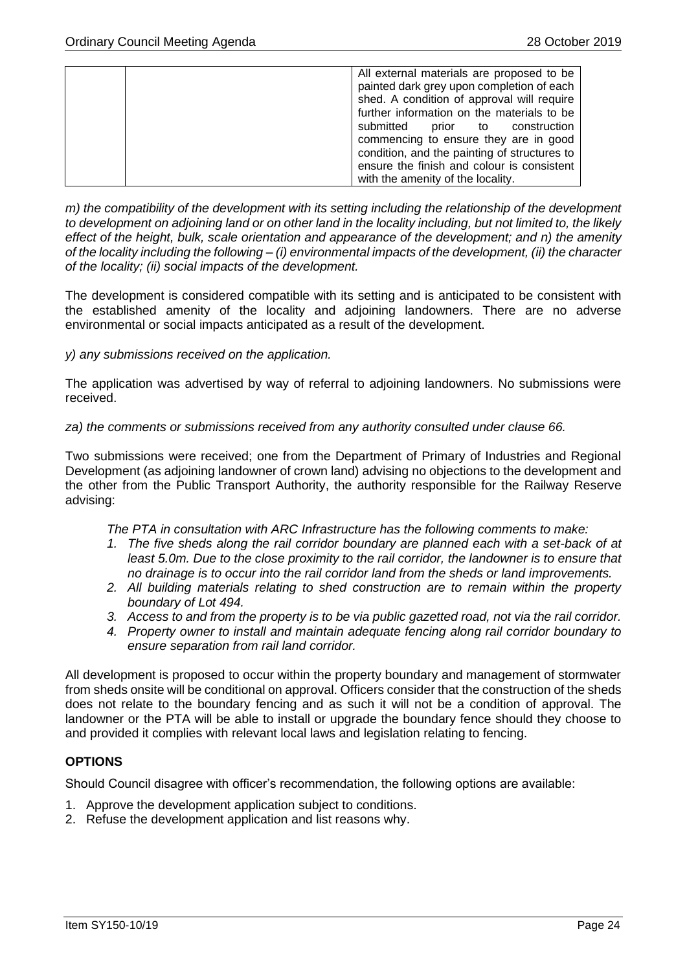| All external materials are proposed to be    |
|----------------------------------------------|
| painted dark grey upon completion of each    |
|                                              |
| shed. A condition of approval will require   |
| further information on the materials to be   |
| submitted<br>prior to<br>construction        |
| commencing to ensure they are in good        |
| condition, and the painting of structures to |
| ensure the finish and colour is consistent   |
| with the amenity of the locality.            |

*m) the compatibility of the development with its setting including the relationship of the development to development on adjoining land or on other land in the locality including, but not limited to, the likely effect of the height, bulk, scale orientation and appearance of the development; and n) the amenity of the locality including the following – (i) environmental impacts of the development, (ii) the character of the locality; (ii) social impacts of the development.*

The development is considered compatible with its setting and is anticipated to be consistent with the established amenity of the locality and adjoining landowners. There are no adverse environmental or social impacts anticipated as a result of the development.

#### *y) any submissions received on the application.*

The application was advertised by way of referral to adjoining landowners. No submissions were received.

#### *za) the comments or submissions received from any authority consulted under clause 66.*

Two submissions were received; one from the Department of Primary of Industries and Regional Development (as adjoining landowner of crown land) advising no objections to the development and the other from the Public Transport Authority, the authority responsible for the Railway Reserve advising:

*The PTA in consultation with ARC Infrastructure has the following comments to make:*

- *1. The five sheds along the rail corridor boundary are planned each with a set-back of at least 5.0m. Due to the close proximity to the rail corridor, the landowner is to ensure that no drainage is to occur into the rail corridor land from the sheds or land improvements.*
- *2. All building materials relating to shed construction are to remain within the property boundary of Lot 494.*
- *3. Access to and from the property is to be via public gazetted road, not via the rail corridor.*
- *4. Property owner to install and maintain adequate fencing along rail corridor boundary to ensure separation from rail land corridor.*

All development is proposed to occur within the property boundary and management of stormwater from sheds onsite will be conditional on approval. Officers consider that the construction of the sheds does not relate to the boundary fencing and as such it will not be a condition of approval. The landowner or the PTA will be able to install or upgrade the boundary fence should they choose to and provided it complies with relevant local laws and legislation relating to fencing.

# **OPTIONS**

Should Council disagree with officer's recommendation, the following options are available:

- 1. Approve the development application subject to conditions.
- 2. Refuse the development application and list reasons why.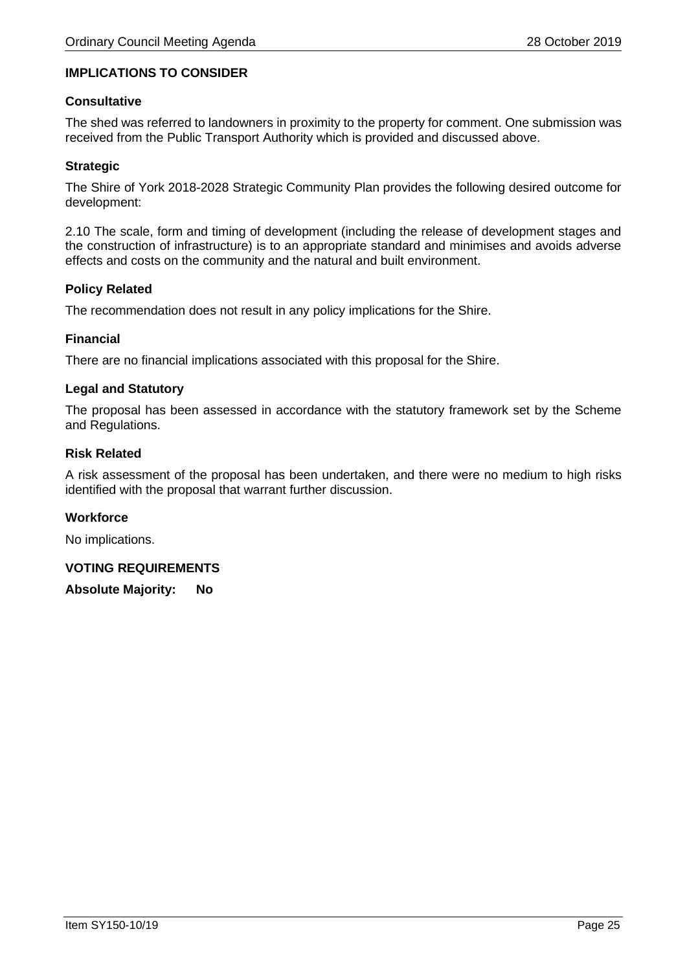# **IMPLICATIONS TO CONSIDER**

#### **Consultative**

The shed was referred to landowners in proximity to the property for comment. One submission was received from the Public Transport Authority which is provided and discussed above.

### **Strategic**

The Shire of York 2018-2028 Strategic Community Plan provides the following desired outcome for development:

2.10 The scale, form and timing of development (including the release of development stages and the construction of infrastructure) is to an appropriate standard and minimises and avoids adverse effects and costs on the community and the natural and built environment.

#### **Policy Related**

The recommendation does not result in any policy implications for the Shire.

#### **Financial**

There are no financial implications associated with this proposal for the Shire.

# **Legal and Statutory**

The proposal has been assessed in accordance with the statutory framework set by the Scheme and Regulations.

#### **Risk Related**

A risk assessment of the proposal has been undertaken, and there were no medium to high risks identified with the proposal that warrant further discussion.

#### **Workforce**

No implications.

#### **VOTING REQUIREMENTS**

**Absolute Majority: No**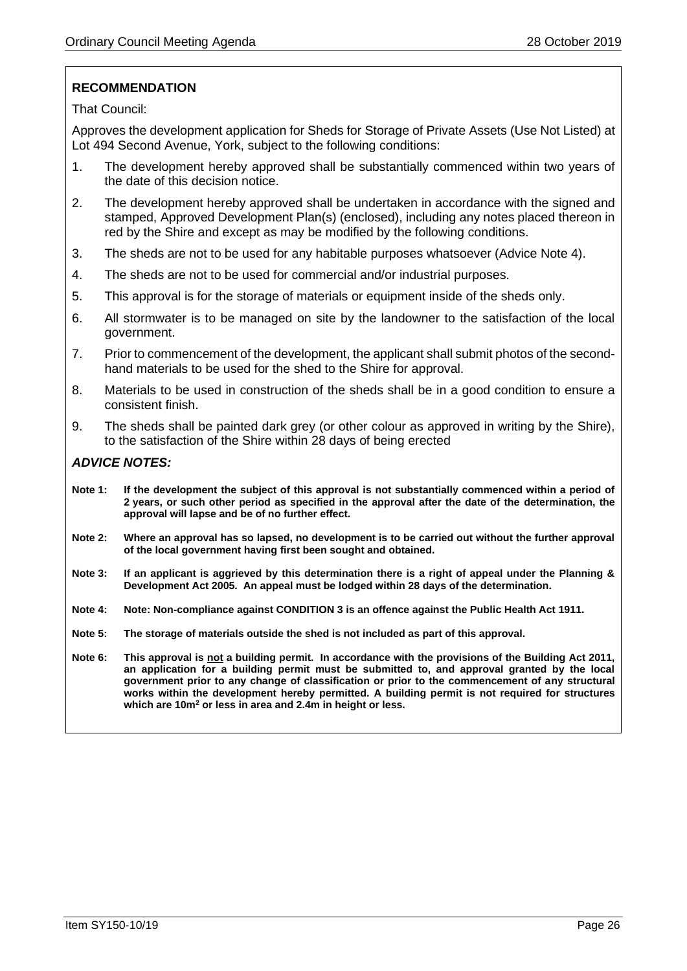# **RECOMMENDATION**

That Council:

Approves the development application for Sheds for Storage of Private Assets (Use Not Listed) at Lot 494 Second Avenue, York, subject to the following conditions:

- 1. The development hereby approved shall be substantially commenced within two years of the date of this decision notice.
- 2. The development hereby approved shall be undertaken in accordance with the signed and stamped, Approved Development Plan(s) (enclosed), including any notes placed thereon in red by the Shire and except as may be modified by the following conditions.
- 3. The sheds are not to be used for any habitable purposes whatsoever (Advice Note 4).
- 4. The sheds are not to be used for commercial and/or industrial purposes.
- 5. This approval is for the storage of materials or equipment inside of the sheds only.
- 6. All stormwater is to be managed on site by the landowner to the satisfaction of the local government.
- 7. Prior to commencement of the development, the applicant shall submit photos of the secondhand materials to be used for the shed to the Shire for approval.
- 8. Materials to be used in construction of the sheds shall be in a good condition to ensure a consistent finish.
- 9. The sheds shall be painted dark grey (or other colour as approved in writing by the Shire), to the satisfaction of the Shire within 28 days of being erected

# *ADVICE NOTES:*

- **Note 1: If the development the subject of this approval is not substantially commenced within a period of 2 years, or such other period as specified in the approval after the date of the determination, the approval will lapse and be of no further effect.**
- **Note 2: Where an approval has so lapsed, no development is to be carried out without the further approval of the local government having first been sought and obtained.**
- **Note 3: If an applicant is aggrieved by this determination there is a right of appeal under the Planning & Development Act 2005. An appeal must be lodged within 28 days of the determination.**
- **Note 4: Note: Non-compliance against CONDITION 3 is an offence against the Public Health Act 1911.**
- **Note 5: The storage of materials outside the shed is not included as part of this approval.**
- **Note 6: This approval is not a building permit. In accordance with the provisions of the Building Act 2011, an application for a building permit must be submitted to, and approval granted by the local government prior to any change of classification or prior to the commencement of any structural works within the development hereby permitted. A building permit is not required for structures which are 10m<sup>2</sup> or less in area and 2.4m in height or less.**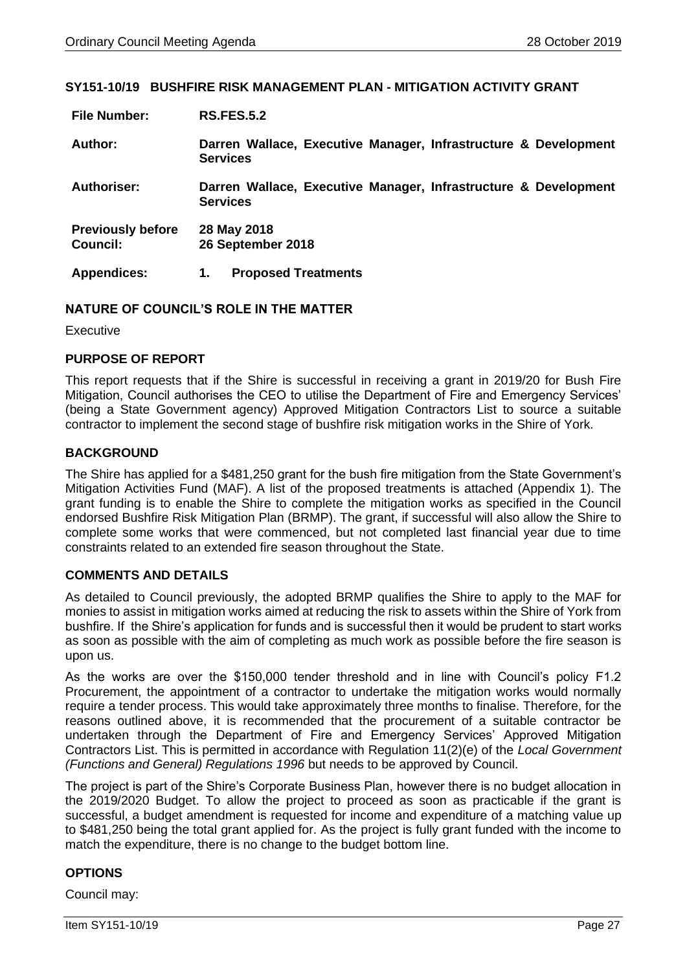#### <span id="page-26-0"></span>**SY151-10/19 BUSHFIRE RISK MANAGEMENT PLAN - MITIGATION ACTIVITY GRANT**

| <b>File Number:</b>                  | <b>RS.FES.5.2</b>                                                                  |
|--------------------------------------|------------------------------------------------------------------------------------|
| Author:                              | Darren Wallace, Executive Manager, Infrastructure & Development<br><b>Services</b> |
| <b>Authoriser:</b>                   | Darren Wallace, Executive Manager, Infrastructure & Development<br><b>Services</b> |
| <b>Previously before</b><br>Council: | 28 May 2018<br>26 September 2018                                                   |
| <b>Appendices:</b>                   | <b>Proposed Treatments</b><br>1.                                                   |

#### **NATURE OF COUNCIL'S ROLE IN THE MATTER**

Executive

# **PURPOSE OF REPORT**

This report requests that if the Shire is successful in receiving a grant in 2019/20 for Bush Fire Mitigation, Council authorises the CEO to utilise the Department of Fire and Emergency Services' (being a State Government agency) Approved Mitigation Contractors List to source a suitable contractor to implement the second stage of bushfire risk mitigation works in the Shire of York.

# **BACKGROUND**

The Shire has applied for a \$481,250 grant for the bush fire mitigation from the State Government's Mitigation Activities Fund (MAF). A list of the proposed treatments is attached (Appendix 1). The grant funding is to enable the Shire to complete the mitigation works as specified in the Council endorsed Bushfire Risk Mitigation Plan (BRMP). The grant, if successful will also allow the Shire to complete some works that were commenced, but not completed last financial year due to time constraints related to an extended fire season throughout the State.

# **COMMENTS AND DETAILS**

As detailed to Council previously, the adopted BRMP qualifies the Shire to apply to the MAF for monies to assist in mitigation works aimed at reducing the risk to assets within the Shire of York from bushfire. If the Shire's application for funds and is successful then it would be prudent to start works as soon as possible with the aim of completing as much work as possible before the fire season is upon us.

As the works are over the \$150,000 tender threshold and in line with Council's policy F1.2 Procurement, the appointment of a contractor to undertake the mitigation works would normally require a tender process. This would take approximately three months to finalise. Therefore, for the reasons outlined above, it is recommended that the procurement of a suitable contractor be undertaken through the Department of Fire and Emergency Services' Approved Mitigation Contractors List. This is permitted in accordance with Regulation 11(2)(e) of the *Local Government (Functions and General) Regulations 1996* but needs to be approved by Council.

The project is part of the Shire's Corporate Business Plan, however there is no budget allocation in the 2019/2020 Budget. To allow the project to proceed as soon as practicable if the grant is successful, a budget amendment is requested for income and expenditure of a matching value up to \$481,250 being the total grant applied for. As the project is fully grant funded with the income to match the expenditure, there is no change to the budget bottom line.

# **OPTIONS**

Council may: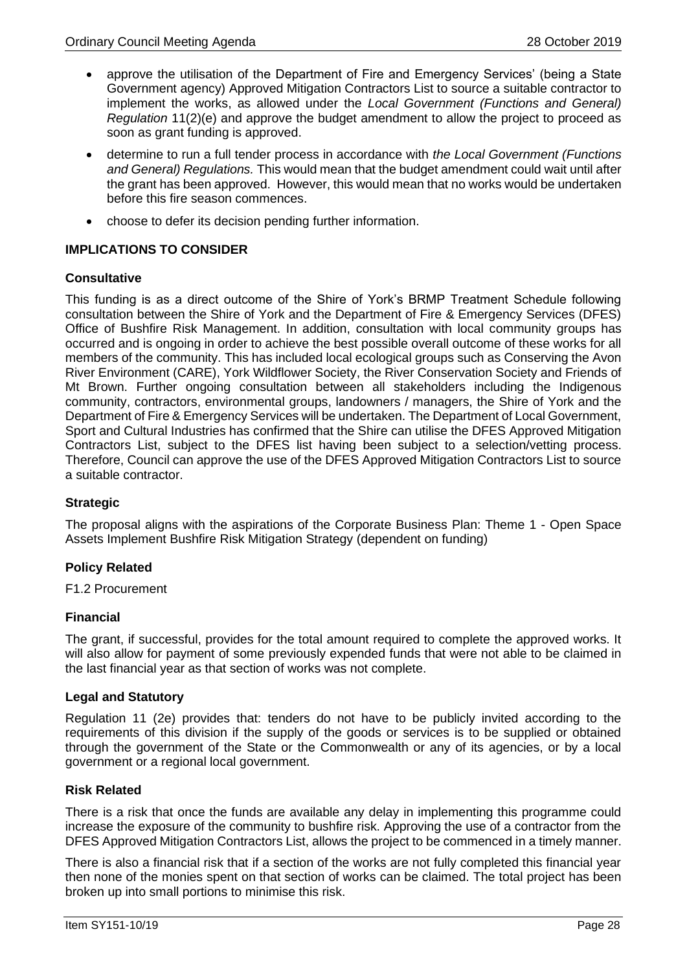- approve the utilisation of the Department of Fire and Emergency Services' (being a State Government agency) Approved Mitigation Contractors List to source a suitable contractor to implement the works, as allowed under the *Local Government (Functions and General) Regulation* 11(2)(e) and approve the budget amendment to allow the project to proceed as soon as grant funding is approved.
- determine to run a full tender process in accordance with *the Local Government (Functions and General) Regulations.* This would mean that the budget amendment could wait until after the grant has been approved. However, this would mean that no works would be undertaken before this fire season commences.
- choose to defer its decision pending further information.

# **IMPLICATIONS TO CONSIDER**

#### **Consultative**

This funding is as a direct outcome of the Shire of York's BRMP Treatment Schedule following consultation between the Shire of York and the Department of Fire & Emergency Services (DFES) Office of Bushfire Risk Management. In addition, consultation with local community groups has occurred and is ongoing in order to achieve the best possible overall outcome of these works for all members of the community. This has included local ecological groups such as Conserving the Avon River Environment (CARE), York Wildflower Society, the River Conservation Society and Friends of Mt Brown. Further ongoing consultation between all stakeholders including the Indigenous community, contractors, environmental groups, landowners / managers, the Shire of York and the Department of Fire & Emergency Services will be undertaken. The Department of Local Government, Sport and Cultural Industries has confirmed that the Shire can utilise the DFES Approved Mitigation Contractors List, subject to the DFES list having been subject to a selection/vetting process. Therefore, Council can approve the use of the DFES Approved Mitigation Contractors List to source a suitable contractor.

# **Strategic**

The proposal aligns with the aspirations of the Corporate Business Plan: Theme 1 - Open Space Assets Implement Bushfire Risk Mitigation Strategy (dependent on funding)

# **Policy Related**

F1.2 Procurement

# **Financial**

The grant, if successful, provides for the total amount required to complete the approved works. It will also allow for payment of some previously expended funds that were not able to be claimed in the last financial year as that section of works was not complete.

#### **Legal and Statutory**

Regulation 11 (2e) provides that: tenders do not have to be publicly invited according to the requirements of this division if the supply of the goods or services is to be supplied or obtained through the government of the State or the Commonwealth or any of its agencies, or by a local government or a regional local government.

#### **Risk Related**

There is a risk that once the funds are available any delay in implementing this programme could increase the exposure of the community to bushfire risk. Approving the use of a contractor from the DFES Approved Mitigation Contractors List, allows the project to be commenced in a timely manner.

There is also a financial risk that if a section of the works are not fully completed this financial year then none of the monies spent on that section of works can be claimed. The total project has been broken up into small portions to minimise this risk.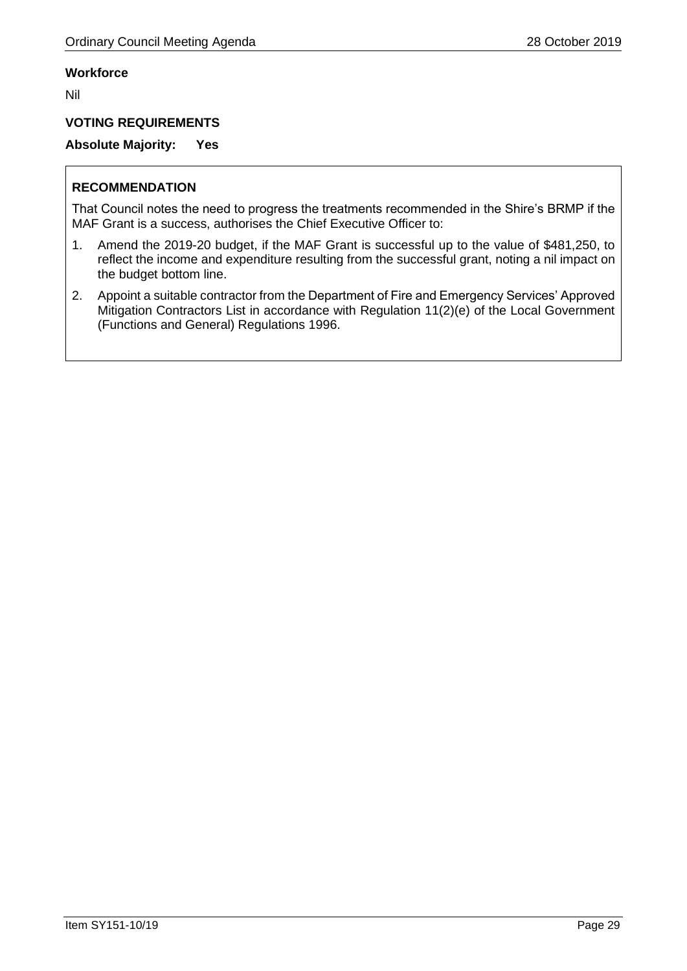# **Workforce**

Nil

# **VOTING REQUIREMENTS**

**Absolute Majority: Yes** 

# **RECOMMENDATION**

That Council notes the need to progress the treatments recommended in the Shire's BRMP if the MAF Grant is a success, authorises the Chief Executive Officer to:

- 1. Amend the 2019-20 budget, if the MAF Grant is successful up to the value of \$481,250, to reflect the income and expenditure resulting from the successful grant, noting a nil impact on the budget bottom line.
- 2. Appoint a suitable contractor from the Department of Fire and Emergency Services' Approved Mitigation Contractors List in accordance with Regulation 11(2)(e) of the Local Government (Functions and General) Regulations 1996.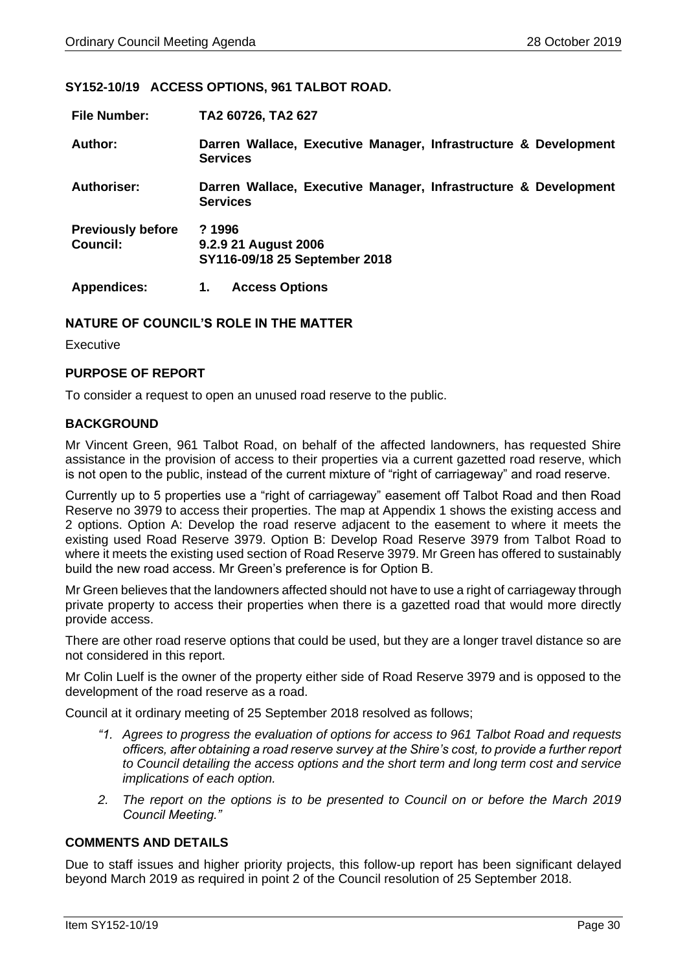#### <span id="page-29-0"></span>**SY152-10/19 ACCESS OPTIONS, 961 TALBOT ROAD.**

| <b>File Number:</b>                  | TA2 60726, TA2 627                                                                 |
|--------------------------------------|------------------------------------------------------------------------------------|
| Author:                              | Darren Wallace, Executive Manager, Infrastructure & Development<br><b>Services</b> |
| <b>Authoriser:</b>                   | Darren Wallace, Executive Manager, Infrastructure & Development<br><b>Services</b> |
| <b>Previously before</b><br>Council: | ?1996<br>9.2.9 21 August 2006<br>SY116-09/18 25 September 2018                     |
| <b>Appendices:</b>                   | <b>Access Options</b><br>1.                                                        |

# **NATURE OF COUNCIL'S ROLE IN THE MATTER**

Executive

#### **PURPOSE OF REPORT**

To consider a request to open an unused road reserve to the public.

#### **BACKGROUND**

Mr Vincent Green, 961 Talbot Road, on behalf of the affected landowners, has requested Shire assistance in the provision of access to their properties via a current gazetted road reserve, which is not open to the public, instead of the current mixture of "right of carriageway" and road reserve.

Currently up to 5 properties use a "right of carriageway" easement off Talbot Road and then Road Reserve no 3979 to access their properties. The map at Appendix 1 shows the existing access and 2 options. Option A: Develop the road reserve adjacent to the easement to where it meets the existing used Road Reserve 3979. Option B: Develop Road Reserve 3979 from Talbot Road to where it meets the existing used section of Road Reserve 3979. Mr Green has offered to sustainably build the new road access. Mr Green's preference is for Option B.

Mr Green believes that the landowners affected should not have to use a right of carriageway through private property to access their properties when there is a gazetted road that would more directly provide access.

There are other road reserve options that could be used, but they are a longer travel distance so are not considered in this report.

Mr Colin Luelf is the owner of the property either side of Road Reserve 3979 and is opposed to the development of the road reserve as a road.

Council at it ordinary meeting of 25 September 2018 resolved as follows;

- *"1. Agrees to progress the evaluation of options for access to 961 Talbot Road and requests officers, after obtaining a road reserve survey at the Shire's cost, to provide a further report to Council detailing the access options and the short term and long term cost and service implications of each option.*
- *2. The report on the options is to be presented to Council on or before the March 2019 Council Meeting."*

### **COMMENTS AND DETAILS**

Due to staff issues and higher priority projects, this follow-up report has been significant delayed beyond March 2019 as required in point 2 of the Council resolution of 25 September 2018.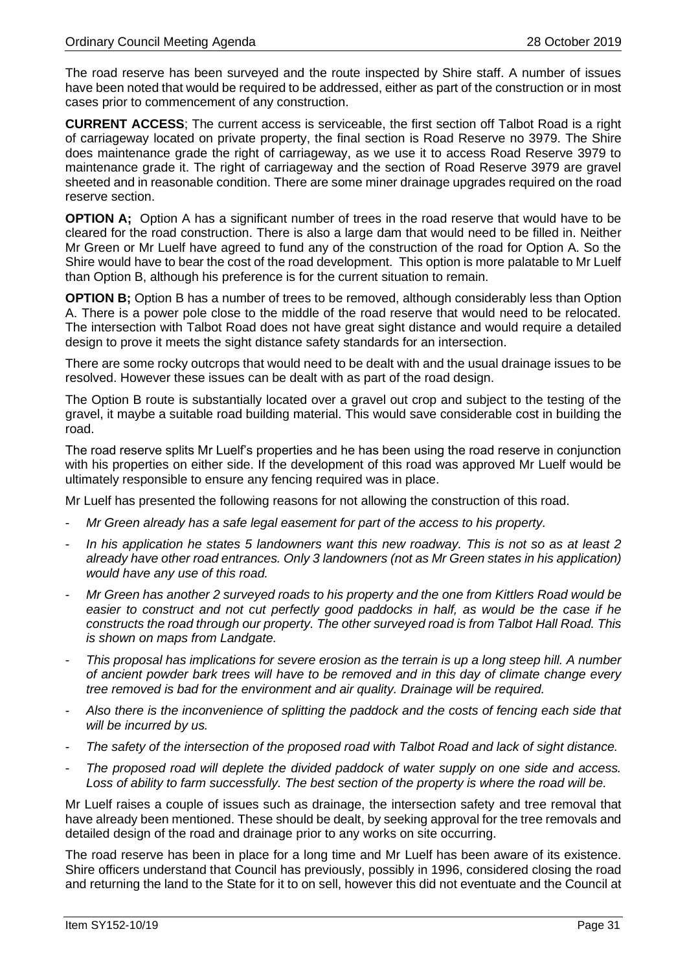The road reserve has been surveyed and the route inspected by Shire staff. A number of issues have been noted that would be required to be addressed, either as part of the construction or in most cases prior to commencement of any construction.

**CURRENT ACCESS**; The current access is serviceable, the first section off Talbot Road is a right of carriageway located on private property, the final section is Road Reserve no 3979. The Shire does maintenance grade the right of carriageway, as we use it to access Road Reserve 3979 to maintenance grade it. The right of carriageway and the section of Road Reserve 3979 are gravel sheeted and in reasonable condition. There are some miner drainage upgrades required on the road reserve section.

**OPTION A**; Option A has a significant number of trees in the road reserve that would have to be cleared for the road construction. There is also a large dam that would need to be filled in. Neither Mr Green or Mr Luelf have agreed to fund any of the construction of the road for Option A. So the Shire would have to bear the cost of the road development. This option is more palatable to Mr Luelf than Option B, although his preference is for the current situation to remain.

**OPTION B**; Option B has a number of trees to be removed, although considerably less than Option A. There is a power pole close to the middle of the road reserve that would need to be relocated. The intersection with Talbot Road does not have great sight distance and would require a detailed design to prove it meets the sight distance safety standards for an intersection.

There are some rocky outcrops that would need to be dealt with and the usual drainage issues to be resolved. However these issues can be dealt with as part of the road design.

The Option B route is substantially located over a gravel out crop and subject to the testing of the gravel, it maybe a suitable road building material. This would save considerable cost in building the road.

The road reserve splits Mr Luelf's properties and he has been using the road reserve in conjunction with his properties on either side. If the development of this road was approved Mr Luelf would be ultimately responsible to ensure any fencing required was in place.

Mr Luelf has presented the following reasons for not allowing the construction of this road.

- *Mr Green already has a safe legal easement for part of the access to his property.*
- *In his application he states 5 landowners want this new roadway. This is not so as at least 2 already have other road entrances. Only 3 landowners (not as Mr Green states in his application) would have any use of this road.*
- *Mr Green has another 2 surveyed roads to his property and the one from Kittlers Road would be easier to construct and not cut perfectly good paddocks in half, as would be the case if he constructs the road through our property. The other surveyed road is from Talbot Hall Road. This is shown on maps from Landgate.*
- *This proposal has implications for severe erosion as the terrain is up a long steep hill. A number of ancient powder bark trees will have to be removed and in this day of climate change every tree removed is bad for the environment and air quality. Drainage will be required.*
- *Also there is the inconvenience of splitting the paddock and the costs of fencing each side that will be incurred by us.*
- *The safety of the intersection of the proposed road with Talbot Road and lack of sight distance.*
- *The proposed road will deplete the divided paddock of water supply on one side and access. Loss of ability to farm successfully. The best section of the property is where the road will be.*

Mr Luelf raises a couple of issues such as drainage, the intersection safety and tree removal that have already been mentioned. These should be dealt, by seeking approval for the tree removals and detailed design of the road and drainage prior to any works on site occurring.

The road reserve has been in place for a long time and Mr Luelf has been aware of its existence. Shire officers understand that Council has previously, possibly in 1996, considered closing the road and returning the land to the State for it to on sell, however this did not eventuate and the Council at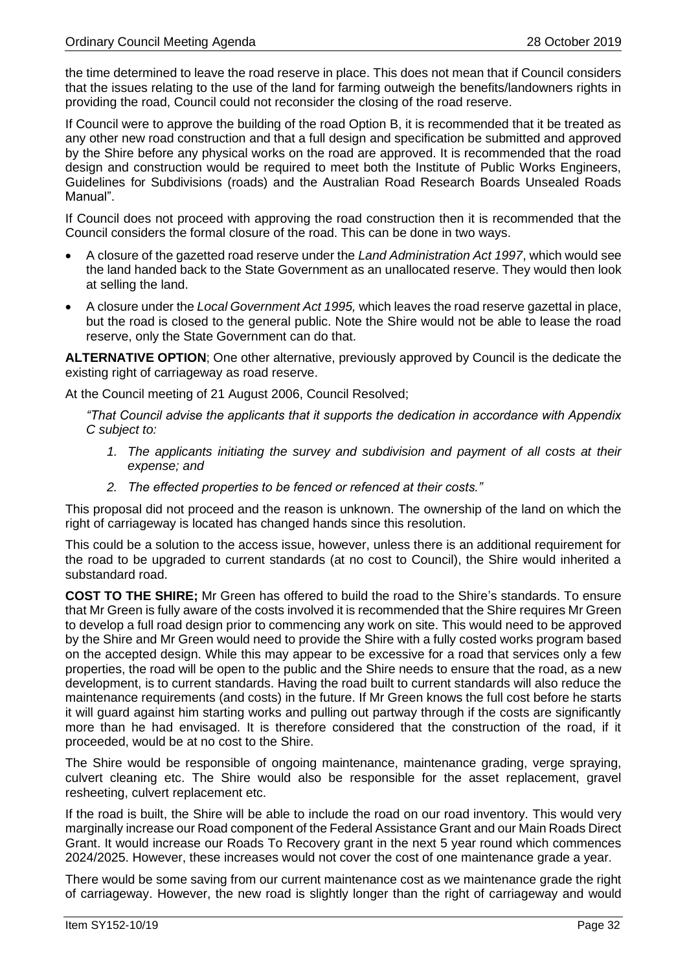the time determined to leave the road reserve in place. This does not mean that if Council considers that the issues relating to the use of the land for farming outweigh the benefits/landowners rights in providing the road, Council could not reconsider the closing of the road reserve.

If Council were to approve the building of the road Option B, it is recommended that it be treated as any other new road construction and that a full design and specification be submitted and approved by the Shire before any physical works on the road are approved. It is recommended that the road design and construction would be required to meet both the Institute of Public Works Engineers, Guidelines for Subdivisions (roads) and the Australian Road Research Boards Unsealed Roads Manual".

If Council does not proceed with approving the road construction then it is recommended that the Council considers the formal closure of the road. This can be done in two ways.

- A closure of the gazetted road reserve under the *Land Administration Act 1997*, which would see the land handed back to the State Government as an unallocated reserve. They would then look at selling the land.
- A closure under the *Local Government Act 1995,* which leaves the road reserve gazettal in place, but the road is closed to the general public. Note the Shire would not be able to lease the road reserve, only the State Government can do that.

**ALTERNATIVE OPTION**; One other alternative, previously approved by Council is the dedicate the existing right of carriageway as road reserve.

At the Council meeting of 21 August 2006, Council Resolved;

*"That Council advise the applicants that it supports the dedication in accordance with Appendix C subject to:*

- *1. The applicants initiating the survey and subdivision and payment of all costs at their expense; and*
- *2. The effected properties to be fenced or refenced at their costs."*

This proposal did not proceed and the reason is unknown. The ownership of the land on which the right of carriageway is located has changed hands since this resolution.

This could be a solution to the access issue, however, unless there is an additional requirement for the road to be upgraded to current standards (at no cost to Council), the Shire would inherited a substandard road.

**COST TO THE SHIRE;** Mr Green has offered to build the road to the Shire's standards. To ensure that Mr Green is fully aware of the costs involved it is recommended that the Shire requires Mr Green to develop a full road design prior to commencing any work on site. This would need to be approved by the Shire and Mr Green would need to provide the Shire with a fully costed works program based on the accepted design. While this may appear to be excessive for a road that services only a few properties, the road will be open to the public and the Shire needs to ensure that the road, as a new development, is to current standards. Having the road built to current standards will also reduce the maintenance requirements (and costs) in the future. If Mr Green knows the full cost before he starts it will guard against him starting works and pulling out partway through if the costs are significantly more than he had envisaged. It is therefore considered that the construction of the road, if it proceeded, would be at no cost to the Shire.

The Shire would be responsible of ongoing maintenance, maintenance grading, verge spraying, culvert cleaning etc. The Shire would also be responsible for the asset replacement, gravel resheeting, culvert replacement etc.

If the road is built, the Shire will be able to include the road on our road inventory. This would very marginally increase our Road component of the Federal Assistance Grant and our Main Roads Direct Grant. It would increase our Roads To Recovery grant in the next 5 year round which commences 2024/2025. However, these increases would not cover the cost of one maintenance grade a year.

There would be some saving from our current maintenance cost as we maintenance grade the right of carriageway. However, the new road is slightly longer than the right of carriageway and would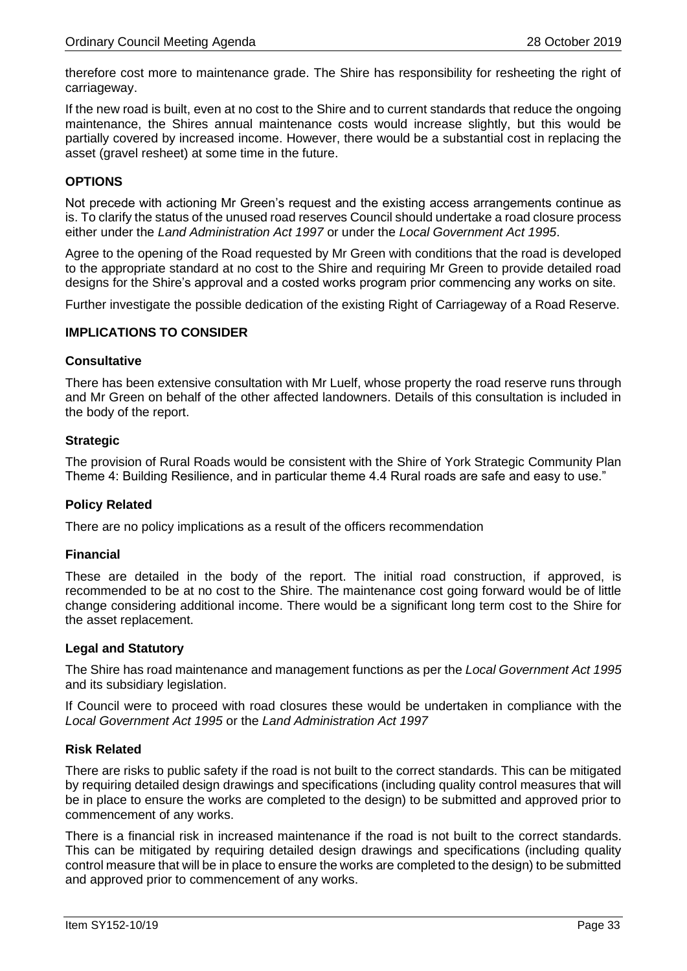therefore cost more to maintenance grade. The Shire has responsibility for resheeting the right of carriageway.

If the new road is built, even at no cost to the Shire and to current standards that reduce the ongoing maintenance, the Shires annual maintenance costs would increase slightly, but this would be partially covered by increased income. However, there would be a substantial cost in replacing the asset (gravel resheet) at some time in the future.

# **OPTIONS**

Not precede with actioning Mr Green's request and the existing access arrangements continue as is. To clarify the status of the unused road reserves Council should undertake a road closure process either under the *Land Administration Act 1997* or under the *Local Government Act 1995*.

Agree to the opening of the Road requested by Mr Green with conditions that the road is developed to the appropriate standard at no cost to the Shire and requiring Mr Green to provide detailed road designs for the Shire's approval and a costed works program prior commencing any works on site.

Further investigate the possible dedication of the existing Right of Carriageway of a Road Reserve.

# **IMPLICATIONS TO CONSIDER**

#### **Consultative**

There has been extensive consultation with Mr Luelf, whose property the road reserve runs through and Mr Green on behalf of the other affected landowners. Details of this consultation is included in the body of the report.

#### **Strategic**

The provision of Rural Roads would be consistent with the Shire of York Strategic Community Plan Theme 4: Building Resilience, and in particular theme 4.4 Rural roads are safe and easy to use."

# **Policy Related**

There are no policy implications as a result of the officers recommendation

# **Financial**

These are detailed in the body of the report. The initial road construction, if approved, is recommended to be at no cost to the Shire. The maintenance cost going forward would be of little change considering additional income. There would be a significant long term cost to the Shire for the asset replacement.

#### **Legal and Statutory**

The Shire has road maintenance and management functions as per the *Local Government Act 1995* and its subsidiary legislation.

If Council were to proceed with road closures these would be undertaken in compliance with the *Local Government Act 1995* or the *Land Administration Act 1997*

#### **Risk Related**

There are risks to public safety if the road is not built to the correct standards. This can be mitigated by requiring detailed design drawings and specifications (including quality control measures that will be in place to ensure the works are completed to the design) to be submitted and approved prior to commencement of any works.

There is a financial risk in increased maintenance if the road is not built to the correct standards. This can be mitigated by requiring detailed design drawings and specifications (including quality control measure that will be in place to ensure the works are completed to the design) to be submitted and approved prior to commencement of any works.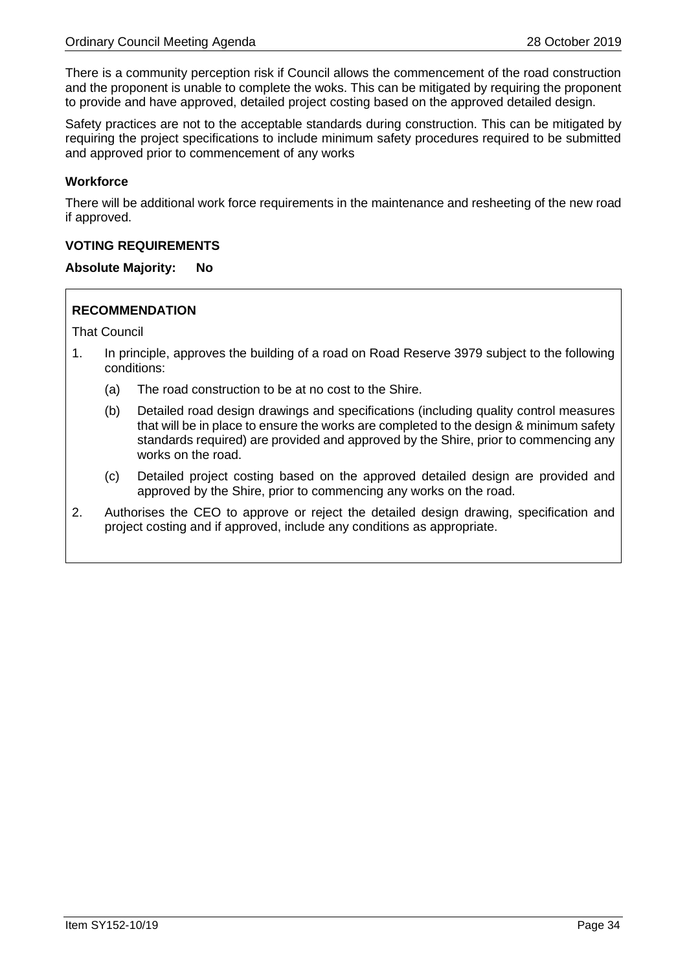There is a community perception risk if Council allows the commencement of the road construction and the proponent is unable to complete the woks. This can be mitigated by requiring the proponent to provide and have approved, detailed project costing based on the approved detailed design.

Safety practices are not to the acceptable standards during construction. This can be mitigated by requiring the project specifications to include minimum safety procedures required to be submitted and approved prior to commencement of any works

### **Workforce**

There will be additional work force requirements in the maintenance and resheeting of the new road if approved.

#### **VOTING REQUIREMENTS**

#### **Absolute Majority: No**

# **RECOMMENDATION**

That Council

- 1. In principle, approves the building of a road on Road Reserve 3979 subject to the following conditions:
	- (a) The road construction to be at no cost to the Shire.
	- (b) Detailed road design drawings and specifications (including quality control measures that will be in place to ensure the works are completed to the design & minimum safety standards required) are provided and approved by the Shire, prior to commencing any works on the road.
	- (c) Detailed project costing based on the approved detailed design are provided and approved by the Shire, prior to commencing any works on the road.
- 2. Authorises the CEO to approve or reject the detailed design drawing, specification and project costing and if approved, include any conditions as appropriate.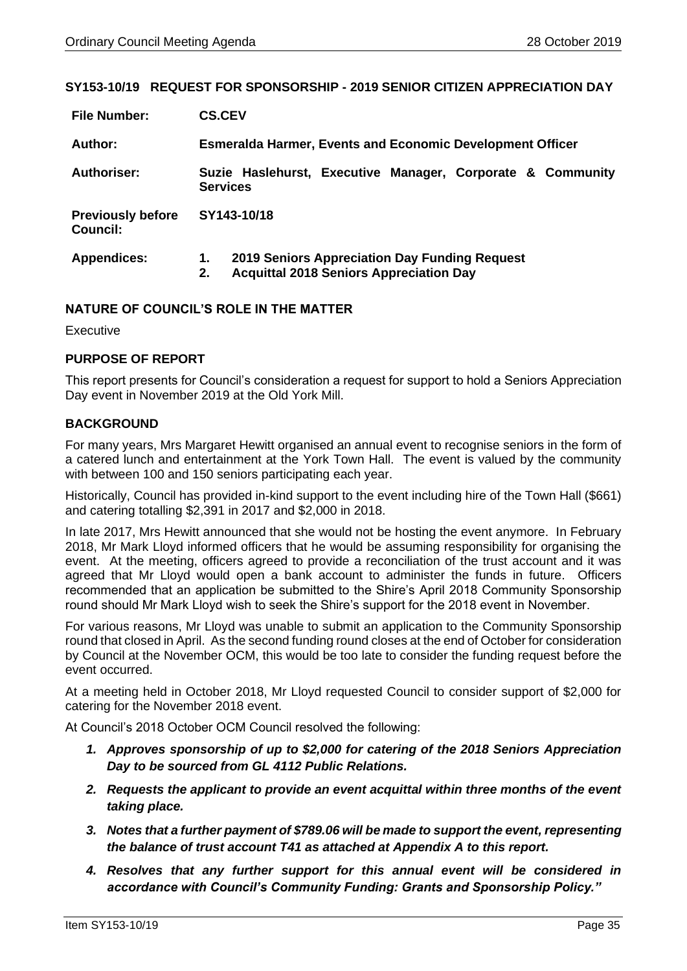# <span id="page-34-0"></span>**SY153-10/19 REQUEST FOR SPONSORSHIP - 2019 SENIOR CITIZEN APPRECIATION DAY**

| <b>File Number:</b>                  | <b>CS.CEV</b>   |                                                                                                 |  |  |  |  |  |
|--------------------------------------|-----------------|-------------------------------------------------------------------------------------------------|--|--|--|--|--|
| Author:                              |                 | <b>Esmeralda Harmer, Events and Economic Development Officer</b>                                |  |  |  |  |  |
| <b>Authoriser:</b>                   | <b>Services</b> | Suzie Haslehurst, Executive Manager, Corporate & Community                                      |  |  |  |  |  |
| <b>Previously before</b><br>Council: | SY143-10/18     |                                                                                                 |  |  |  |  |  |
| <b>Appendices:</b>                   | 1.<br>2.        | 2019 Seniors Appreciation Day Funding Request<br><b>Acquittal 2018 Seniors Appreciation Day</b> |  |  |  |  |  |

# **NATURE OF COUNCIL'S ROLE IN THE MATTER**

Executive

# **PURPOSE OF REPORT**

This report presents for Council's consideration a request for support to hold a Seniors Appreciation Day event in November 2019 at the Old York Mill.

# **BACKGROUND**

For many years, Mrs Margaret Hewitt organised an annual event to recognise seniors in the form of a catered lunch and entertainment at the York Town Hall. The event is valued by the community with between 100 and 150 seniors participating each year.

Historically, Council has provided in-kind support to the event including hire of the Town Hall (\$661) and catering totalling \$2,391 in 2017 and \$2,000 in 2018.

In late 2017, Mrs Hewitt announced that she would not be hosting the event anymore. In February 2018, Mr Mark Lloyd informed officers that he would be assuming responsibility for organising the event. At the meeting, officers agreed to provide a reconciliation of the trust account and it was agreed that Mr Lloyd would open a bank account to administer the funds in future. Officers recommended that an application be submitted to the Shire's April 2018 Community Sponsorship round should Mr Mark Lloyd wish to seek the Shire's support for the 2018 event in November.

For various reasons, Mr Lloyd was unable to submit an application to the Community Sponsorship round that closed in April. As the second funding round closes at the end of October for consideration by Council at the November OCM, this would be too late to consider the funding request before the event occurred.

At a meeting held in October 2018, Mr Lloyd requested Council to consider support of \$2,000 for catering for the November 2018 event.

At Council's 2018 October OCM Council resolved the following:

- *1. Approves sponsorship of up to \$2,000 for catering of the 2018 Seniors Appreciation Day to be sourced from GL 4112 Public Relations.*
- *2. Requests the applicant to provide an event acquittal within three months of the event taking place.*
- *3. Notes that a further payment of \$789.06 will be made to support the event, representing the balance of trust account T41 as attached at Appendix A to this report.*
- *4. Resolves that any further support for this annual event will be considered in accordance with Council's Community Funding: Grants and Sponsorship Policy."*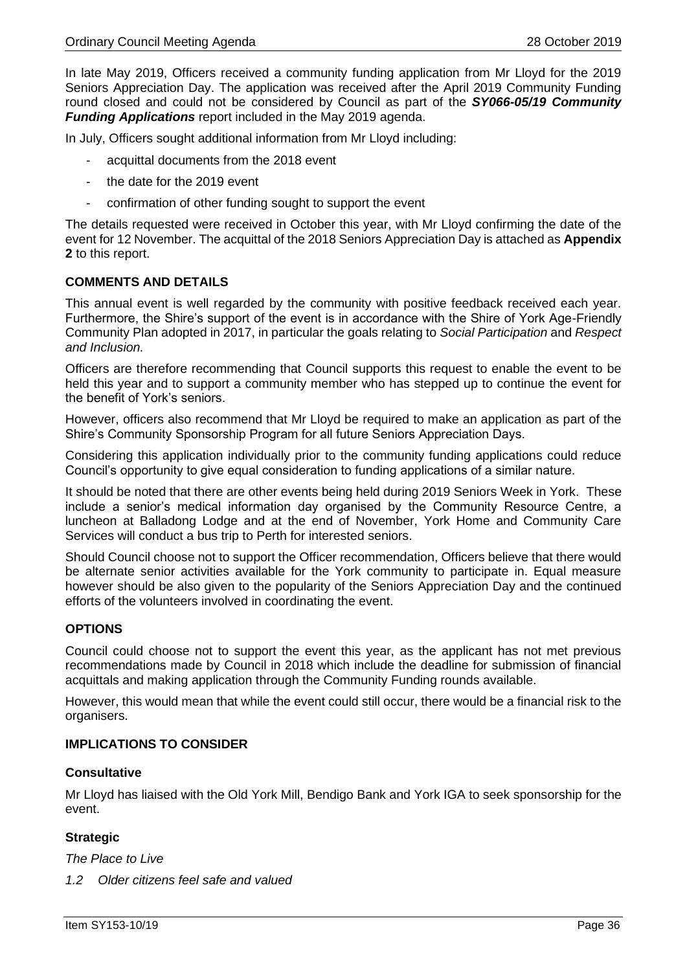In late May 2019, Officers received a community funding application from Mr Lloyd for the 2019 Seniors Appreciation Day. The application was received after the April 2019 Community Funding round closed and could not be considered by Council as part of the *SY066-05/19 Community Funding Applications* report included in the May 2019 agenda.

In July, Officers sought additional information from Mr Lloyd including:

- acquittal documents from the 2018 event
- the date for the 2019 event
- confirmation of other funding sought to support the event

The details requested were received in October this year, with Mr Lloyd confirming the date of the event for 12 November. The acquittal of the 2018 Seniors Appreciation Day is attached as **Appendix 2** to this report.

# **COMMENTS AND DETAILS**

This annual event is well regarded by the community with positive feedback received each year. Furthermore, the Shire's support of the event is in accordance with the Shire of York Age-Friendly Community Plan adopted in 2017, in particular the goals relating to *Social Participation* and *Respect and Inclusion.*

Officers are therefore recommending that Council supports this request to enable the event to be held this year and to support a community member who has stepped up to continue the event for the benefit of York's seniors.

However, officers also recommend that Mr Lloyd be required to make an application as part of the Shire's Community Sponsorship Program for all future Seniors Appreciation Days.

Considering this application individually prior to the community funding applications could reduce Council's opportunity to give equal consideration to funding applications of a similar nature.

It should be noted that there are other events being held during 2019 Seniors Week in York. These include a senior's medical information day organised by the Community Resource Centre, a luncheon at Balladong Lodge and at the end of November, York Home and Community Care Services will conduct a bus trip to Perth for interested seniors.

Should Council choose not to support the Officer recommendation, Officers believe that there would be alternate senior activities available for the York community to participate in. Equal measure however should be also given to the popularity of the Seniors Appreciation Day and the continued efforts of the volunteers involved in coordinating the event.

#### **OPTIONS**

Council could choose not to support the event this year, as the applicant has not met previous recommendations made by Council in 2018 which include the deadline for submission of financial acquittals and making application through the Community Funding rounds available.

However, this would mean that while the event could still occur, there would be a financial risk to the organisers.

#### **IMPLICATIONS TO CONSIDER**

#### **Consultative**

Mr Lloyd has liaised with the Old York Mill, Bendigo Bank and York IGA to seek sponsorship for the event.

# **Strategic**

*The Place to Live*

*1.2 Older citizens feel safe and valued*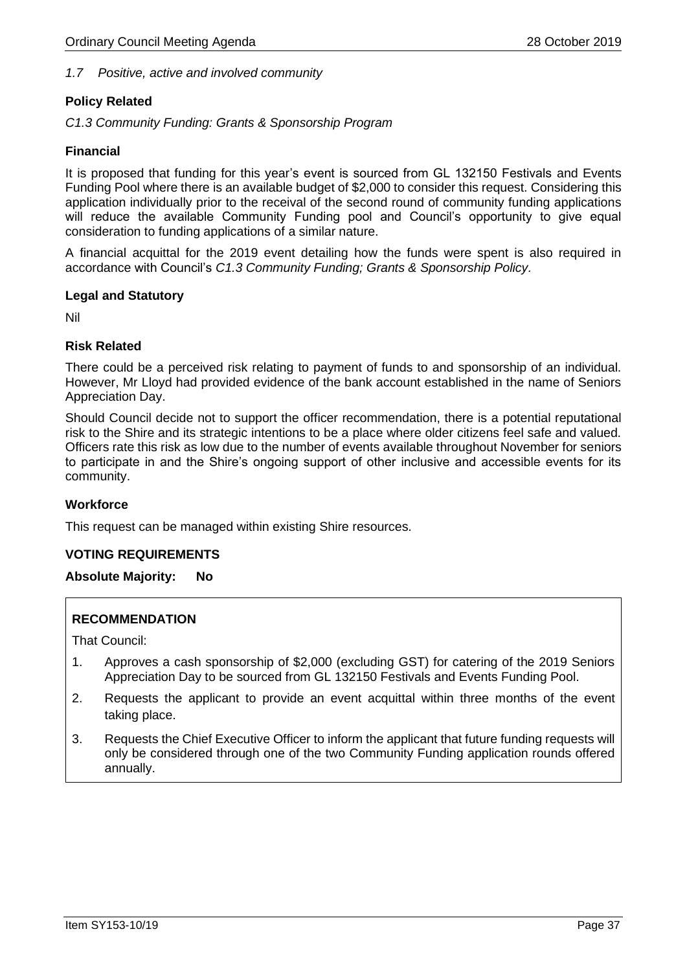# *1.7 Positive, active and involved community*

# **Policy Related**

*C1.3 Community Funding: Grants & Sponsorship Program* 

# **Financial**

It is proposed that funding for this year's event is sourced from GL 132150 Festivals and Events Funding Pool where there is an available budget of \$2,000 to consider this request. Considering this application individually prior to the receival of the second round of community funding applications will reduce the available Community Funding pool and Council's opportunity to give equal consideration to funding applications of a similar nature.

A financial acquittal for the 2019 event detailing how the funds were spent is also required in accordance with Council's *C1.3 Community Funding; Grants & Sponsorship Policy.*

# **Legal and Statutory**

Nil

# **Risk Related**

There could be a perceived risk relating to payment of funds to and sponsorship of an individual. However, Mr Lloyd had provided evidence of the bank account established in the name of Seniors Appreciation Day.

Should Council decide not to support the officer recommendation, there is a potential reputational risk to the Shire and its strategic intentions to be a place where older citizens feel safe and valued. Officers rate this risk as low due to the number of events available throughout November for seniors to participate in and the Shire's ongoing support of other inclusive and accessible events for its community.

# **Workforce**

This request can be managed within existing Shire resources.

# **VOTING REQUIREMENTS**

#### **Absolute Majority: No**

# **RECOMMENDATION**

That Council:

- 1. Approves a cash sponsorship of \$2,000 (excluding GST) for catering of the 2019 Seniors Appreciation Day to be sourced from GL 132150 Festivals and Events Funding Pool.
- 2. Requests the applicant to provide an event acquittal within three months of the event taking place.
- 3. Requests the Chief Executive Officer to inform the applicant that future funding requests will only be considered through one of the two Community Funding application rounds offered annually.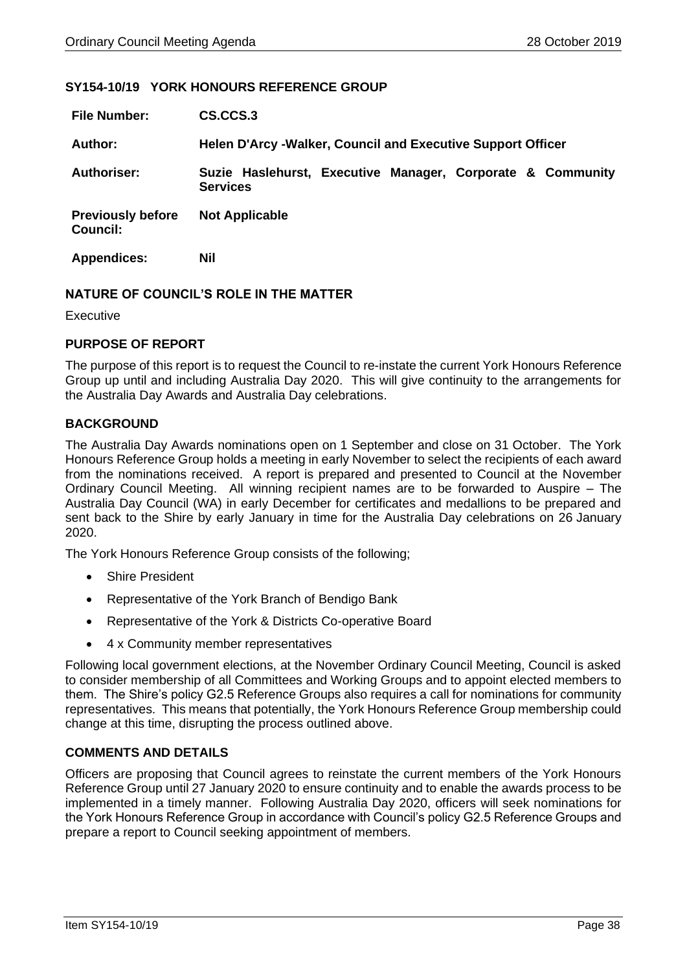#### <span id="page-37-0"></span>**SY154-10/19 YORK HONOURS REFERENCE GROUP**

| <b>File Number:</b>                  | CS.CCS.3                                                                      |  |  |  |  |
|--------------------------------------|-------------------------------------------------------------------------------|--|--|--|--|
| <b>Author:</b>                       | <b>Helen D'Arcy -Walker, Council and Executive Support Officer</b>            |  |  |  |  |
| <b>Authoriser:</b>                   | Suzie Haslehurst, Executive Manager, Corporate & Community<br><b>Services</b> |  |  |  |  |
| <b>Previously before</b><br>Council: | <b>Not Applicable</b>                                                         |  |  |  |  |
| <b>Appendices:</b>                   | Nil                                                                           |  |  |  |  |

#### **NATURE OF COUNCIL'S ROLE IN THE MATTER**

Executive

#### **PURPOSE OF REPORT**

The purpose of this report is to request the Council to re-instate the current York Honours Reference Group up until and including Australia Day 2020. This will give continuity to the arrangements for the Australia Day Awards and Australia Day celebrations.

# **BACKGROUND**

The Australia Day Awards nominations open on 1 September and close on 31 October. The York Honours Reference Group holds a meeting in early November to select the recipients of each award from the nominations received. A report is prepared and presented to Council at the November Ordinary Council Meeting. All winning recipient names are to be forwarded to Auspire – The Australia Day Council (WA) in early December for certificates and medallions to be prepared and sent back to the Shire by early January in time for the Australia Day celebrations on 26 January 2020.

The York Honours Reference Group consists of the following;

- Shire President
- Representative of the York Branch of Bendigo Bank
- Representative of the York & Districts Co-operative Board
- 4 x Community member representatives

Following local government elections, at the November Ordinary Council Meeting, Council is asked to consider membership of all Committees and Working Groups and to appoint elected members to them. The Shire's policy G2.5 Reference Groups also requires a call for nominations for community representatives. This means that potentially, the York Honours Reference Group membership could change at this time, disrupting the process outlined above.

# **COMMENTS AND DETAILS**

Officers are proposing that Council agrees to reinstate the current members of the York Honours Reference Group until 27 January 2020 to ensure continuity and to enable the awards process to be implemented in a timely manner. Following Australia Day 2020, officers will seek nominations for the York Honours Reference Group in accordance with Council's policy G2.5 Reference Groups and prepare a report to Council seeking appointment of members.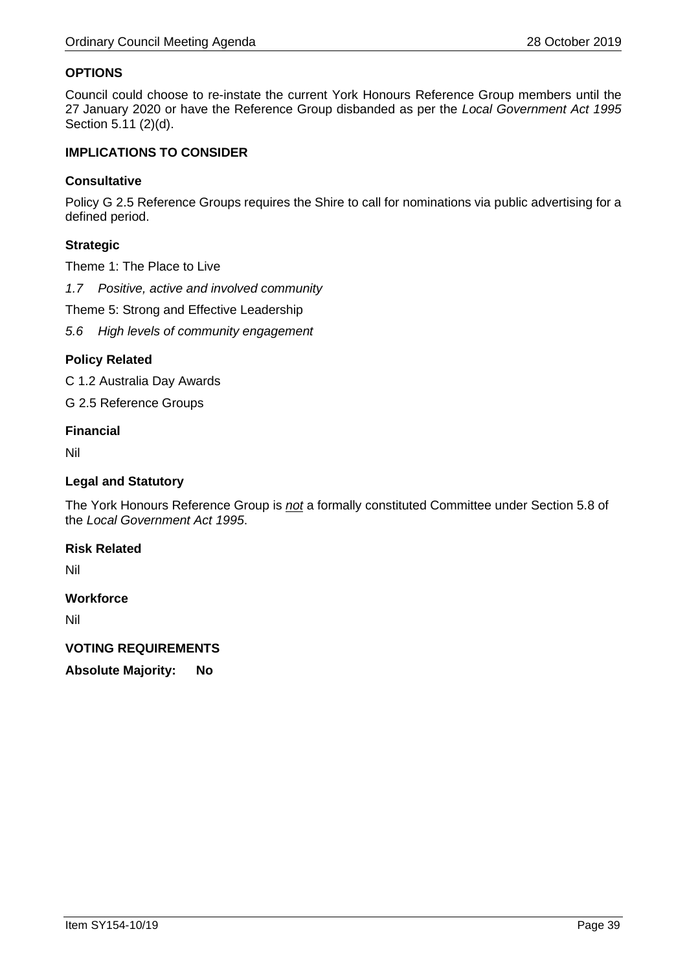# **OPTIONS**

Council could choose to re-instate the current York Honours Reference Group members until the 27 January 2020 or have the Reference Group disbanded as per the *Local Government Act 1995* Section 5.11 (2)(d).

# **IMPLICATIONS TO CONSIDER**

#### **Consultative**

Policy G 2.5 Reference Groups requires the Shire to call for nominations via public advertising for a defined period.

# **Strategic**

Theme 1: The Place to Live

*1.7 Positive, active and involved community*

Theme 5: Strong and Effective Leadership

*5.6 High levels of community engagement*

# **Policy Related**

C 1.2 Australia Day Awards

G 2.5 Reference Groups

#### **Financial**

Nil

#### **Legal and Statutory**

The York Honours Reference Group is *not* a formally constituted Committee under Section 5.8 of the *Local Government Act 1995*.

### **Risk Related**

Nil

# **Workforce**

Nil

# **VOTING REQUIREMENTS**

**Absolute Majority: No**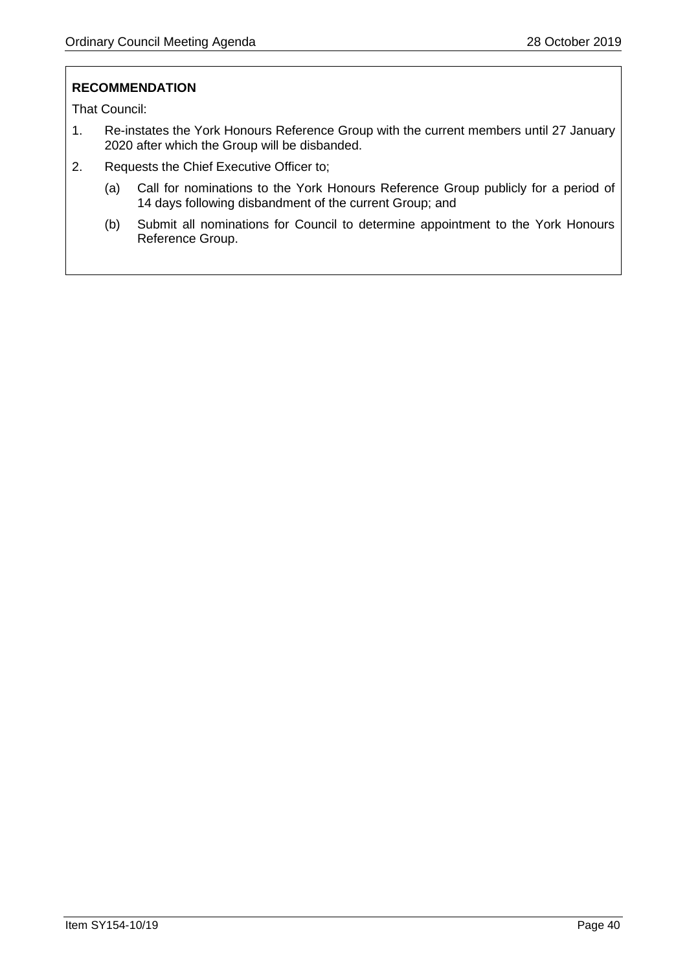# **RECOMMENDATION**

That Council:

- 1. Re-instates the York Honours Reference Group with the current members until 27 January 2020 after which the Group will be disbanded.
- 2. Requests the Chief Executive Officer to;
	- (a) Call for nominations to the York Honours Reference Group publicly for a period of 14 days following disbandment of the current Group; and
	- (b) Submit all nominations for Council to determine appointment to the York Honours Reference Group.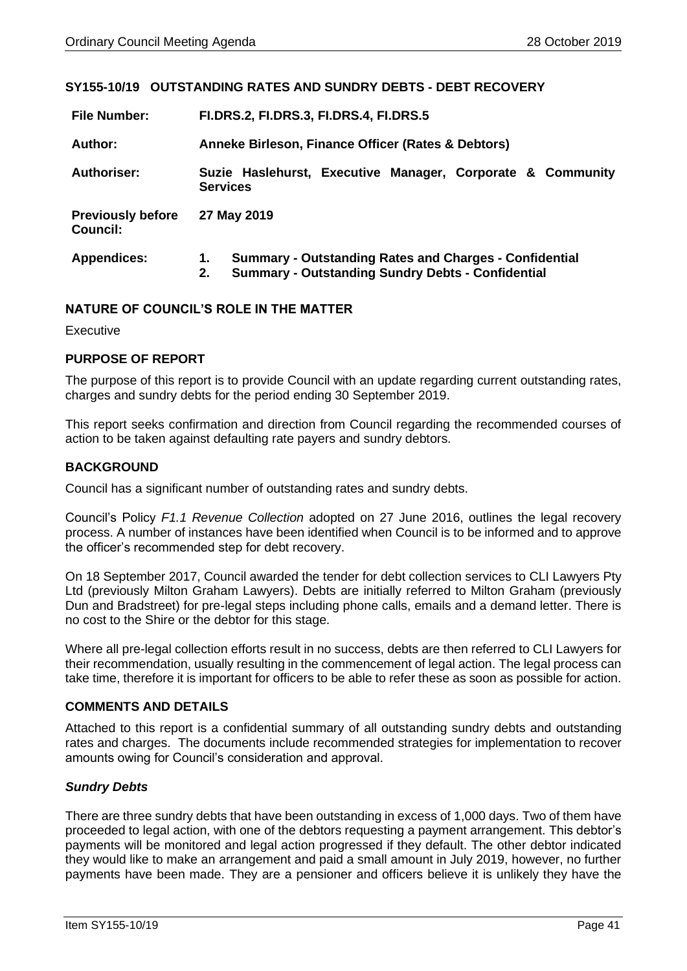# <span id="page-40-0"></span>**SY155-10/19 OUTSTANDING RATES AND SUNDRY DEBTS - DEBT RECOVERY**

| <b>File Number:</b>                  | <b>FI.DRS.2, FI.DRS.3, FI.DRS.4, FI.DRS.5</b>                                                                                         |  |  |  |  |
|--------------------------------------|---------------------------------------------------------------------------------------------------------------------------------------|--|--|--|--|
| Author:                              | Anneke Birleson, Finance Officer (Rates & Debtors)                                                                                    |  |  |  |  |
| <b>Authoriser:</b>                   | Suzie Haslehurst, Executive Manager, Corporate & Community<br><b>Services</b>                                                         |  |  |  |  |
| <b>Previously before</b><br>Council: | 27 May 2019                                                                                                                           |  |  |  |  |
| <b>Appendices:</b>                   | <b>Summary - Outstanding Rates and Charges - Confidential</b><br>1.<br><b>Summary - Outstanding Sundry Debts - Confidential</b><br>2. |  |  |  |  |

# **NATURE OF COUNCIL'S ROLE IN THE MATTER**

Executive

#### **PURPOSE OF REPORT**

The purpose of this report is to provide Council with an update regarding current outstanding rates, charges and sundry debts for the period ending 30 September 2019.

This report seeks confirmation and direction from Council regarding the recommended courses of action to be taken against defaulting rate payers and sundry debtors.

#### **BACKGROUND**

Council has a significant number of outstanding rates and sundry debts.

Council's Policy *F1.1 Revenue Collection* adopted on 27 June 2016, outlines the legal recovery process. A number of instances have been identified when Council is to be informed and to approve the officer's recommended step for debt recovery.

On 18 September 2017, Council awarded the tender for debt collection services to CLI Lawyers Pty Ltd (previously Milton Graham Lawyers). Debts are initially referred to Milton Graham (previously Dun and Bradstreet) for pre-legal steps including phone calls, emails and a demand letter. There is no cost to the Shire or the debtor for this stage.

Where all pre-legal collection efforts result in no success, debts are then referred to CLI Lawyers for their recommendation, usually resulting in the commencement of legal action. The legal process can take time, therefore it is important for officers to be able to refer these as soon as possible for action.

# **COMMENTS AND DETAILS**

Attached to this report is a confidential summary of all outstanding sundry debts and outstanding rates and charges. The documents include recommended strategies for implementation to recover amounts owing for Council's consideration and approval.

# *Sundry Debts*

There are three sundry debts that have been outstanding in excess of 1,000 days. Two of them have proceeded to legal action, with one of the debtors requesting a payment arrangement. This debtor's payments will be monitored and legal action progressed if they default. The other debtor indicated they would like to make an arrangement and paid a small amount in July 2019, however, no further payments have been made. They are a pensioner and officers believe it is unlikely they have the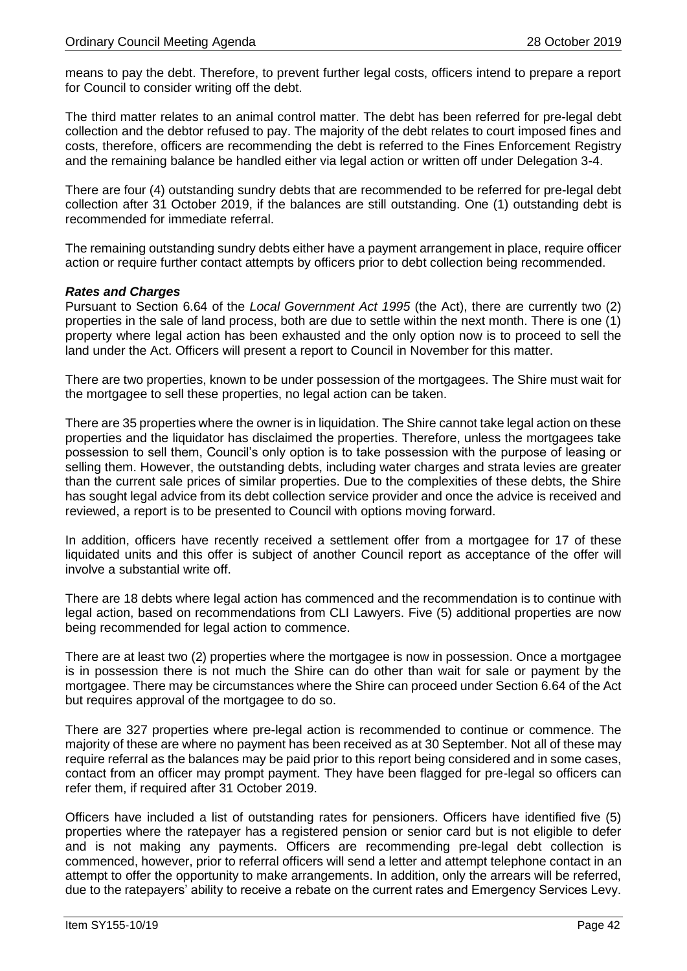means to pay the debt. Therefore, to prevent further legal costs, officers intend to prepare a report for Council to consider writing off the debt.

The third matter relates to an animal control matter. The debt has been referred for pre-legal debt collection and the debtor refused to pay. The majority of the debt relates to court imposed fines and costs, therefore, officers are recommending the debt is referred to the Fines Enforcement Registry and the remaining balance be handled either via legal action or written off under Delegation 3-4.

There are four (4) outstanding sundry debts that are recommended to be referred for pre-legal debt collection after 31 October 2019, if the balances are still outstanding. One (1) outstanding debt is recommended for immediate referral.

The remaining outstanding sundry debts either have a payment arrangement in place, require officer action or require further contact attempts by officers prior to debt collection being recommended.

#### *Rates and Charges*

Pursuant to Section 6.64 of the *Local Government Act 1995* (the Act), there are currently two (2) properties in the sale of land process, both are due to settle within the next month. There is one (1) property where legal action has been exhausted and the only option now is to proceed to sell the land under the Act. Officers will present a report to Council in November for this matter.

There are two properties, known to be under possession of the mortgagees. The Shire must wait for the mortgagee to sell these properties, no legal action can be taken.

There are 35 properties where the owner is in liquidation. The Shire cannot take legal action on these properties and the liquidator has disclaimed the properties. Therefore, unless the mortgagees take possession to sell them, Council's only option is to take possession with the purpose of leasing or selling them. However, the outstanding debts, including water charges and strata levies are greater than the current sale prices of similar properties. Due to the complexities of these debts, the Shire has sought legal advice from its debt collection service provider and once the advice is received and reviewed, a report is to be presented to Council with options moving forward.

In addition, officers have recently received a settlement offer from a mortgagee for 17 of these liquidated units and this offer is subject of another Council report as acceptance of the offer will involve a substantial write off.

There are 18 debts where legal action has commenced and the recommendation is to continue with legal action, based on recommendations from CLI Lawyers. Five (5) additional properties are now being recommended for legal action to commence.

There are at least two (2) properties where the mortgagee is now in possession. Once a mortgagee is in possession there is not much the Shire can do other than wait for sale or payment by the mortgagee. There may be circumstances where the Shire can proceed under Section 6.64 of the Act but requires approval of the mortgagee to do so.

There are 327 properties where pre-legal action is recommended to continue or commence. The majority of these are where no payment has been received as at 30 September. Not all of these may require referral as the balances may be paid prior to this report being considered and in some cases, contact from an officer may prompt payment. They have been flagged for pre-legal so officers can refer them, if required after 31 October 2019.

Officers have included a list of outstanding rates for pensioners. Officers have identified five (5) properties where the ratepayer has a registered pension or senior card but is not eligible to defer and is not making any payments. Officers are recommending pre-legal debt collection is commenced, however, prior to referral officers will send a letter and attempt telephone contact in an attempt to offer the opportunity to make arrangements. In addition, only the arrears will be referred, due to the ratepayers' ability to receive a rebate on the current rates and Emergency Services Levy.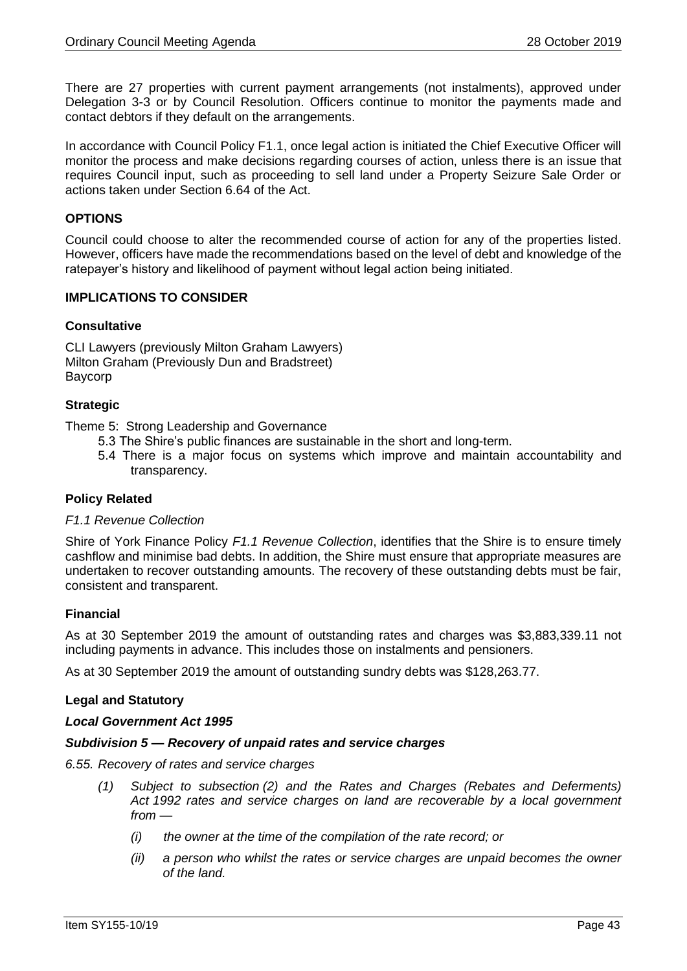There are 27 properties with current payment arrangements (not instalments), approved under Delegation 3-3 or by Council Resolution. Officers continue to monitor the payments made and contact debtors if they default on the arrangements.

In accordance with Council Policy F1.1, once legal action is initiated the Chief Executive Officer will monitor the process and make decisions regarding courses of action, unless there is an issue that requires Council input, such as proceeding to sell land under a Property Seizure Sale Order or actions taken under Section 6.64 of the Act.

# **OPTIONS**

Council could choose to alter the recommended course of action for any of the properties listed. However, officers have made the recommendations based on the level of debt and knowledge of the ratepayer's history and likelihood of payment without legal action being initiated.

# **IMPLICATIONS TO CONSIDER**

#### **Consultative**

CLI Lawyers (previously Milton Graham Lawyers) Milton Graham (Previously Dun and Bradstreet) Baycorp

#### **Strategic**

Theme 5: Strong Leadership and Governance

- 5.3 The Shire's public finances are sustainable in the short and long-term.
- 5.4 There is a major focus on systems which improve and maintain accountability and transparency.

# **Policy Related**

#### *F1.1 Revenue Collection*

Shire of York Finance Policy *F1.1 Revenue Collection*, identifies that the Shire is to ensure timely cashflow and minimise bad debts. In addition, the Shire must ensure that appropriate measures are undertaken to recover outstanding amounts. The recovery of these outstanding debts must be fair, consistent and transparent.

#### **Financial**

As at 30 September 2019 the amount of outstanding rates and charges was \$3,883,339.11 not including payments in advance. This includes those on instalments and pensioners.

As at 30 September 2019 the amount of outstanding sundry debts was \$128,263.77.

#### **Legal and Statutory**

#### *Local Government Act 1995*

#### *Subdivision 5 — Recovery of unpaid rates and service charges*

- *6.55. Recovery of rates and service charges*
	- *(1) Subject to subsection (2) and the Rates and Charges (Rebates and Deferments) Act 1992 rates and service charges on land are recoverable by a local government from —*
		- *(i) the owner at the time of the compilation of the rate record; or*
		- *(ii) a person who whilst the rates or service charges are unpaid becomes the owner of the land.*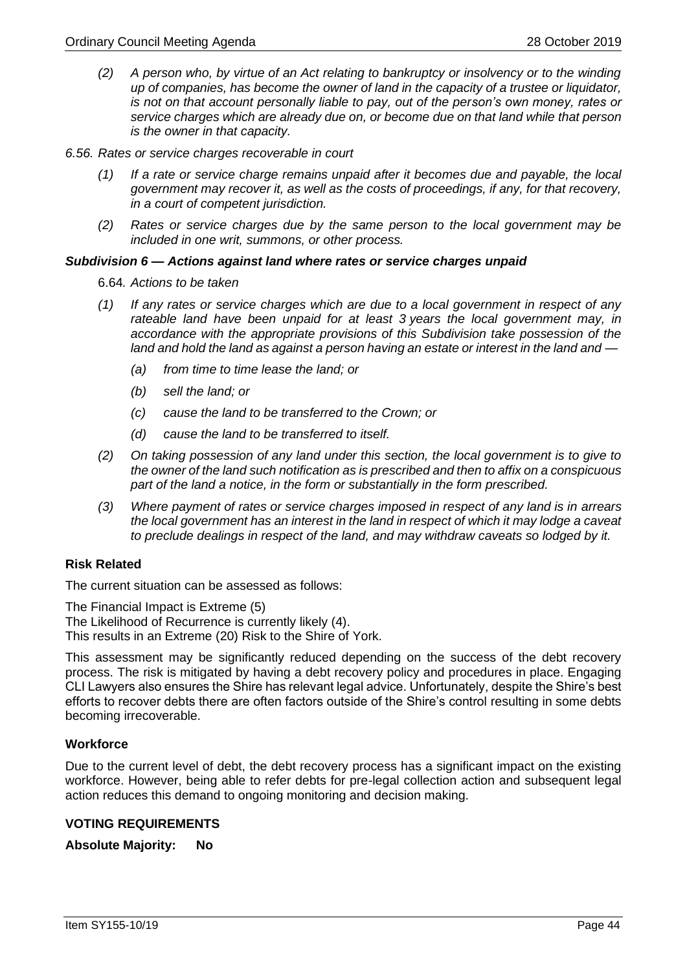- *(2) A person who, by virtue of an Act relating to bankruptcy or insolvency or to the winding up of companies, has become the owner of land in the capacity of a trustee or liquidator, is not on that account personally liable to pay, out of the person's own money, rates or service charges which are already due on, or become due on that land while that person is the owner in that capacity.*
- *6.56. Rates or service charges recoverable in court*
	- *(1) If a rate or service charge remains unpaid after it becomes due and payable, the local government may recover it, as well as the costs of proceedings, if any, for that recovery, in a court of competent jurisdiction.*
	- *(2) Rates or service charges due by the same person to the local government may be included in one writ, summons, or other process.*

#### *Subdivision 6 — Actions against land where rates or service charges unpaid*

6.64*. Actions to be taken*

- *(1) If any rates or service charges which are due to a local government in respect of any rateable land have been unpaid for at least 3 years the local government may, in accordance with the appropriate provisions of this Subdivision take possession of the land and hold the land as against a person having an estate or interest in the land and —*
	- *(a) from time to time lease the land; or*
	- *(b) sell the land; or*
	- *(c) cause the land to be transferred to the Crown; or*
	- *(d) cause the land to be transferred to itself.*
- *(2) On taking possession of any land under this section, the local government is to give to the owner of the land such notification as is prescribed and then to affix on a conspicuous part of the land a notice, in the form or substantially in the form prescribed.*
- *(3) Where payment of rates or service charges imposed in respect of any land is in arrears the local government has an interest in the land in respect of which it may lodge a caveat to preclude dealings in respect of the land, and may withdraw caveats so lodged by it.*

#### **Risk Related**

The current situation can be assessed as follows:

The Financial Impact is Extreme (5)

The Likelihood of Recurrence is currently likely (4).

This results in an Extreme (20) Risk to the Shire of York.

This assessment may be significantly reduced depending on the success of the debt recovery process. The risk is mitigated by having a debt recovery policy and procedures in place. Engaging CLI Lawyers also ensures the Shire has relevant legal advice. Unfortunately, despite the Shire's best efforts to recover debts there are often factors outside of the Shire's control resulting in some debts becoming irrecoverable.

#### **Workforce**

Due to the current level of debt, the debt recovery process has a significant impact on the existing workforce. However, being able to refer debts for pre-legal collection action and subsequent legal action reduces this demand to ongoing monitoring and decision making.

#### **VOTING REQUIREMENTS**

**Absolute Majority: No**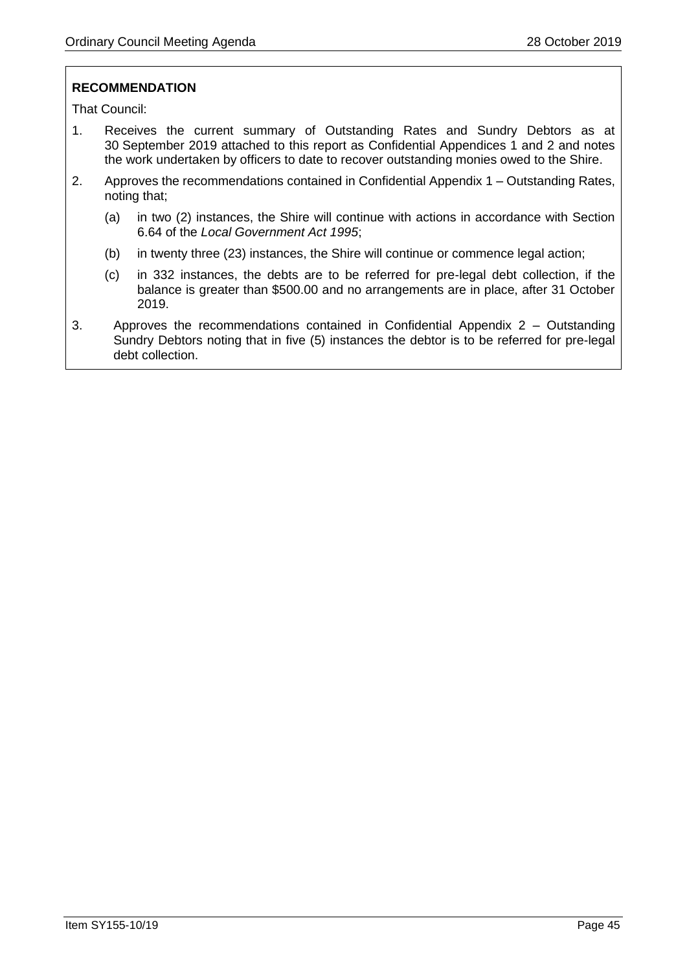# **RECOMMENDATION**

That Council:

- 1. Receives the current summary of Outstanding Rates and Sundry Debtors as at 30 September 2019 attached to this report as Confidential Appendices 1 and 2 and notes the work undertaken by officers to date to recover outstanding monies owed to the Shire.
- 2. Approves the recommendations contained in Confidential Appendix 1 Outstanding Rates, noting that;
	- (a) in two (2) instances, the Shire will continue with actions in accordance with Section 6.64 of the *Local Government Act 1995*;
	- (b) in twenty three (23) instances, the Shire will continue or commence legal action;
	- (c) in 332 instances, the debts are to be referred for pre-legal debt collection, if the balance is greater than \$500.00 and no arrangements are in place, after 31 October 2019.
- 3. Approves the recommendations contained in Confidential Appendix 2 Outstanding Sundry Debtors noting that in five (5) instances the debtor is to be referred for pre-legal debt collection.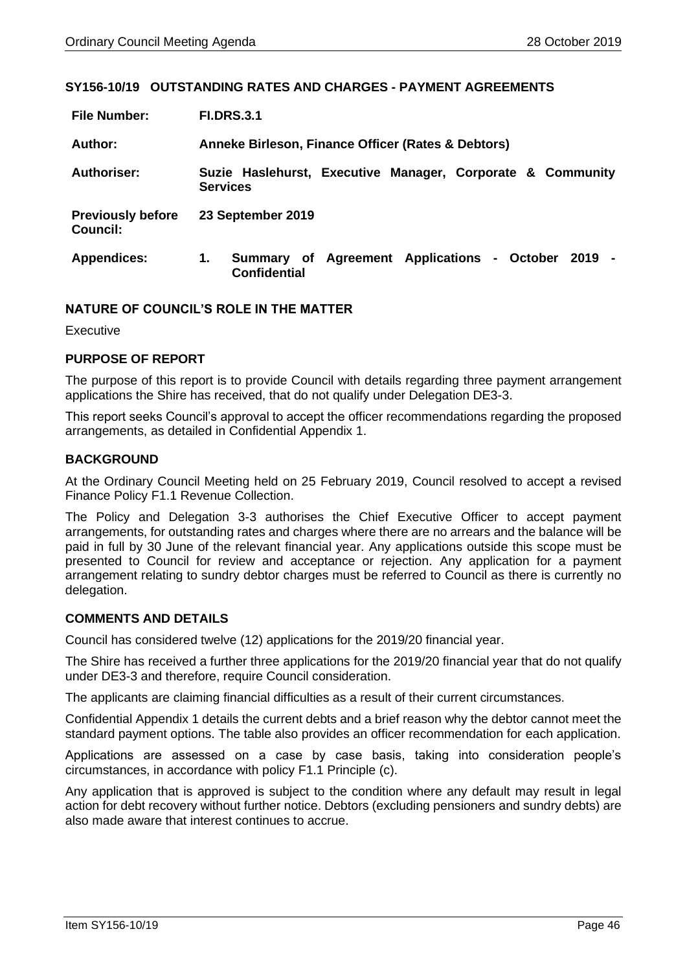#### <span id="page-45-0"></span>**SY156-10/19 OUTSTANDING RATES AND CHARGES - PAYMENT AGREEMENTS**

| <b>File Number:</b>                         | <b>FI.DRS.3.1</b>                                                                  |  |  |  |
|---------------------------------------------|------------------------------------------------------------------------------------|--|--|--|
| Author:                                     | Anneke Birleson, Finance Officer (Rates & Debtors)                                 |  |  |  |
| <b>Authoriser:</b>                          | Suzie Haslehurst, Executive Manager, Corporate & Community<br><b>Services</b>      |  |  |  |
| <b>Previously before</b><br><b>Council:</b> | 23 September 2019                                                                  |  |  |  |
| <b>Appendices:</b>                          | Summary of Agreement Applications - October<br>1.<br>2019 -<br><b>Confidential</b> |  |  |  |

### **NATURE OF COUNCIL'S ROLE IN THE MATTER**

Executive

#### **PURPOSE OF REPORT**

The purpose of this report is to provide Council with details regarding three payment arrangement applications the Shire has received, that do not qualify under Delegation DE3-3.

This report seeks Council's approval to accept the officer recommendations regarding the proposed arrangements, as detailed in Confidential Appendix 1.

#### **BACKGROUND**

At the Ordinary Council Meeting held on 25 February 2019, Council resolved to accept a revised Finance Policy F1.1 Revenue Collection.

The Policy and Delegation 3-3 authorises the Chief Executive Officer to accept payment arrangements, for outstanding rates and charges where there are no arrears and the balance will be paid in full by 30 June of the relevant financial year. Any applications outside this scope must be presented to Council for review and acceptance or rejection. Any application for a payment arrangement relating to sundry debtor charges must be referred to Council as there is currently no delegation.

#### **COMMENTS AND DETAILS**

Council has considered twelve (12) applications for the 2019/20 financial year.

The Shire has received a further three applications for the 2019/20 financial year that do not qualify under DE3-3 and therefore, require Council consideration.

The applicants are claiming financial difficulties as a result of their current circumstances.

Confidential Appendix 1 details the current debts and a brief reason why the debtor cannot meet the standard payment options. The table also provides an officer recommendation for each application.

Applications are assessed on a case by case basis, taking into consideration people's circumstances, in accordance with policy F1.1 Principle (c).

Any application that is approved is subject to the condition where any default may result in legal action for debt recovery without further notice. Debtors (excluding pensioners and sundry debts) are also made aware that interest continues to accrue.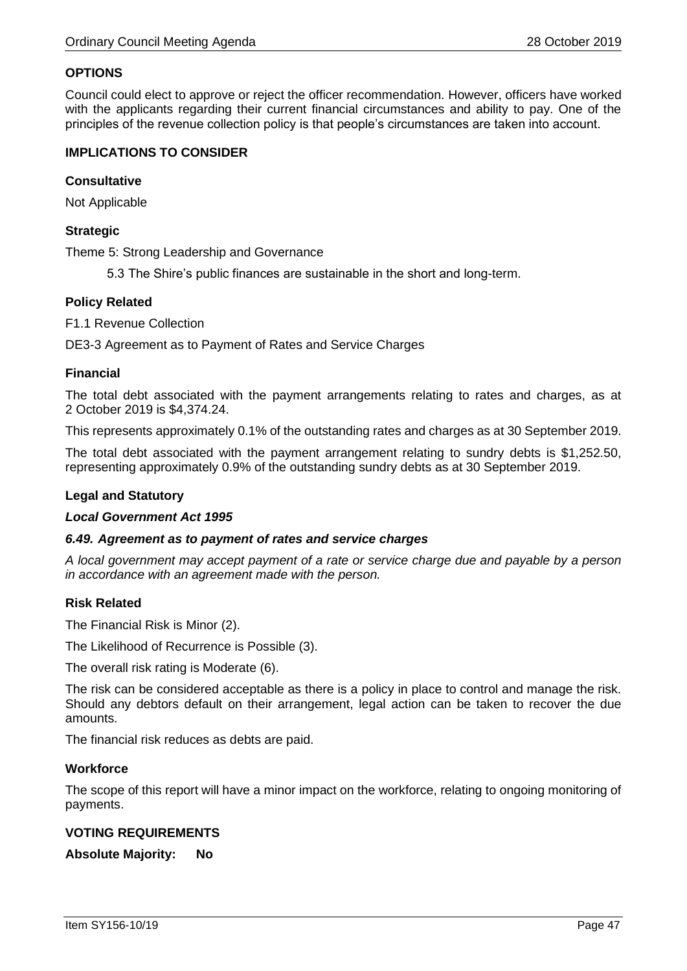# **OPTIONS**

Council could elect to approve or reject the officer recommendation. However, officers have worked with the applicants regarding their current financial circumstances and ability to pay. One of the principles of the revenue collection policy is that people's circumstances are taken into account.

### **IMPLICATIONS TO CONSIDER**

### **Consultative**

Not Applicable

# **Strategic**

Theme 5: Strong Leadership and Governance

5.3 The Shire's public finances are sustainable in the short and long-term.

# **Policy Related**

F1.1 Revenue Collection

DE3-3 Agreement as to Payment of Rates and Service Charges

### **Financial**

The total debt associated with the payment arrangements relating to rates and charges, as at 2 October 2019 is \$4,374.24.

This represents approximately 0.1% of the outstanding rates and charges as at 30 September 2019.

The total debt associated with the payment arrangement relating to sundry debts is \$1,252.50, representing approximately 0.9% of the outstanding sundry debts as at 30 September 2019.

# **Legal and Statutory**

#### *Local Government Act 1995*

# *6.49. Agreement as to payment of rates and service charges*

*A local government may accept payment of a rate or service charge due and payable by a person in accordance with an agreement made with the person.*

#### **Risk Related**

The Financial Risk is Minor (2).

The Likelihood of Recurrence is Possible (3).

The overall risk rating is Moderate (6).

The risk can be considered acceptable as there is a policy in place to control and manage the risk. Should any debtors default on their arrangement, legal action can be taken to recover the due amounts.

The financial risk reduces as debts are paid.

#### **Workforce**

The scope of this report will have a minor impact on the workforce, relating to ongoing monitoring of payments.

# **VOTING REQUIREMENTS**

**Absolute Majority: No**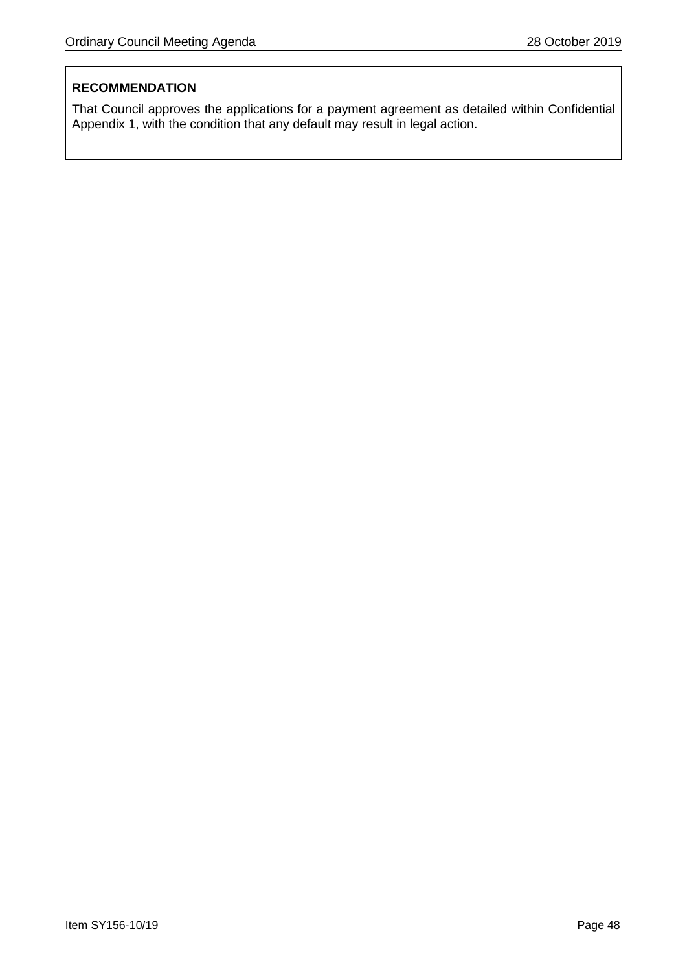# **RECOMMENDATION**

That Council approves the applications for a payment agreement as detailed within Confidential Appendix 1, with the condition that any default may result in legal action.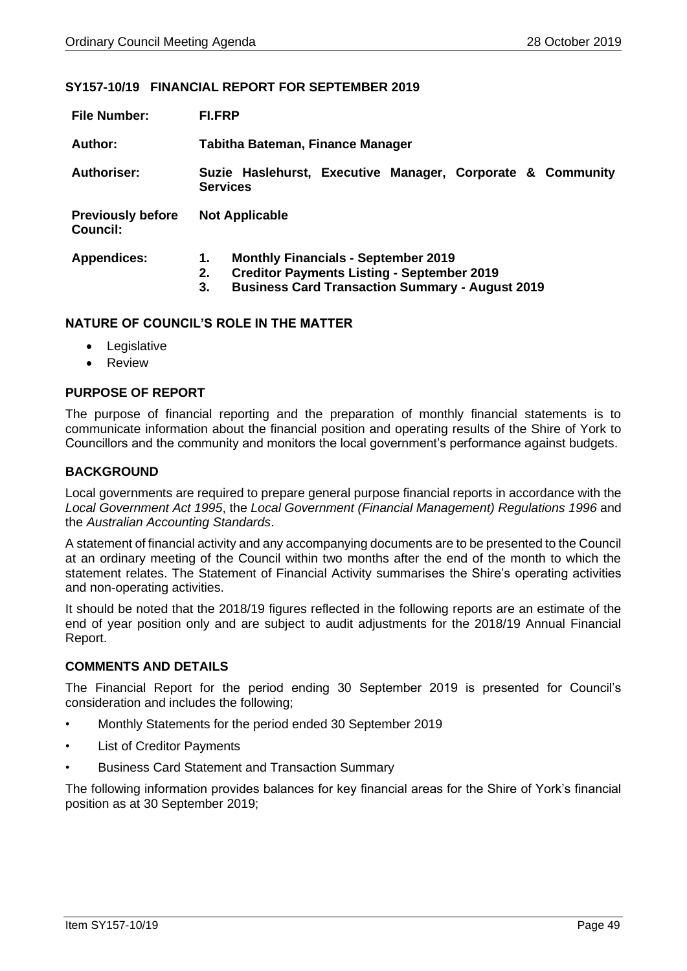#### <span id="page-48-0"></span>**SY157-10/19 FINANCIAL REPORT FOR SEPTEMBER 2019**

| <b>File Number:</b>                         | <b>FI.FRP</b>                                                                                                                                                               |  |  |  |  |  |
|---------------------------------------------|-----------------------------------------------------------------------------------------------------------------------------------------------------------------------------|--|--|--|--|--|
| Author:                                     | Tabitha Bateman, Finance Manager                                                                                                                                            |  |  |  |  |  |
| Authoriser:                                 | Suzie Haslehurst, Executive Manager, Corporate & Community<br><b>Services</b>                                                                                               |  |  |  |  |  |
| <b>Previously before</b><br><b>Council:</b> | <b>Not Applicable</b>                                                                                                                                                       |  |  |  |  |  |
| <b>Appendices:</b>                          | <b>Monthly Financials - September 2019</b><br>1.<br><b>Creditor Payments Listing - September 2019</b><br>2.<br><b>Business Card Transaction Summary - August 2019</b><br>3. |  |  |  |  |  |

### **NATURE OF COUNCIL'S ROLE IN THE MATTER**

- Legislative
- Review

# **PURPOSE OF REPORT**

The purpose of financial reporting and the preparation of monthly financial statements is to communicate information about the financial position and operating results of the Shire of York to Councillors and the community and monitors the local government's performance against budgets.

# **BACKGROUND**

Local governments are required to prepare general purpose financial reports in accordance with the *Local Government Act 1995*, the *Local Government (Financial Management) Regulations 1996* and the *Australian Accounting Standards*.

A statement of financial activity and any accompanying documents are to be presented to the Council at an ordinary meeting of the Council within two months after the end of the month to which the statement relates. The Statement of Financial Activity summarises the Shire's operating activities and non-operating activities.

It should be noted that the 2018/19 figures reflected in the following reports are an estimate of the end of year position only and are subject to audit adjustments for the 2018/19 Annual Financial Report.

#### **COMMENTS AND DETAILS**

The Financial Report for the period ending 30 September 2019 is presented for Council's consideration and includes the following;

- Monthly Statements for the period ended 30 September 2019
- List of Creditor Payments
- Business Card Statement and Transaction Summary

The following information provides balances for key financial areas for the Shire of York's financial position as at 30 September 2019;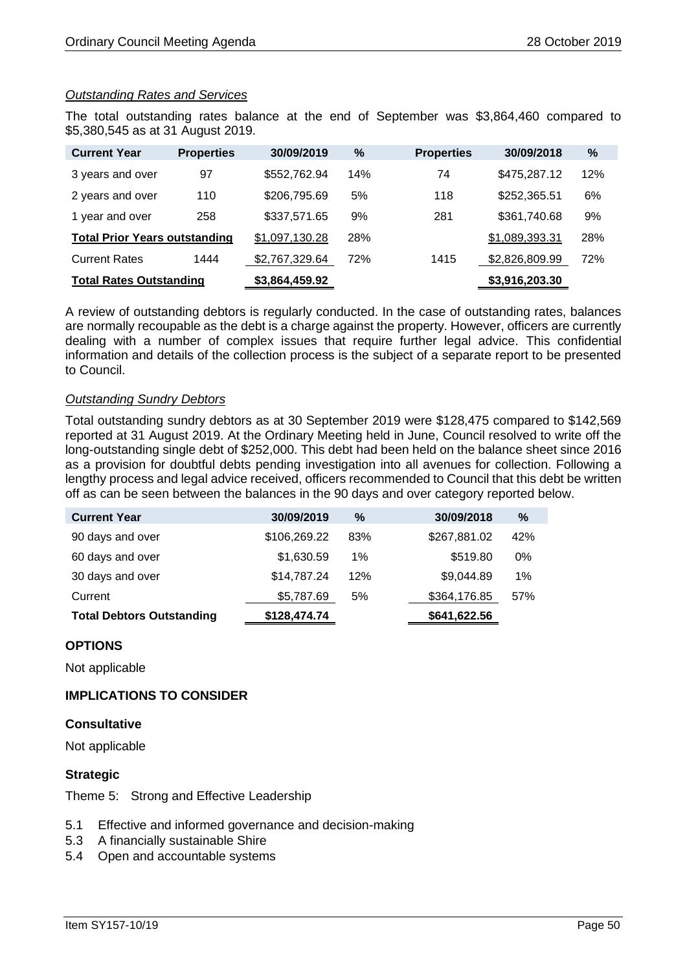# *Outstanding Rates and Services*

The total outstanding rates balance at the end of September was \$3,864,460 compared to \$5,380,545 as at 31 August 2019.

| <b>Current Year</b>                  | <b>Properties</b> | 30/09/2019     | $\%$ | <b>Properties</b> | 30/09/2018     | %   |
|--------------------------------------|-------------------|----------------|------|-------------------|----------------|-----|
| 3 years and over                     | 97                | \$552,762.94   | 14%  | 74                | \$475,287.12   | 12% |
| 2 years and over                     | 110               | \$206,795.69   | 5%   | 118               | \$252,365.51   | 6%  |
| 1 year and over                      | 258               | \$337,571.65   | 9%   | 281               | \$361,740.68   | 9%  |
| <b>Total Prior Years outstanding</b> |                   | \$1,097,130.28 | 28%  |                   | \$1,089,393.31 | 28% |
| <b>Current Rates</b>                 | 1444              | \$2,767,329.64 | 72%  | 1415              | \$2,826,809.99 | 72% |
| <b>Total Rates Outstanding</b>       |                   | \$3,864,459.92 |      |                   | \$3,916,203.30 |     |

A review of outstanding debtors is regularly conducted. In the case of outstanding rates, balances are normally recoupable as the debt is a charge against the property. However, officers are currently dealing with a number of complex issues that require further legal advice. This confidential information and details of the collection process is the subject of a separate report to be presented to Council.

#### *Outstanding Sundry Debtors*

Total outstanding sundry debtors as at 30 September 2019 were \$128,475 compared to \$142,569 reported at 31 August 2019. At the Ordinary Meeting held in June, Council resolved to write off the long-outstanding single debt of \$252,000. This debt had been held on the balance sheet since 2016 as a provision for doubtful debts pending investigation into all avenues for collection. Following a lengthy process and legal advice received, officers recommended to Council that this debt be written off as can be seen between the balances in the 90 days and over category reported below.

| <b>Current Year</b>              | 30/09/2019   | $\%$  | 30/09/2018   | %   |
|----------------------------------|--------------|-------|--------------|-----|
| 90 days and over                 | \$106,269.22 | 83%   | \$267,881.02 | 42% |
| 60 days and over                 | \$1,630.59   | $1\%$ | \$519.80     | 0%  |
| 30 days and over                 | \$14,787.24  | 12%   | \$9,044.89   | 1%  |
| Current                          | \$5,787.69   | 5%    | \$364,176.85 | 57% |
| <b>Total Debtors Outstanding</b> | \$128,474.74 |       | \$641,622.56 |     |

# **OPTIONS**

Not applicable

# **IMPLICATIONS TO CONSIDER**

#### **Consultative**

Not applicable

# **Strategic**

Theme 5: Strong and Effective Leadership

- 5.1 Effective and informed governance and decision-making
- 5.3 A financially sustainable Shire
- 5.4 Open and accountable systems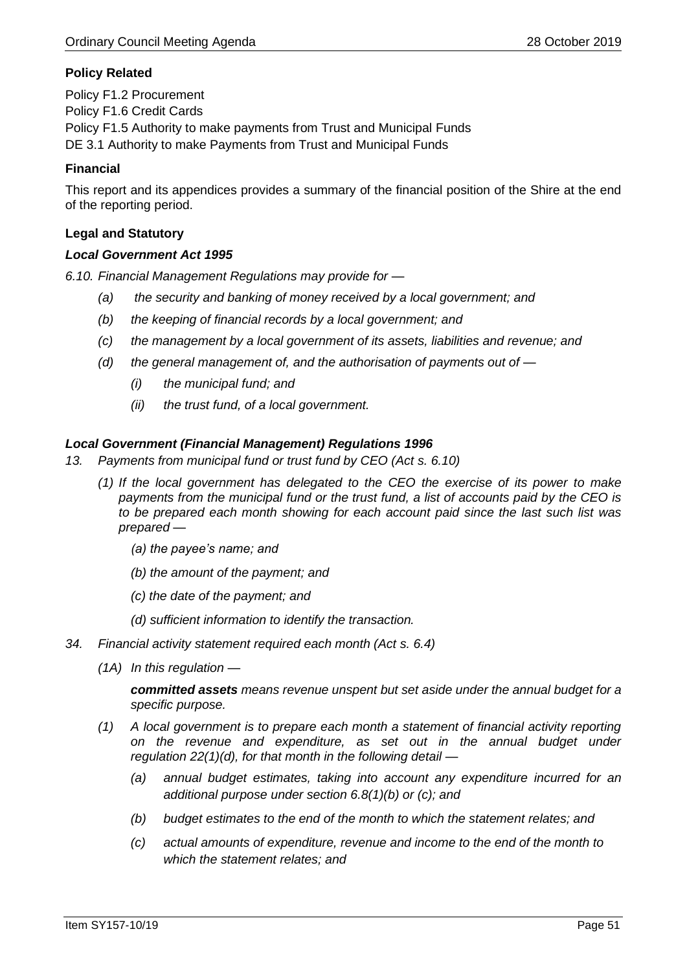# **Policy Related**

Policy F1.2 Procurement Policy F1.6 Credit Cards Policy F1.5 Authority to make payments from Trust and Municipal Funds DE 3.1 Authority to make Payments from Trust and Municipal Funds

# **Financial**

This report and its appendices provides a summary of the financial position of the Shire at the end of the reporting period.

### **Legal and Statutory**

#### *Local Government Act 1995*

*6.10. Financial Management Regulations may provide for —*

- *(a) the security and banking of money received by a local government; and*
- *(b) the keeping of financial records by a local government; and*
- *(c) the management by a local government of its assets, liabilities and revenue; and*
- *(d) the general management of, and the authorisation of payments out of —*
	- *(i) the municipal fund; and*
	- *(ii) the trust fund, of a local government.*

#### *Local Government (Financial Management) Regulations 1996*

- *13. Payments from municipal fund or trust fund by CEO (Act s. 6.10)*
	- *(1) If the local government has delegated to the CEO the exercise of its power to make payments from the municipal fund or the trust fund, a list of accounts paid by the CEO is to be prepared each month showing for each account paid since the last such list was prepared —*
		- *(a) the payee's name; and*
		- *(b) the amount of the payment; and*
		- *(c) the date of the payment; and*
		- *(d) sufficient information to identify the transaction.*
- *34. Financial activity statement required each month (Act s. 6.4)*
	- *(1A) In this regulation —*

*committed assets means revenue unspent but set aside under the annual budget for a specific purpose.*

- *(1) A local government is to prepare each month a statement of financial activity reporting on the revenue and expenditure, as set out in the annual budget under regulation 22(1)(d), for that month in the following detail —*
	- *(a) annual budget estimates, taking into account any expenditure incurred for an additional purpose under section 6.8(1)(b) or (c); and*
	- *(b) budget estimates to the end of the month to which the statement relates; and*
	- *(c) actual amounts of expenditure, revenue and income to the end of the month to which the statement relates; and*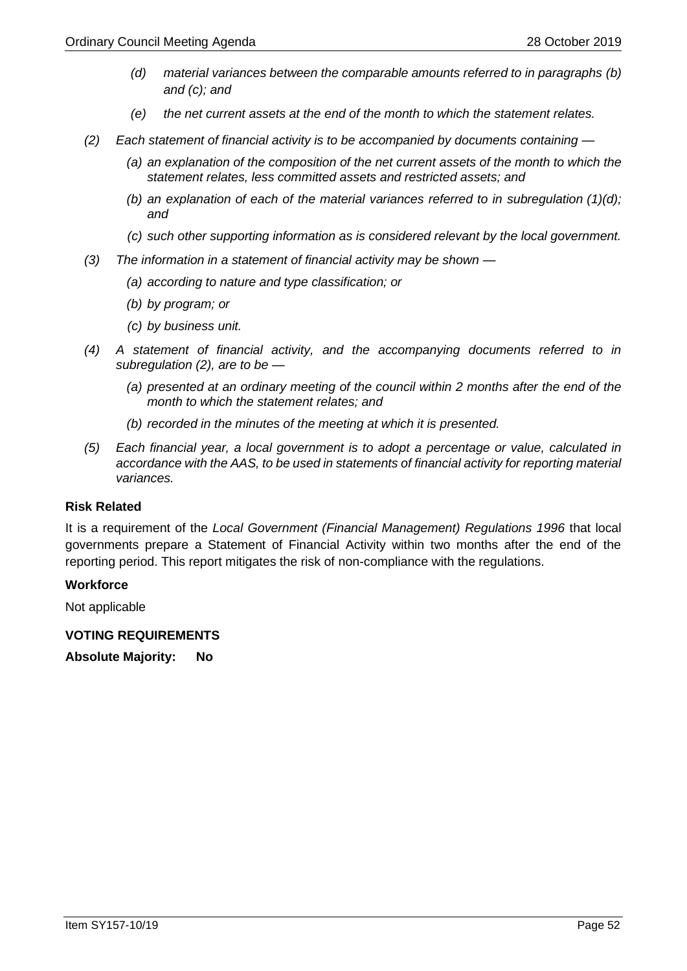- *(d) material variances between the comparable amounts referred to in paragraphs (b) and (c); and*
- *(e) the net current assets at the end of the month to which the statement relates.*
- *(2) Each statement of financial activity is to be accompanied by documents containing —*
	- *(a) an explanation of the composition of the net current assets of the month to which the statement relates, less committed assets and restricted assets; and*
	- *(b) an explanation of each of the material variances referred to in subregulation (1)(d); and*
	- *(c) such other supporting information as is considered relevant by the local government.*
- *(3) The information in a statement of financial activity may be shown —*
	- *(a) according to nature and type classification; or*
	- *(b) by program; or*
	- *(c) by business unit.*
- *(4) A statement of financial activity, and the accompanying documents referred to in subregulation (2), are to be —*
	- *(a) presented at an ordinary meeting of the council within 2 months after the end of the month to which the statement relates; and*
	- *(b) recorded in the minutes of the meeting at which it is presented.*
- *(5) Each financial year, a local government is to adopt a percentage or value, calculated in accordance with the AAS, to be used in statements of financial activity for reporting material variances.*

#### **Risk Related**

It is a requirement of the *Local Government (Financial Management) Regulations 1996* that local governments prepare a Statement of Financial Activity within two months after the end of the reporting period. This report mitigates the risk of non-compliance with the regulations.

#### **Workforce**

Not applicable

**VOTING REQUIREMENTS** 

**Absolute Majority: No**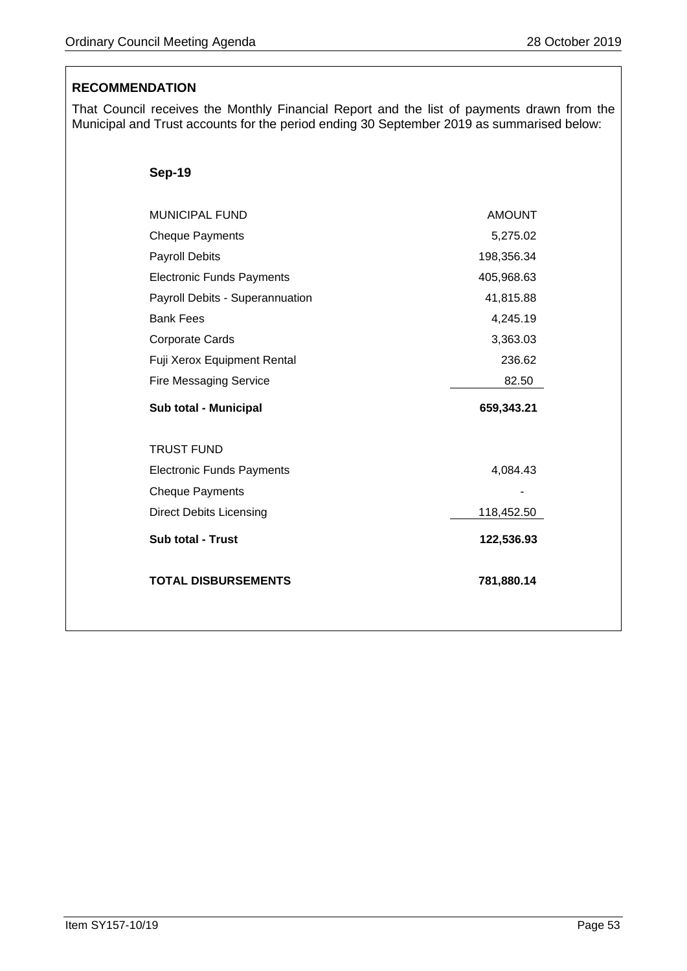# **RECOMMENDATION**

That Council receives the Monthly Financial Report and the list of payments drawn from the Municipal and Trust accounts for the period ending 30 September 2019 as summarised below:

| <b>MUNICIPAL FUND</b>            | <b>AMOUNT</b> |
|----------------------------------|---------------|
| <b>Cheque Payments</b>           | 5,275.02      |
| <b>Payroll Debits</b>            | 198,356.34    |
| <b>Electronic Funds Payments</b> | 405,968.63    |
| Payroll Debits - Superannuation  | 41,815.88     |
| <b>Bank Fees</b>                 | 4,245.19      |
| Corporate Cards                  | 3,363.03      |
| Fuji Xerox Equipment Rental      | 236.62        |
| <b>Fire Messaging Service</b>    | 82.50         |
| Sub total - Municipal            | 659,343.21    |
| <b>TRUST FUND</b>                |               |
| <b>Electronic Funds Payments</b> | 4,084.43      |
| <b>Cheque Payments</b>           |               |
|                                  |               |
| <b>Direct Debits Licensing</b>   | 118,452.50    |
| <b>Sub total - Trust</b>         | 122,536.93    |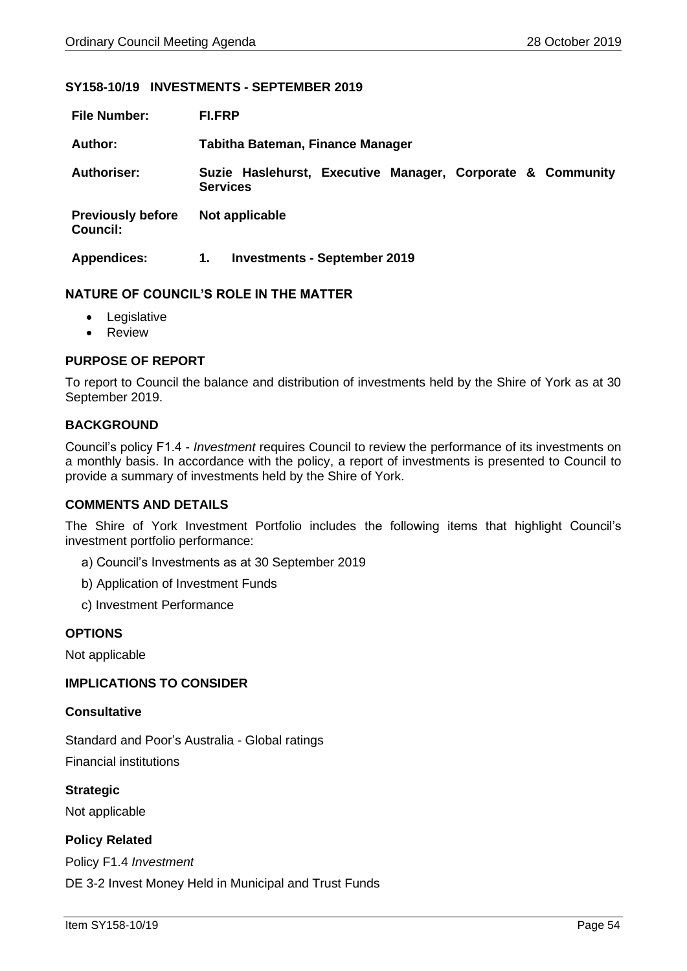#### <span id="page-53-0"></span>**SY158-10/19 INVESTMENTS - SEPTEMBER 2019**

| <b>File Number:</b>                         | <b>FI.FRP</b>                                                                 |
|---------------------------------------------|-------------------------------------------------------------------------------|
| Author:                                     | <b>Tabitha Bateman, Finance Manager</b>                                       |
| <b>Authoriser:</b>                          | Suzie Haslehurst, Executive Manager, Corporate & Community<br><b>Services</b> |
| <b>Previously before</b><br><b>Council:</b> | Not applicable                                                                |
| <b>Appendices:</b>                          | <b>Investments - September 2019</b><br>1.                                     |

#### **NATURE OF COUNCIL'S ROLE IN THE MATTER**

- Legislative
- Review

### **PURPOSE OF REPORT**

To report to Council the balance and distribution of investments held by the Shire of York as at 30 September 2019.

#### **BACKGROUND**

Council's policy F1.4 - *Investment* requires Council to review the performance of its investments on a monthly basis. In accordance with the policy, a report of investments is presented to Council to provide a summary of investments held by the Shire of York.

#### **COMMENTS AND DETAILS**

The Shire of York Investment Portfolio includes the following items that highlight Council's investment portfolio performance:

- a) Council's Investments as at 30 September 2019
- b) Application of Investment Funds
- c) Investment Performance

#### **OPTIONS**

Not applicable

#### **IMPLICATIONS TO CONSIDER**

#### **Consultative**

Standard and Poor's Australia - Global ratings Financial institutions

**Strategic** Not applicable

# **Policy Related**

Policy F1.4 *Investment* DE 3-2 Invest Money Held in Municipal and Trust Funds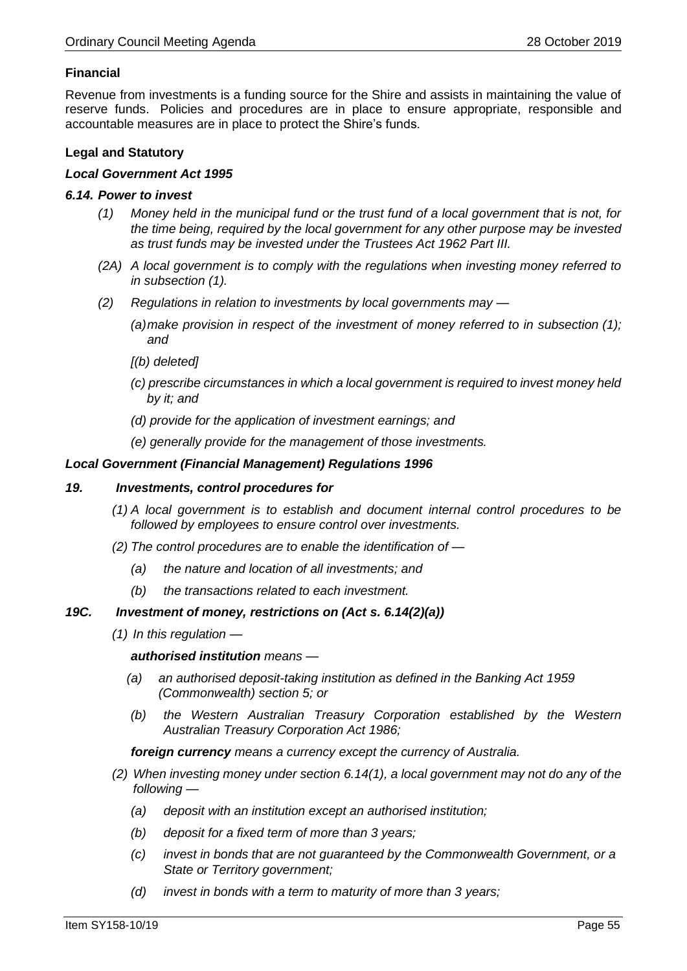# **Financial**

Revenue from investments is a funding source for the Shire and assists in maintaining the value of reserve funds. Policies and procedures are in place to ensure appropriate, responsible and accountable measures are in place to protect the Shire's funds.

# **Legal and Statutory**

#### *Local Government Act 1995*

#### *6.14. Power to invest*

- *(1) Money held in the municipal fund or the trust fund of a local government that is not, for the time being, required by the local government for any other purpose may be invested as trust funds may be invested under the Trustees Act 1962 Part III.*
- *(2A) A local government is to comply with the regulations when investing money referred to in subsection (1).*
- *(2) Regulations in relation to investments by local governments may —*
	- *(a)make provision in respect of the investment of money referred to in subsection (1); and*
	- *[(b) deleted]*
	- *(c) prescribe circumstances in which a local government is required to invest money held by it; and*
	- *(d) provide for the application of investment earnings; and*
	- *(e) generally provide for the management of those investments.*

#### *Local Government (Financial Management) Regulations 1996*

#### *19. Investments, control procedures for*

- *(1) A local government is to establish and document internal control procedures to be followed by employees to ensure control over investments.*
- *(2) The control procedures are to enable the identification of —*
	- *(a) the nature and location of all investments; and*
	- *(b) the transactions related to each investment.*

# *19C. Investment of money, restrictions on (Act s. 6.14(2)(a))*

*(1) In this regulation —*

*authorised institution means —*

- *(a) an authorised deposit-taking institution as defined in the Banking Act 1959 (Commonwealth) section 5; or*
- *(b) the Western Australian Treasury Corporation established by the Western Australian Treasury Corporation Act 1986;*

*foreign currency means a currency except the currency of Australia.*

- *(2) When investing money under section 6.14(1), a local government may not do any of the following —*
	- *(a) deposit with an institution except an authorised institution;*
	- *(b) deposit for a fixed term of more than 3 years;*
	- *(c) invest in bonds that are not guaranteed by the Commonwealth Government, or a State or Territory government;*
	- *(d) invest in bonds with a term to maturity of more than 3 years;*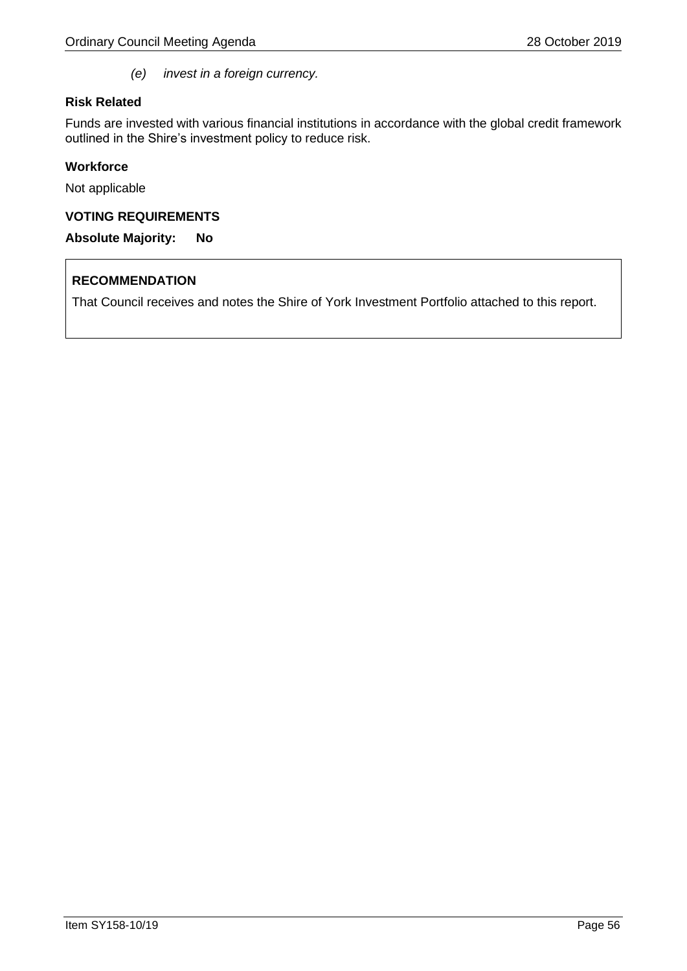*(e) invest in a foreign currency.*

# **Risk Related**

Funds are invested with various financial institutions in accordance with the global credit framework outlined in the Shire's investment policy to reduce risk.

# **Workforce**

Not applicable

# **VOTING REQUIREMENTS**

**Absolute Majority: No**

# **RECOMMENDATION**

That Council receives and notes the Shire of York Investment Portfolio attached to this report.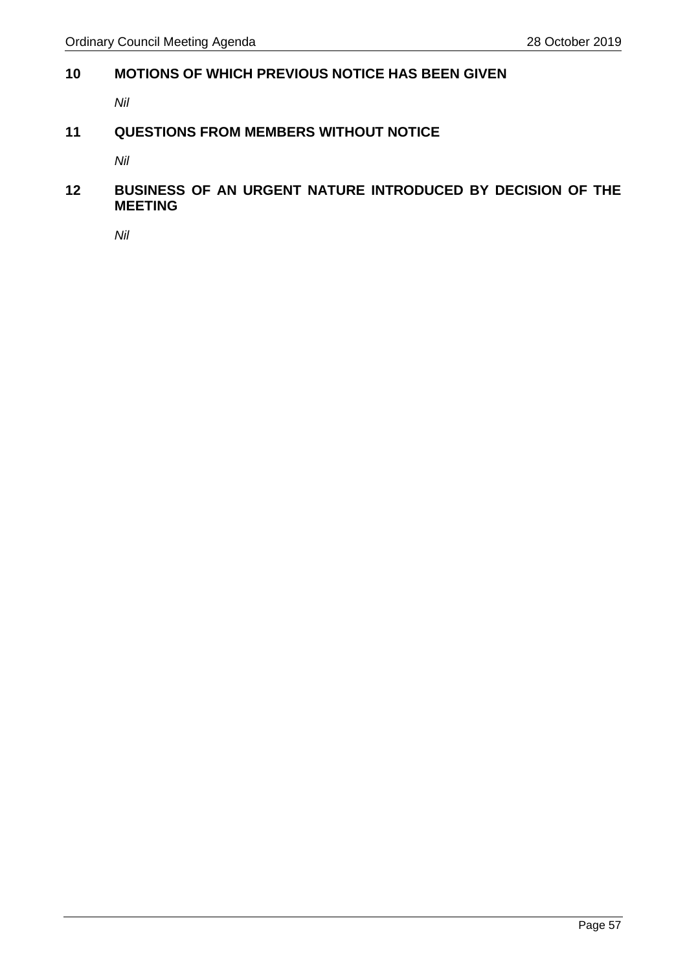# <span id="page-56-0"></span>**10 MOTIONS OF WHICH PREVIOUS NOTICE HAS BEEN GIVEN**

*Nil* 

# <span id="page-56-1"></span>**11 QUESTIONS FROM MEMBERS WITHOUT NOTICE**

*Nil*

# <span id="page-56-2"></span>**12 BUSINESS OF AN URGENT NATURE INTRODUCED BY DECISION OF THE MEETING**

*Nil*